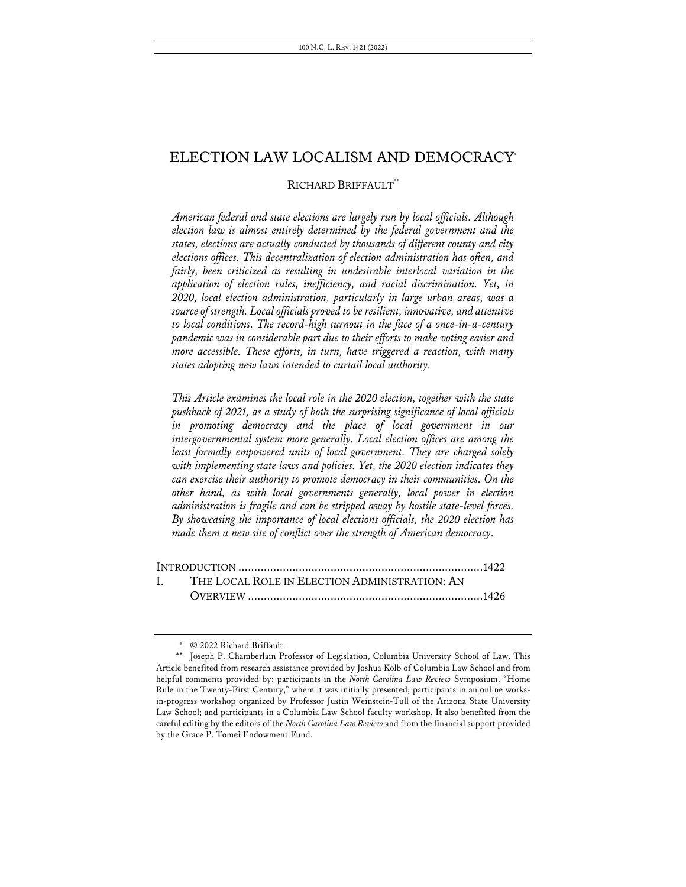# ELECTION LAW LOCALISM AND DEMOCRACY\*

## RICHARD BRIFFAULT\*\*

*American federal and state elections are largely run by local officials. Although election law is almost entirely determined by the federal government and the states, elections are actually conducted by thousands of different county and city elections offices. This decentralization of election administration has often, and fairly, been criticized as resulting in undesirable interlocal variation in the application of election rules, inefficiency, and racial discrimination. Yet, in 2020, local election administration, particularly in large urban areas, was a source of strength. Local officials proved to be resilient, innovative, and attentive to local conditions. The record-high turnout in the face of a once-in-a-century pandemic was in considerable part due to their efforts to make voting easier and more accessible. These efforts, in turn, have triggered a reaction, with many states adopting new laws intended to curtail local authority.*

*This Article examines the local role in the 2020 election, together with the state pushback of 2021, as a study of both the surprising significance of local officials in promoting democracy and the place of local government in our intergovernmental system more generally. Local election offices are among the least formally empowered units of local government. They are charged solely with implementing state laws and policies. Yet, the 2020 election indicates they can exercise their authority to promote democracy in their communities. On the other hand, as with local governments generally, local power in election administration is fragile and can be stripped away by hostile state-level forces. By showcasing the importance of local elections officials, the 2020 election has made them a new site of conflict over the strength of American democracy.*

| I. THE LOCAL ROLE IN ELECTION ADMINISTRATION: AN |  |
|--------------------------------------------------|--|
|                                                  |  |

<sup>\*</sup> © 2022 Richard Briffault.

<sup>\*\*</sup> Joseph P. Chamberlain Professor of Legislation, Columbia University School of Law. This Article benefited from research assistance provided by Joshua Kolb of Columbia Law School and from helpful comments provided by: participants in the *North Carolina Law Review* Symposium, "Home Rule in the Twenty-First Century," where it was initially presented; participants in an online worksin-progress workshop organized by Professor Justin Weinstein-Tull of the Arizona State University Law School; and participants in a Columbia Law School faculty workshop. It also benefited from the careful editing by the editors of the *North Carolina Law Review* and from the financial support provided by the Grace P. Tomei Endowment Fund.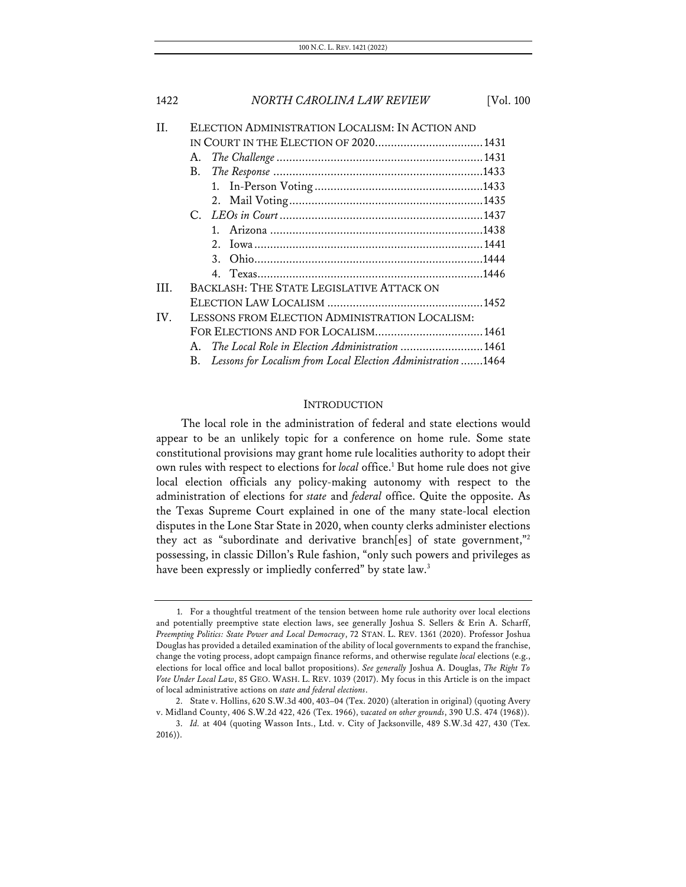| II       | ELECTION ADMINISTRATION LOCALISM: IN ACTION AND                  |  |
|----------|------------------------------------------------------------------|--|
|          |                                                                  |  |
|          | А.                                                               |  |
|          | В.                                                               |  |
|          |                                                                  |  |
|          |                                                                  |  |
|          |                                                                  |  |
|          |                                                                  |  |
|          |                                                                  |  |
|          |                                                                  |  |
|          |                                                                  |  |
| HL.      | BACKLASH: THE STATE LEGISLATIVE ATTACK ON                        |  |
|          |                                                                  |  |
| $IV_{-}$ | LESSONS FROM ELECTION ADMINISTRATION LOCALISM:                   |  |
|          |                                                                  |  |
|          | The Local Role in Election Administration 1461<br>A              |  |
|          | B. Lessons for Localism from Local Election Administration  1464 |  |

## **INTRODUCTION**

The local role in the administration of federal and state elections would appear to be an unlikely topic for a conference on home rule. Some state constitutional provisions may grant home rule localities authority to adopt their own rules with respect to elections for *local* office.<sup>1</sup> But home rule does not give local election officials any policy-making autonomy with respect to the administration of elections for *state* and *federal* office. Quite the opposite. As the Texas Supreme Court explained in one of the many state-local election disputes in the Lone Star State in 2020, when county clerks administer elections they act as "subordinate and derivative branch[es] of state government,"2 possessing, in classic Dillon's Rule fashion, "only such powers and privileges as have been expressly or impliedly conferred" by state law.<sup>3</sup>

<sup>1.</sup> For a thoughtful treatment of the tension between home rule authority over local elections and potentially preemptive state election laws, see generally Joshua S. Sellers & Erin A. Scharff, *Preempting Politics: State Power and Local Democracy*, 72 STAN. L. REV. 1361 (2020). Professor Joshua Douglas has provided a detailed examination of the ability of local governments to expand the franchise, change the voting process, adopt campaign finance reforms, and otherwise regulate *local* elections (e.g., elections for local office and local ballot propositions). *See generally* Joshua A. Douglas, *The Right To Vote Under Local Law*, 85 GEO. WASH. L. REV. 1039 (2017). My focus in this Article is on the impact of local administrative actions on *state and federal elections*.

<sup>2.</sup> State v. Hollins, 620 S.W.3d 400, 403–04 (Tex. 2020) (alteration in original) (quoting Avery v. Midland County, 406 S.W.2d 422, 426 (Tex. 1966), *vacated on other grounds*, 390 U.S. 474 (1968)).

<sup>3.</sup> *Id.* at 404 (quoting Wasson Ints., Ltd. v. City of Jacksonville, 489 S.W.3d 427, 430 (Tex. 2016)).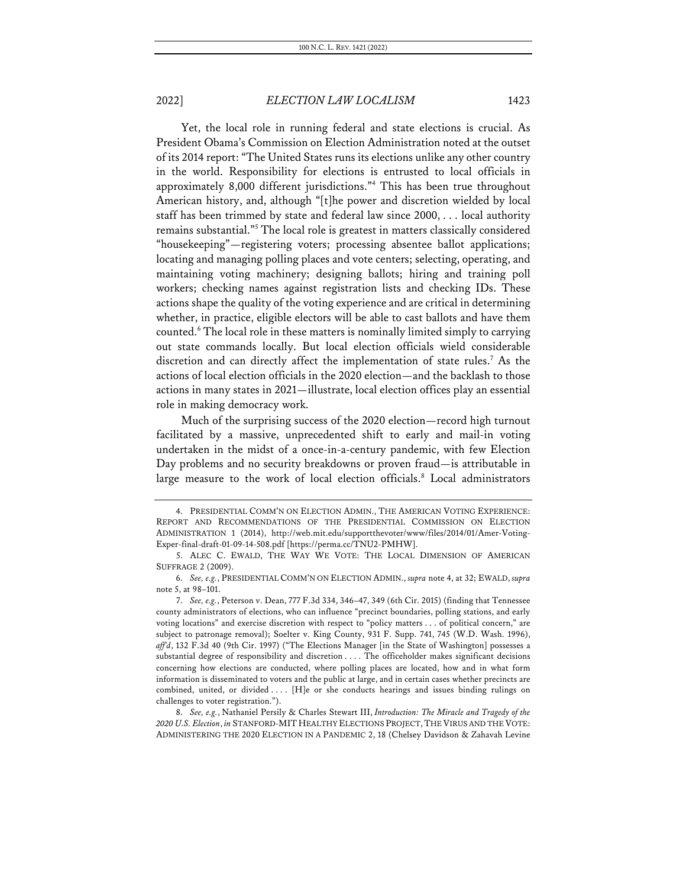Yet, the local role in running federal and state elections is crucial. As President Obama's Commission on Election Administration noted at the outset of its 2014 report:"The United States runs its elections unlike any other country in the world. Responsibility for elections is entrusted to local officials in approximately 8,000 different jurisdictions."4 This has been true throughout American history, and, although "[t]he power and discretion wielded by local staff has been trimmed by state and federal law since 2000, . . . local authority remains substantial."5 The local role is greatest in matters classically considered "housekeeping"—registering voters; processing absentee ballot applications; locating and managing polling places and vote centers; selecting, operating, and maintaining voting machinery; designing ballots; hiring and training poll workers; checking names against registration lists and checking IDs. These actions shape the quality of the voting experience and are critical in determining whether, in practice, eligible electors will be able to cast ballots and have them counted.6 The local role in these matters is nominally limited simply to carrying out state commands locally. But local election officials wield considerable discretion and can directly affect the implementation of state rules. <sup>7</sup> As the actions of local election officials in the 2020 election—and the backlash to those actions in many states in 2021—illustrate, local election offices play an essential role in making democracy work.

Much of the surprising success of the 2020 election—record high turnout facilitated by a massive, unprecedented shift to early and mail-in voting undertaken in the midst of a once-in-a-century pandemic, with few Election Day problems and no security breakdowns or proven fraud—is attributable in large measure to the work of local election officials.<sup>8</sup> Local administrators

<sup>4.</sup> PRESIDENTIAL COMM'N ON ELECTION ADMIN., THE AMERICAN VOTING EXPERIENCE: REPORT AND RECOMMENDATIONS OF THE PRESIDENTIAL COMMISSION ON ELECTION ADMINISTRATION 1 (2014), http://web.mit.edu/supportthevoter/www/files/2014/01/Amer-Voting-Exper-final-draft-01-09-14-508.pdf [https://perma.cc/TNU2-PMHW].

<sup>5.</sup> ALEC C. EWALD, THE WAY WE VOTE: THE LOCAL DIMENSION OF AMERICAN SUFFRAGE 2 (2009).

<sup>6.</sup> *See, e.g.*, PRESIDENTIAL COMM'N ON ELECTION ADMIN., *supra* note 4, at 32; EWALD, *supra* note 5, at 98–101.

<sup>7.</sup> *See, e.g.*, Peterson v. Dean, 777 F.3d 334, 346–47, 349 (6th Cir. 2015) (finding that Tennessee county administrators of elections, who can influence "precinct boundaries, polling stations, and early voting locations" and exercise discretion with respect to "policy matters . . . of political concern," are subject to patronage removal); Soelter v. King County, 931 F. Supp. 741, 745 (W.D. Wash. 1996), *aff'd*, 132 F.3d 40 (9th Cir. 1997) ("The Elections Manager [in the State of Washington] possesses a substantial degree of responsibility and discretion . . . . The officeholder makes significant decisions concerning how elections are conducted, where polling places are located, how and in what form information is disseminated to voters and the public at large, and in certain cases whether precincts are combined, united, or divided . . . . [H]e or she conducts hearings and issues binding rulings on challenges to voter registration.").

<sup>8.</sup> *See, e.g.*, Nathaniel Persily & Charles Stewart III, *Introduction: The Miracle and Tragedy of the 2020 U.S. Election*, *in* STANFORD-MIT HEALTHY ELECTIONS PROJECT,THE VIRUS AND THE VOTE: ADMINISTERING THE 2020 ELECTION IN A PANDEMIC 2, 18 (Chelsey Davidson & Zahavah Levine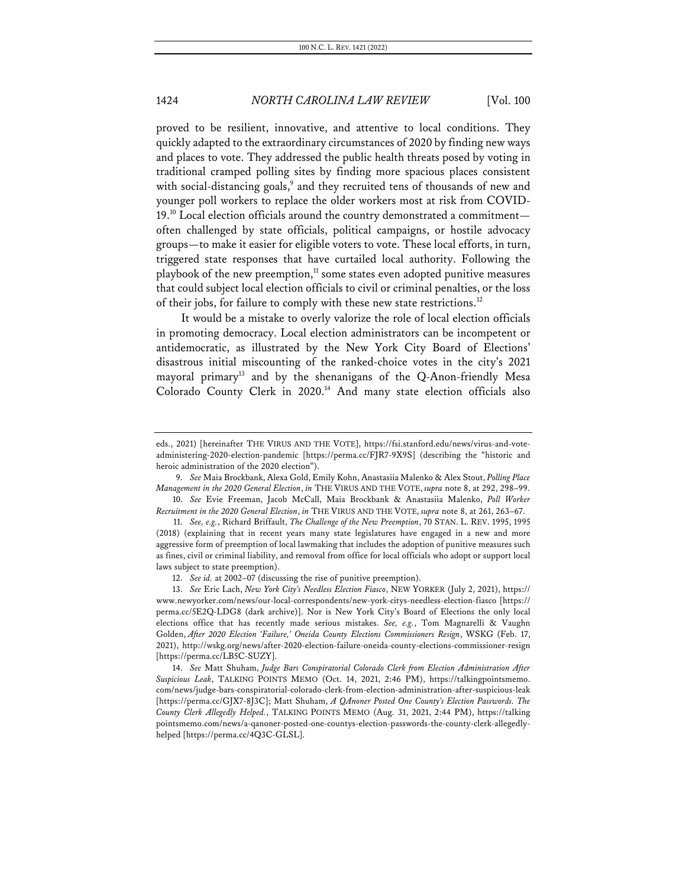proved to be resilient, innovative, and attentive to local conditions. They quickly adapted to the extraordinary circumstances of 2020 by finding new ways and places to vote. They addressed the public health threats posed by voting in traditional cramped polling sites by finding more spacious places consistent with social-distancing goals,<sup>9</sup> and they recruited tens of thousands of new and younger poll workers to replace the older workers most at risk from COVID-19.10 Local election officials around the country demonstrated a commitment often challenged by state officials, political campaigns, or hostile advocacy groups—to make it easier for eligible voters to vote. These local efforts, in turn, triggered state responses that have curtailed local authority. Following the playbook of the new preemption, $11$  some states even adopted punitive measures that could subject local election officials to civil or criminal penalties, or the loss of their jobs, for failure to comply with these new state restrictions.<sup>12</sup>

It would be a mistake to overly valorize the role of local election officials in promoting democracy. Local election administrators can be incompetent or antidemocratic, as illustrated by the New York City Board of Elections' disastrous initial miscounting of the ranked-choice votes in the city's 2021 mayoral primary<sup>13</sup> and by the shenanigans of the Q-Anon-friendly Mesa Colorado County Clerk in 2020.<sup>14</sup> And many state election officials also

eds., 2021) [hereinafter THE VIRUS AND THE VOTE], https://fsi.stanford.edu/news/virus-and-voteadministering-2020-election-pandemic [https://perma.cc/FJR7-9X9S] (describing the "historic and heroic administration of the 2020 election").

<sup>9.</sup> *See* Maia Brockbank, Alexa Gold, Emily Kohn, Anastasiia Malenko & Alex Stout, *Polling Place Management in the 2020 General Election*, *in* THE VIRUS AND THE VOTE, *supra* note 8, at 292, 298–99. 10. *See* Evie Freeman, Jacob McCall, Maia Brockbank & Anastasiia Malenko, *Poll Worker* 

*Recruitment in the 2020 General Election*, *in* THE VIRUS AND THE VOTE, *supra* note 8, at 261, 263–67. 11. *See, e.g.*, Richard Briffault, *The Challenge of the New Preemption*, 70 STAN. L. REV. 1995, 1995

<sup>(2018)</sup> (explaining that in recent years many state legislatures have engaged in a new and more aggressive form of preemption of local lawmaking that includes the adoption of punitive measures such as fines, civil or criminal liability, and removal from office for local officials who adopt or support local laws subject to state preemption).

<sup>12.</sup> *See id.* at 2002–07 (discussing the rise of punitive preemption).

<sup>13.</sup> *See* Eric Lach, *New York City's Needless Election Fiasco*, NEW YORKER (July 2, 2021), https:// www.newyorker.com/news/our-local-correspondents/new-york-citys-needless-election-fiasco [https:// perma.cc/5E2Q-LDG8 (dark archive)]. Nor is New York City's Board of Elections the only local elections office that has recently made serious mistakes. *See, e.g.*, Tom Magnarelli & Vaughn Golden, *After 2020 Election 'Failure,' Oneida County Elections Commissioners Resign*, WSKG (Feb. 17, 2021), http://wskg.org/news/after-2020-election-failure-oneida-county-elections-commissioner-resign [https://perma.cc/LB5C-SUZY].

<sup>14.</sup> *See* Matt Shuham, *Judge Bars Conspiratorial Colorado Clerk from Election Administration After Suspicious Leak*, TALKING POINTS MEMO (Oct. 14, 2021, 2:46 PM), https://talkingpointsmemo. com/news/judge-bars-conspiratorial-colorado-clerk-from-election-administration-after-suspicious-leak [https://perma.cc/GJX7-8J3C]; Matt Shuham, *A QAnoner Posted One County's Election Passwords. The County Clerk Allegedly Helped.*, TALKING POINTS MEMO (Aug. 31, 2021, 2:44 PM), https://talking pointsmemo.com/news/a-qanoner-posted-one-countys-election-passwords-the-county-clerk-allegedlyhelped [https://perma.cc/4Q3C-GLSL].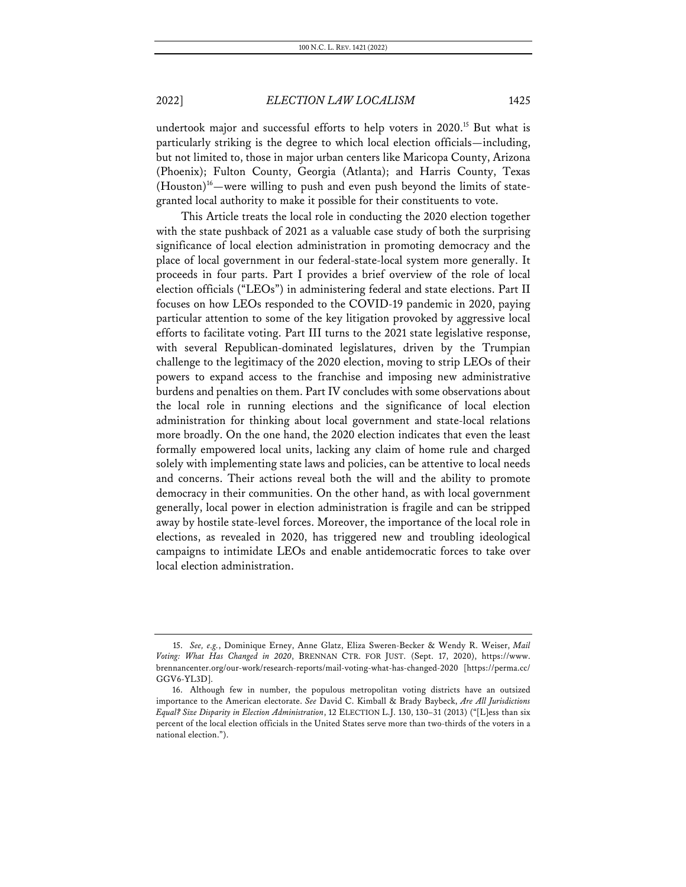undertook major and successful efforts to help voters in 2020.<sup>15</sup> But what is particularly striking is the degree to which local election officials—including, but not limited to, those in major urban centers like Maricopa County, Arizona (Phoenix); Fulton County, Georgia (Atlanta); and Harris County, Texas (Houston)16—were willing to push and even push beyond the limits of stategranted local authority to make it possible for their constituents to vote.

This Article treats the local role in conducting the 2020 election together with the state pushback of 2021 as a valuable case study of both the surprising significance of local election administration in promoting democracy and the place of local government in our federal-state-local system more generally. It proceeds in four parts. Part I provides a brief overview of the role of local election officials ("LEOs") in administering federal and state elections. Part II focuses on how LEOs responded to the COVID-19 pandemic in 2020, paying particular attention to some of the key litigation provoked by aggressive local efforts to facilitate voting. Part III turns to the 2021 state legislative response, with several Republican-dominated legislatures, driven by the Trumpian challenge to the legitimacy of the 2020 election, moving to strip LEOs of their powers to expand access to the franchise and imposing new administrative burdens and penalties on them. Part IV concludes with some observations about the local role in running elections and the significance of local election administration for thinking about local government and state-local relations more broadly. On the one hand, the 2020 election indicates that even the least formally empowered local units, lacking any claim of home rule and charged solely with implementing state laws and policies, can be attentive to local needs and concerns. Their actions reveal both the will and the ability to promote democracy in their communities. On the other hand, as with local government generally, local power in election administration is fragile and can be stripped away by hostile state-level forces. Moreover, the importance of the local role in elections, as revealed in 2020, has triggered new and troubling ideological campaigns to intimidate LEOs and enable antidemocratic forces to take over local election administration.

<sup>15.</sup> *See, e.g.*, Dominique Erney, Anne Glatz, Eliza Sweren-Becker & Wendy R. Weiser, *Mail Voting: What Has Changed in 2020*, BRENNAN CTR. FOR JUST. (Sept. 17, 2020), https://www. brennancenter.org/our-work/research-reports/mail-voting-what-has-changed-2020 [https://perma.cc/ GGV6-YL3D].

<sup>16.</sup> Although few in number, the populous metropolitan voting districts have an outsized importance to the American electorate. *See* David C. Kimball & Brady Baybeck, *Are All Jurisdictions Equal? Size Disparity in Election Administration*, 12 ELECTION L.J. 130, 130–31 (2013) ("[L]ess than six percent of the local election officials in the United States serve more than two-thirds of the voters in a national election.").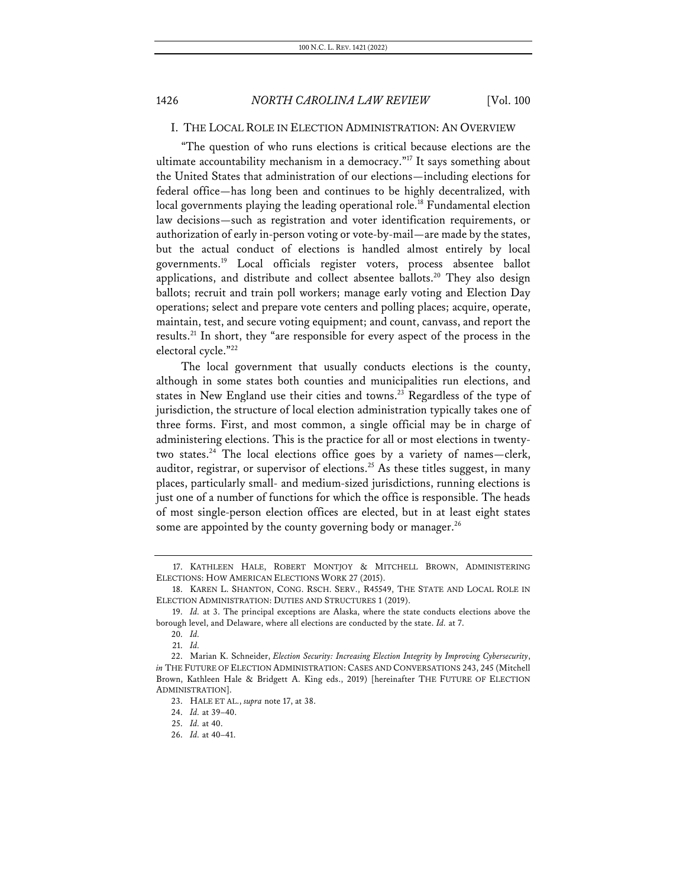## I. THE LOCAL ROLE IN ELECTION ADMINISTRATION: AN OVERVIEW

"The question of who runs elections is critical because elections are the ultimate accountability mechanism in a democracy."17 It says something about the United States that administration of our elections—including elections for federal office—has long been and continues to be highly decentralized, with local governments playing the leading operational role.<sup>18</sup> Fundamental election law decisions—such as registration and voter identification requirements, or authorization of early in-person voting or vote-by-mail—are made by the states, but the actual conduct of elections is handled almost entirely by local governments.19 Local officials register voters, process absentee ballot applications, and distribute and collect absentee ballots.<sup>20</sup> They also design ballots; recruit and train poll workers; manage early voting and Election Day operations; select and prepare vote centers and polling places; acquire, operate, maintain, test, and secure voting equipment; and count, canvass, and report the results.21 In short, they "are responsible for every aspect of the process in the electoral cycle."22

The local government that usually conducts elections is the county, although in some states both counties and municipalities run elections, and states in New England use their cities and towns.<sup>23</sup> Regardless of the type of jurisdiction, the structure of local election administration typically takes one of three forms. First, and most common, a single official may be in charge of administering elections. This is the practice for all or most elections in twentytwo states.<sup>24</sup> The local elections office goes by a variety of names—clerk, auditor, registrar, or supervisor of elections.25 As these titles suggest, in many places, particularly small- and medium-sized jurisdictions, running elections is just one of a number of functions for which the office is responsible. The heads of most single-person election offices are elected, but in at least eight states some are appointed by the county governing body or manager.<sup>26</sup>

<sup>17.</sup> KATHLEEN HALE, ROBERT MONTJOY & MITCHELL BROWN, ADMINISTERING ELECTIONS: HOW AMERICAN ELECTIONS WORK 27 (2015).

<sup>18.</sup> KAREN L. SHANTON, CONG. RSCH. SERV., R45549, THE STATE AND LOCAL ROLE IN ELECTION ADMINISTRATION: DUTIES AND STRUCTURES 1 (2019).

<sup>19.</sup> *Id.* at 3. The principal exceptions are Alaska, where the state conducts elections above the borough level, and Delaware, where all elections are conducted by the state. *Id.* at 7.

<sup>20.</sup> *Id.*

<sup>21.</sup> *Id.*

<sup>22.</sup> Marian K. Schneider, *Election Security: Increasing Election Integrity by Improving Cybersecurity*, *in* THE FUTURE OF ELECTION ADMINISTRATION: CASES AND CONVERSATIONS 243, 245 (Mitchell Brown, Kathleen Hale & Bridgett A. King eds., 2019) [hereinafter THE FUTURE OF ELECTION ADMINISTRATION].

<sup>23.</sup> HALE ET AL., *supra* note 17, at 38.

<sup>24.</sup> *Id.* at 39–40.

<sup>25.</sup> *Id.* at 40.

<sup>26.</sup> *Id.* at 40–41.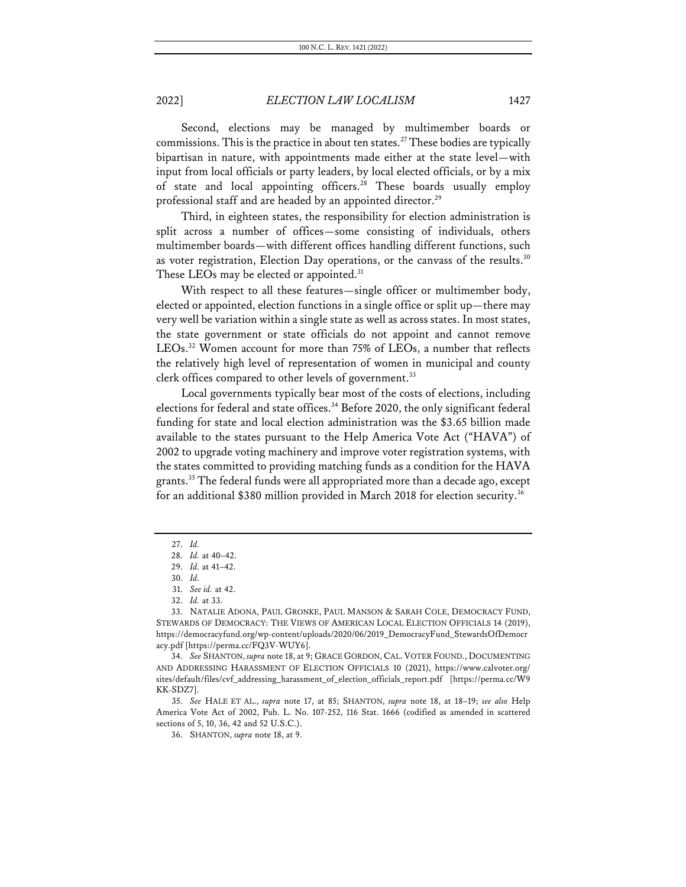Second, elections may be managed by multimember boards or commissions. This is the practice in about ten states. <sup>27</sup> These bodies are typically bipartisan in nature, with appointments made either at the state level—with input from local officials or party leaders, by local elected officials, or by a mix of state and local appointing officers.<sup>28</sup> These boards usually employ professional staff and are headed by an appointed director.<sup>29</sup>

Third, in eighteen states, the responsibility for election administration is split across a number of offices—some consisting of individuals, others multimember boards—with different offices handling different functions, such as voter registration, Election Day operations, or the canvass of the results.<sup>30</sup> These LEOs may be elected or appointed.<sup>31</sup>

With respect to all these features—single officer or multimember body, elected or appointed, election functions in a single office or split up—there may very well be variation within a single state as well as across states. In most states, the state government or state officials do not appoint and cannot remove LEOs.<sup>32</sup> Women account for more than 75% of LEOs, a number that reflects the relatively high level of representation of women in municipal and county clerk offices compared to other levels of government.<sup>33</sup>

Local governments typically bear most of the costs of elections, including elections for federal and state offices.<sup>34</sup> Before 2020, the only significant federal funding for state and local election administration was the \$3.65 billion made available to the states pursuant to the Help America Vote Act ("HAVA") of 2002 to upgrade voting machinery and improve voter registration systems, with the states committed to providing matching funds as a condition for the HAVA grants.<sup>35</sup> The federal funds were all appropriated more than a decade ago, except for an additional \$380 million provided in March 2018 for election security.36

<sup>27.</sup> *Id.*

<sup>28.</sup> *Id.* at 40–42.

<sup>29.</sup> *Id.* at 41–42.

<sup>30.</sup> *Id.*

<sup>31.</sup> *See id.* at 42.

<sup>32.</sup> *Id.* at 33.

<sup>33.</sup> NATALIE ADONA, PAUL GRONKE, PAUL MANSON & SARAH COLE, DEMOCRACY FUND, STEWARDS OF DEMOCRACY: THE VIEWS OF AMERICAN LOCAL ELECTION OFFICIALS 14 (2019), https://democracyfund.org/wp-content/uploads/2020/06/2019\_DemocracyFund\_StewardsOfDemocr acy.pdf [https://perma.cc/FQ3V-WUY6].

<sup>34.</sup> *See* SHANTON, *supra* note 18, at 9; GRACE GORDON, CAL.VOTER FOUND., DOCUMENTING AND ADDRESSING HARASSMENT OF ELECTION OFFICIALS 10 (2021), https://www.calvoter.org/ sites/default/files/cvf\_addressing\_harassment\_of\_election\_officials\_report.pdf [https://perma.cc/W9 KK-SDZ7].

<sup>35.</sup> *See* HALE ET AL., *supra* note 17, at 85; SHANTON, *supra* note 18, at 18–19; *see also* Help America Vote Act of 2002, Pub. L. No. 107-252, 116 Stat. 1666 (codified as amended in scattered sections of 5, 10, 36, 42 and 52 U.S.C.).

<sup>36.</sup> SHANTON, *supra* note 18, at 9.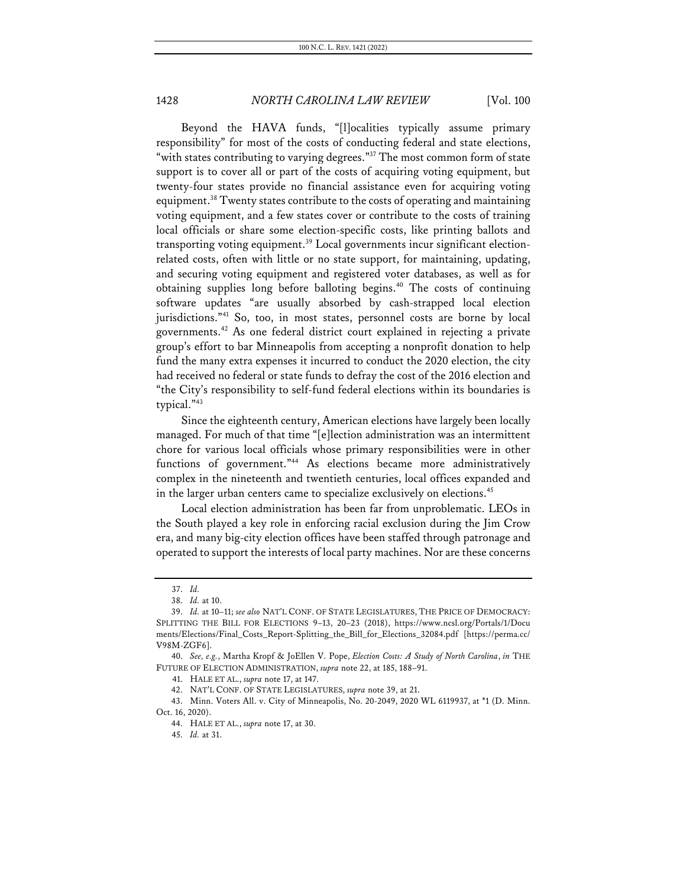Beyond the HAVA funds, "[l]ocalities typically assume primary responsibility" for most of the costs of conducting federal and state elections, "with states contributing to varying degrees."<sup>37</sup> The most common form of state support is to cover all or part of the costs of acquiring voting equipment, but twenty-four states provide no financial assistance even for acquiring voting equipment.38 Twenty states contribute to the costs of operating and maintaining voting equipment, and a few states cover or contribute to the costs of training local officials or share some election-specific costs, like printing ballots and transporting voting equipment.<sup>39</sup> Local governments incur significant electionrelated costs, often with little or no state support, for maintaining, updating, and securing voting equipment and registered voter databases, as well as for obtaining supplies long before balloting begins.<sup>40</sup> The costs of continuing software updates "are usually absorbed by cash-strapped local election jurisdictions."41 So, too, in most states, personnel costs are borne by local governments.42 As one federal district court explained in rejecting a private group's effort to bar Minneapolis from accepting a nonprofit donation to help fund the many extra expenses it incurred to conduct the 2020 election, the city had received no federal or state funds to defray the cost of the 2016 election and "the City's responsibility to self-fund federal elections within its boundaries is typical."43

Since the eighteenth century, American elections have largely been locally managed. For much of that time "[e]lection administration was an intermittent chore for various local officials whose primary responsibilities were in other functions of government."44 As elections became more administratively complex in the nineteenth and twentieth centuries, local offices expanded and in the larger urban centers came to specialize exclusively on elections.<sup>45</sup>

Local election administration has been far from unproblematic. LEOs in the South played a key role in enforcing racial exclusion during the Jim Crow era, and many big-city election offices have been staffed through patronage and operated to support the interests of local party machines. Nor are these concerns

43. Minn. Voters All. v. City of Minneapolis, No. 20-2049, 2020 WL 6119937, at \*1 (D. Minn. Oct. 16, 2020).

<sup>37.</sup> *Id.*

<sup>38.</sup> *Id.* at 10.

<sup>39.</sup> *Id.* at 10–11; *see also* NAT'L CONF. OF STATE LEGISLATURES, THE PRICE OF DEMOCRACY: SPLITTING THE BILL FOR ELECTIONS 9–13, 20–23 (2018), https://www.ncsl.org/Portals/1/Docu ments/Elections/Final\_Costs\_Report-Splitting\_the\_Bill\_for\_Elections\_32084.pdf [https://perma.cc/ V98M-ZGF6].

<sup>40.</sup> *See, e.g.*, Martha Kropf & JoEllen V. Pope, *Election Costs: A Study of North Carolina*, *in* THE FUTURE OF ELECTION ADMINISTRATION, *supra* note 22, at 185, 188–91.

<sup>41.</sup> HALE ET AL., *supra* note 17, at 147.

<sup>42.</sup> NAT'L CONF. OF STATE LEGISLATURES, *supra* note 39, at 21.

<sup>44.</sup> HALE ET AL., *supra* note 17, at 30.

<sup>45.</sup> *Id.* at 31.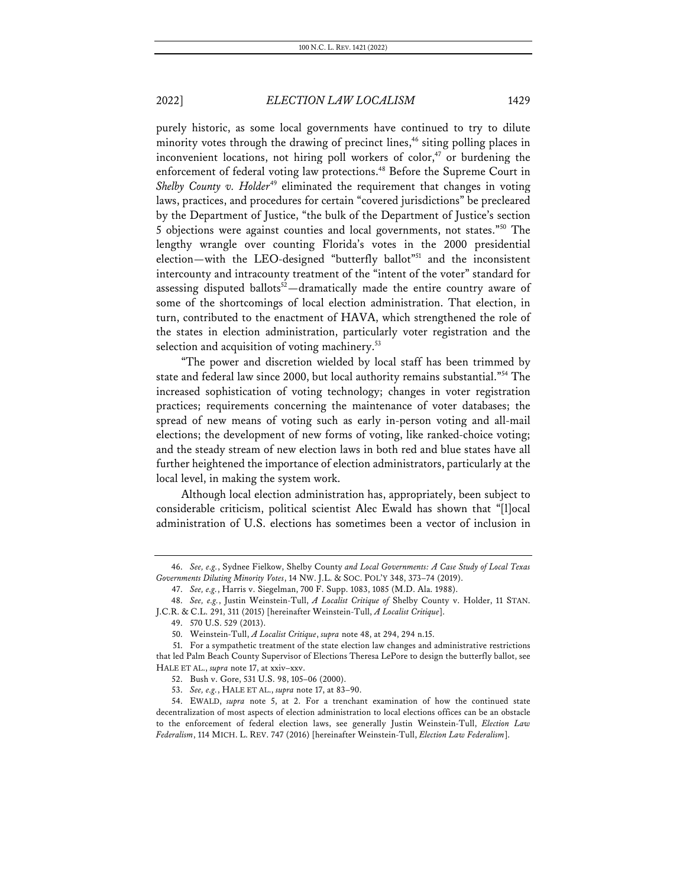purely historic, as some local governments have continued to try to dilute minority votes through the drawing of precinct lines,<sup> $46$ </sup> siting polling places in inconvenient locations, not hiring poll workers of color,<sup>47</sup> or burdening the enforcement of federal voting law protections.<sup>48</sup> Before the Supreme Court in *Shelby County v. Holder*<sup>49</sup> eliminated the requirement that changes in voting laws, practices, and procedures for certain "covered jurisdictions" be precleared by the Department of Justice, "the bulk of the Department of Justice's section 5 objections were against counties and local governments, not states."50 The lengthy wrangle over counting Florida's votes in the 2000 presidential election—with the LEO-designed "butterfly ballot"<sup>51</sup> and the inconsistent intercounty and intracounty treatment of the "intent of the voter" standard for

assessing disputed ballots<sup>52</sup>—dramatically made the entire country aware of some of the shortcomings of local election administration. That election, in turn, contributed to the enactment of HAVA, which strengthened the role of the states in election administration, particularly voter registration and the selection and acquisition of voting machinery.<sup>53</sup>

"The power and discretion wielded by local staff has been trimmed by state and federal law since 2000, but local authority remains substantial."54 The increased sophistication of voting technology; changes in voter registration practices; requirements concerning the maintenance of voter databases; the spread of new means of voting such as early in-person voting and all-mail elections; the development of new forms of voting, like ranked-choice voting; and the steady stream of new election laws in both red and blue states have all further heightened the importance of election administrators, particularly at the local level, in making the system work.

Although local election administration has, appropriately, been subject to considerable criticism, political scientist Alec Ewald has shown that "[l]ocal administration of U.S. elections has sometimes been a vector of inclusion in

<sup>46.</sup> *See, e.g.*, Sydnee Fielkow, Shelby County *and Local Governments: A Case Study of Local Texas Governments Diluting Minority Votes*, 14 NW. J.L. & SOC. POL'Y 348, 373–74 (2019).

<sup>47.</sup> *See, e.g.*, Harris v. Siegelman, 700 F. Supp. 1083, 1085 (M.D. Ala. 1988).

<sup>48.</sup> *See, e.g.*, Justin Weinstein-Tull, *A Localist Critique of* Shelby County v. Holder, 11 STAN. J.C.R. & C.L. 291, 311 (2015) [hereinafter Weinstein-Tull, *A Localist Critique*].

<sup>49.</sup> 570 U.S. 529 (2013).

<sup>50.</sup> Weinstein-Tull, *A Localist Critique*, *supra* note 48, at 294, 294 n.15.

<sup>51.</sup> For a sympathetic treatment of the state election law changes and administrative restrictions that led Palm Beach County Supervisor of Elections Theresa LePore to design the butterfly ballot, see HALE ET AL., *supra* note 17, at xxiv–xxv.

<sup>52.</sup> Bush v. Gore, 531 U.S. 98, 105–06 (2000).

<sup>53.</sup> *See, e.g.*, HALE ET AL., *supra* note 17, at 83–90.

<sup>54.</sup> EWALD, *supra* note 5, at 2. For a trenchant examination of how the continued state decentralization of most aspects of election administration to local elections offices can be an obstacle to the enforcement of federal election laws, see generally Justin Weinstein-Tull, *Election Law Federalism*, 114 MICH. L. REV. 747 (2016) [hereinafter Weinstein-Tull, *Election Law Federalism*].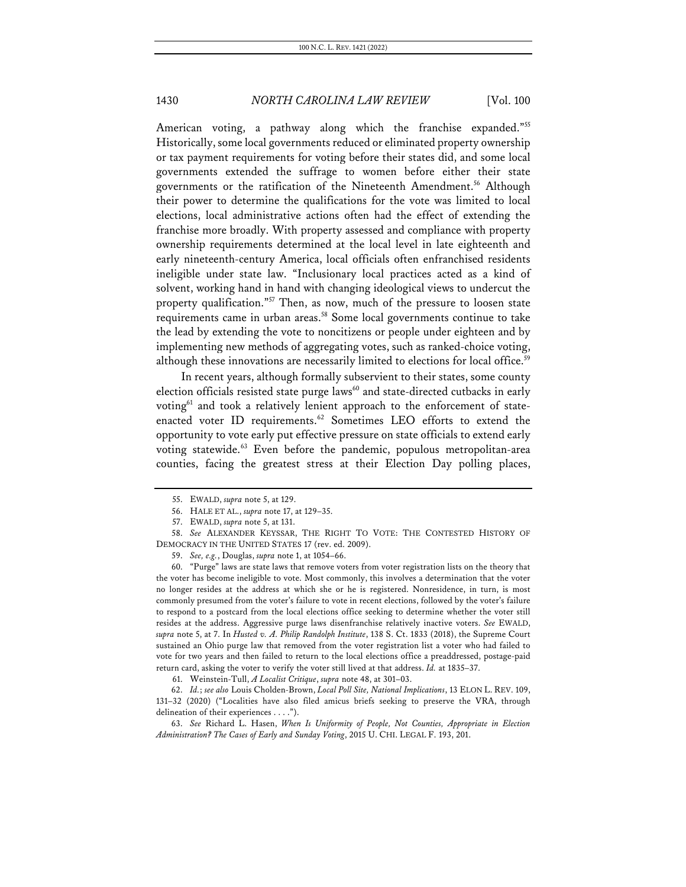American voting, a pathway along which the franchise expanded."<sup>55</sup> Historically, some local governments reduced or eliminated property ownership or tax payment requirements for voting before their states did, and some local governments extended the suffrage to women before either their state governments or the ratification of the Nineteenth Amendment.56 Although their power to determine the qualifications for the vote was limited to local elections, local administrative actions often had the effect of extending the franchise more broadly. With property assessed and compliance with property ownership requirements determined at the local level in late eighteenth and early nineteenth-century America, local officials often enfranchised residents ineligible under state law. "Inclusionary local practices acted as a kind of solvent, working hand in hand with changing ideological views to undercut the property qualification."<sup>57</sup> Then, as now, much of the pressure to loosen state requirements came in urban areas.<sup>58</sup> Some local governments continue to take the lead by extending the vote to noncitizens or people under eighteen and by implementing new methods of aggregating votes, such as ranked-choice voting, although these innovations are necessarily limited to elections for local office.<sup>59</sup>

In recent years, although formally subservient to their states, some county election officials resisted state purge laws<sup>60</sup> and state-directed cutbacks in early voting<sup>61</sup> and took a relatively lenient approach to the enforcement of stateenacted voter ID requirements.<sup>62</sup> Sometimes LEO efforts to extend the opportunity to vote early put effective pressure on state officials to extend early voting statewide.63 Even before the pandemic, populous metropolitan-area counties, facing the greatest stress at their Election Day polling places,

60. "Purge" laws are state laws that remove voters from voter registration lists on the theory that the voter has become ineligible to vote. Most commonly, this involves a determination that the voter no longer resides at the address at which she or he is registered. Nonresidence, in turn, is most commonly presumed from the voter's failure to vote in recent elections, followed by the voter's failure to respond to a postcard from the local elections office seeking to determine whether the voter still resides at the address. Aggressive purge laws disenfranchise relatively inactive voters. *See* EWALD, *supra* note 5, at 7. In *Husted v. A. Philip Randolph Institute*, 138 S. Ct. 1833 (2018), the Supreme Court sustained an Ohio purge law that removed from the voter registration list a voter who had failed to vote for two years and then failed to return to the local elections office a preaddressed, postage-paid return card, asking the voter to verify the voter still lived at that address. *Id.* at 1835–37.

61. Weinstein-Tull, *A Localist Critique*, *supra* note 48, at 301–03.

62. *Id.*; *see also* Louis Cholden-Brown, *Local Poll Site, National Implications*, 13 ELON L. REV. 109, 131–32 (2020) ("Localities have also filed amicus briefs seeking to preserve the VRA, through delineation of their experiences . . . .").

63. *See* Richard L. Hasen, *When Is Uniformity of People, Not Counties, Appropriate in Election Administration? The Cases of Early and Sunday Voting*, 2015 U. CHI. LEGAL F. 193, 201.

<sup>55.</sup> EWALD, *supra* note 5, at 129.

<sup>56.</sup> HALE ET AL., *supra* note 17, at 129–35.

<sup>57.</sup> EWALD, *supra* note 5, at 131.

<sup>58.</sup> *See* ALEXANDER KEYSSAR, THE RIGHT TO VOTE: THE CONTESTED HISTORY OF DEMOCRACY IN THE UNITED STATES 17 (rev. ed. 2009).

<sup>59.</sup> *See, e.g.*, Douglas, *supra* note 1, at 1054–66.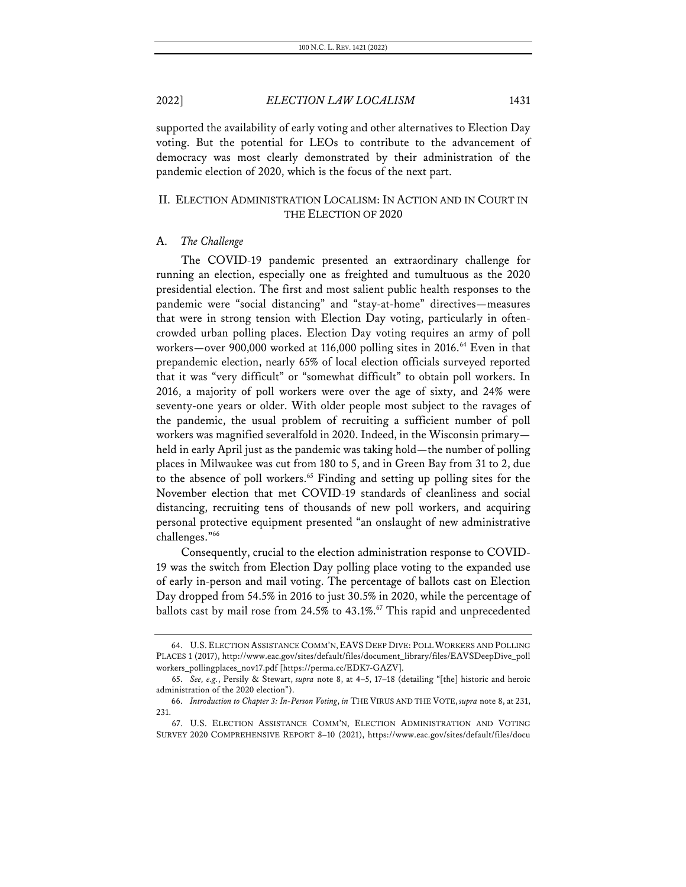supported the availability of early voting and other alternatives to Election Day voting. But the potential for LEOs to contribute to the advancement of democracy was most clearly demonstrated by their administration of the pandemic election of 2020, which is the focus of the next part.

# II. ELECTION ADMINISTRATION LOCALISM: IN ACTION AND IN COURT IN THE ELECTION OF 2020

## A. *The Challenge*

The COVID-19 pandemic presented an extraordinary challenge for running an election, especially one as freighted and tumultuous as the 2020 presidential election. The first and most salient public health responses to the pandemic were "social distancing" and "stay-at-home" directives—measures that were in strong tension with Election Day voting, particularly in oftencrowded urban polling places. Election Day voting requires an army of poll workers—over 900,000 worked at 116,000 polling sites in 2016.<sup>64</sup> Even in that prepandemic election, nearly 65% of local election officials surveyed reported that it was "very difficult" or "somewhat difficult" to obtain poll workers. In 2016, a majority of poll workers were over the age of sixty, and 24% were seventy-one years or older. With older people most subject to the ravages of the pandemic, the usual problem of recruiting a sufficient number of poll workers was magnified severalfold in 2020. Indeed, in the Wisconsin primary held in early April just as the pandemic was taking hold—the number of polling places in Milwaukee was cut from 180 to 5, and in Green Bay from 31 to 2, due to the absence of poll workers. <sup>65</sup> Finding and setting up polling sites for the November election that met COVID-19 standards of cleanliness and social distancing, recruiting tens of thousands of new poll workers, and acquiring personal protective equipment presented "an onslaught of new administrative challenges."66

Consequently, crucial to the election administration response to COVID-19 was the switch from Election Day polling place voting to the expanded use of early in-person and mail voting. The percentage of ballots cast on Election Day dropped from 54.5% in 2016 to just 30.5% in 2020, while the percentage of ballots cast by mail rose from 24.5% to 43.1%.<sup>67</sup> This rapid and unprecedented

<sup>64.</sup> U.S. ELECTION ASSISTANCE COMM'N, EAVS DEEP DIVE: POLL WORKERS AND POLLING PLACES 1 (2017), http://www.eac.gov/sites/default/files/document\_library/files/EAVSDeepDive\_poll workers\_pollingplaces\_nov17.pdf [https://perma.cc/EDK7-GAZV].

<sup>65.</sup> *See, e.g.*, Persily & Stewart, *supra* note 8, at 4–5, 17–18 (detailing "[the] historic and heroic administration of the 2020 election").

<sup>66.</sup> *Introduction to Chapter 3: In-Person Voting*, *in* THE VIRUS AND THE VOTE, *supra* note 8, at 231, 231.

<sup>67.</sup> U.S. ELECTION ASSISTANCE COMM'N, ELECTION ADMINISTRATION AND VOTING SURVEY 2020 COMPREHENSIVE REPORT 8–10 (2021), https://www.eac.gov/sites/default/files/docu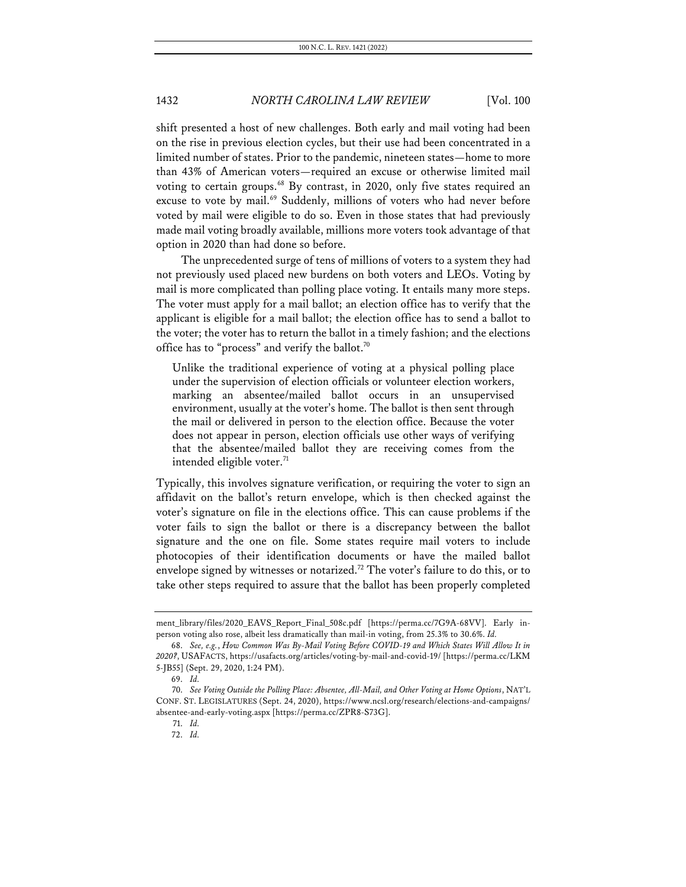shift presented a host of new challenges. Both early and mail voting had been on the rise in previous election cycles, but their use had been concentrated in a limited number of states. Prior to the pandemic, nineteen states—home to more than 43% of American voters—required an excuse or otherwise limited mail voting to certain groups.<sup>68</sup> By contrast, in 2020, only five states required an excuse to vote by mail.<sup>69</sup> Suddenly, millions of voters who had never before voted by mail were eligible to do so. Even in those states that had previously made mail voting broadly available, millions more voters took advantage of that option in 2020 than had done so before.

The unprecedented surge of tens of millions of voters to a system they had not previously used placed new burdens on both voters and LEOs. Voting by mail is more complicated than polling place voting. It entails many more steps. The voter must apply for a mail ballot; an election office has to verify that the applicant is eligible for a mail ballot; the election office has to send a ballot to the voter; the voter has to return the ballot in a timely fashion; and the elections office has to "process" and verify the ballot. $70$ 

Unlike the traditional experience of voting at a physical polling place under the supervision of election officials or volunteer election workers, marking an absentee/mailed ballot occurs in an unsupervised environment, usually at the voter's home. The ballot is then sent through the mail or delivered in person to the election office. Because the voter does not appear in person, election officials use other ways of verifying that the absentee/mailed ballot they are receiving comes from the intended eligible voter.<sup>71</sup>

Typically, this involves signature verification, or requiring the voter to sign an affidavit on the ballot's return envelope, which is then checked against the voter's signature on file in the elections office. This can cause problems if the voter fails to sign the ballot or there is a discrepancy between the ballot signature and the one on file. Some states require mail voters to include photocopies of their identification documents or have the mailed ballot envelope signed by witnesses or notarized.<sup>72</sup> The voter's failure to do this, or to take other steps required to assure that the ballot has been properly completed

ment\_library/files/2020\_EAVS\_Report\_Final\_508c.pdf [https://perma.cc/7G9A-68VV]. Early inperson voting also rose, albeit less dramatically than mail-in voting, from 25.3% to 30.6%. *Id.*

<sup>68.</sup> *See, e.g.*, *How Common Was By-Mail Voting Before COVID-19 and Which States Will Allow It in 2020?*, USAFACTS, https://usafacts.org/articles/voting-by-mail-and-covid-19/ [https://perma.cc/LKM 5-JB55] (Sept. 29, 2020, 1:24 PM).

<sup>69.</sup> *Id.*

<sup>70.</sup> *See Voting Outside the Polling Place: Absentee, All-Mail, and Other Voting at Home Options*, NAT'L CONF. ST. LEGISLATURES (Sept. 24, 2020), https://www.ncsl.org/research/elections-and-campaigns/ absentee-and-early-voting.aspx [https://perma.cc/ZPR8-S73G].

<sup>71.</sup> *Id.*

<sup>72.</sup> *Id.*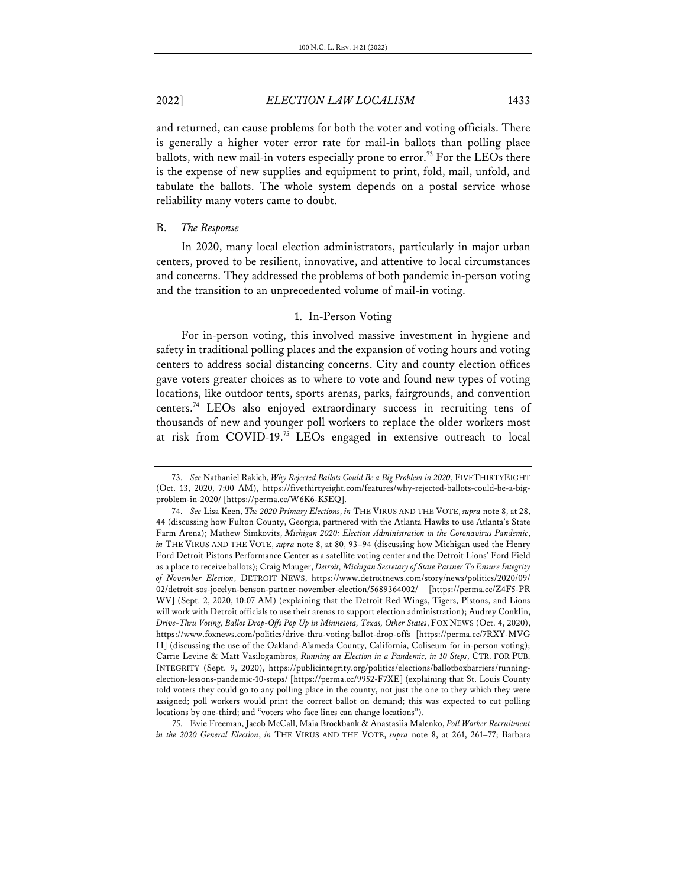and returned, can cause problems for both the voter and voting officials. There is generally a higher voter error rate for mail-in ballots than polling place ballots, with new mail-in voters especially prone to error.<sup>73</sup> For the LEOs there is the expense of new supplies and equipment to print, fold, mail, unfold, and tabulate the ballots. The whole system depends on a postal service whose reliability many voters came to doubt.

## B. *The Response*

In 2020, many local election administrators, particularly in major urban centers, proved to be resilient, innovative, and attentive to local circumstances and concerns. They addressed the problems of both pandemic in-person voting and the transition to an unprecedented volume of mail-in voting.

#### 1. In-Person Voting

For in-person voting, this involved massive investment in hygiene and safety in traditional polling places and the expansion of voting hours and voting centers to address social distancing concerns. City and county election offices gave voters greater choices as to where to vote and found new types of voting locations, like outdoor tents, sports arenas, parks, fairgrounds, and convention centers.74 LEOs also enjoyed extraordinary success in recruiting tens of thousands of new and younger poll workers to replace the older workers most at risk from COVID-19.75 LEOs engaged in extensive outreach to local

75. Evie Freeman, Jacob McCall, Maia Brockbank & Anastasiia Malenko, *Poll Worker Recruitment in the 2020 General Election*, *in* THE VIRUS AND THE VOTE, *supra* note 8, at 261, 261–77; Barbara

<sup>73.</sup> *See* Nathaniel Rakich, *Why Rejected Ballots Could Be a Big Problem in 2020*, FIVETHIRTYEIGHT (Oct. 13, 2020, 7:00 AM), https://fivethirtyeight.com/features/why-rejected-ballots-could-be-a-bigproblem-in-2020/ [https://perma.cc/W6K6-K5EQ].

<sup>74.</sup> *See* Lisa Keen, *The 2020 Primary Elections*, *in* THE VIRUS AND THE VOTE, *supra* note 8, at 28, 44 (discussing how Fulton County, Georgia, partnered with the Atlanta Hawks to use Atlanta's State Farm Arena); Mathew Simkovits, *Michigan 2020: Election Administration in the Coronavirus Pandemic*, *in* THE VIRUS AND THE VOTE, *supra* note 8, at 80, 93–94 (discussing how Michigan used the Henry Ford Detroit Pistons Performance Center as a satellite voting center and the Detroit Lions' Ford Field as a place to receive ballots); Craig Mauger, *Detroit, Michigan Secretary of State Partner To Ensure Integrity of November Election*, DETROIT NEWS, https://www.detroitnews.com/story/news/politics/2020/09/ 02/detroit-sos-jocelyn-benson-partner-november-election/5689364002/ [https://perma.cc/Z4F5-PR WV] (Sept. 2, 2020, 10:07 AM) (explaining that the Detroit Red Wings, Tigers, Pistons, and Lions will work with Detroit officials to use their arenas to support election administration); Audrey Conklin, *Drive-Thru Voting, Ballot Drop-Offs Pop Up in Minnesota, Texas, Other States*, FOX NEWS (Oct. 4, 2020), https://www.foxnews.com/politics/drive-thru-voting-ballot-drop-offs [https://perma.cc/7RXY-MVG H] (discussing the use of the Oakland-Alameda County, California, Coliseum for in-person voting); Carrie Levine & Matt Vasilogambros, *Running an Election in a Pandemic, in 10 Steps*, CTR. FOR PUB. INTEGRITY (Sept. 9, 2020), https://publicintegrity.org/politics/elections/ballotboxbarriers/runningelection-lessons-pandemic-10-steps/ [https://perma.cc/9952-F7XE] (explaining that St. Louis County told voters they could go to any polling place in the county, not just the one to they which they were assigned; poll workers would print the correct ballot on demand; this was expected to cut polling locations by one-third; and "voters who face lines can change locations").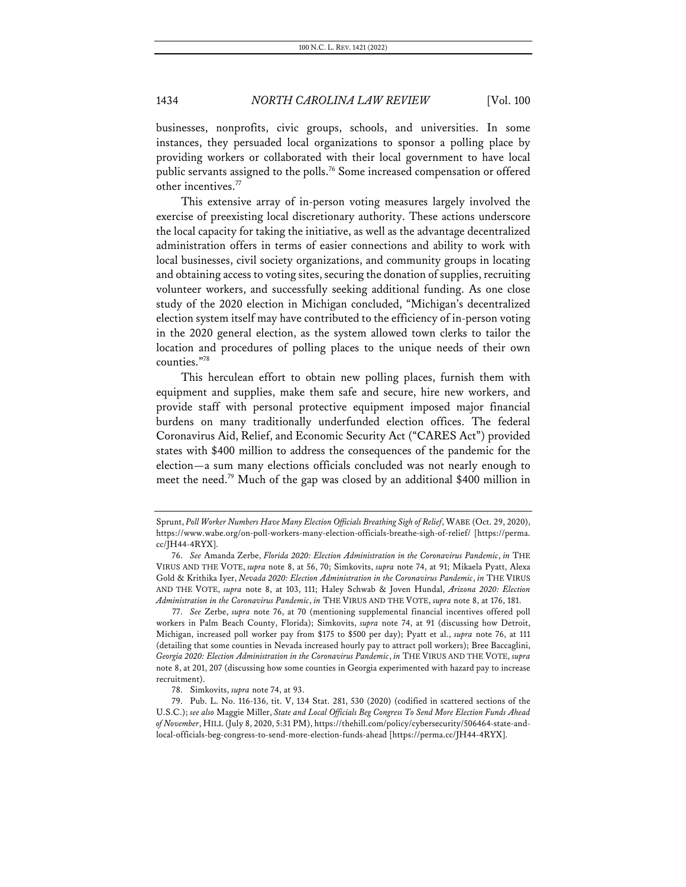businesses, nonprofits, civic groups, schools, and universities. In some instances, they persuaded local organizations to sponsor a polling place by providing workers or collaborated with their local government to have local public servants assigned to the polls.<sup>76</sup> Some increased compensation or offered other incentives.<sup>77</sup>

This extensive array of in-person voting measures largely involved the exercise of preexisting local discretionary authority. These actions underscore the local capacity for taking the initiative, as well as the advantage decentralized administration offers in terms of easier connections and ability to work with local businesses, civil society organizations, and community groups in locating and obtaining access to voting sites, securing the donation of supplies, recruiting volunteer workers, and successfully seeking additional funding. As one close study of the 2020 election in Michigan concluded, "Michigan's decentralized election system itself may have contributed to the efficiency of in-person voting in the 2020 general election, as the system allowed town clerks to tailor the location and procedures of polling places to the unique needs of their own counties."78

This herculean effort to obtain new polling places, furnish them with equipment and supplies, make them safe and secure, hire new workers, and provide staff with personal protective equipment imposed major financial burdens on many traditionally underfunded election offices. The federal Coronavirus Aid, Relief, and Economic Security Act ("CARES Act") provided states with \$400 million to address the consequences of the pandemic for the election—a sum many elections officials concluded was not nearly enough to meet the need.79 Much of the gap was closed by an additional \$400 million in

Sprunt, *Poll Worker Numbers Have Many Election Officials Breathing Sigh of Relief*, WABE (Oct. 29, 2020), https://www.wabe.org/on-poll-workers-many-election-officials-breathe-sigh-of-relief/ [https://perma. cc/JH44-4RYX].

<sup>76.</sup> *See* Amanda Zerbe, *Florida 2020: Election Administration in the Coronavirus Pandemic*, *in* THE VIRUS AND THE VOTE, *supra* note 8, at 56, 70; Simkovits, *supra* note 74, at 91; Mikaela Pyatt, Alexa Gold & Krithika Iyer, *Nevada 2020: Election Administration in the Coronavirus Pandemic*, *in* THE VIRUS AND THE VOTE, *supra* note 8, at 103, 111; Haley Schwab & Joven Hundal, *Arizona 2020: Election Administration in the Coronavirus Pandemic*, *in* THE VIRUS AND THE VOTE, *supra* note 8, at 176, 181.

<sup>77.</sup> *See* Zerbe, *supra* note 76, at 70 (mentioning supplemental financial incentives offered poll workers in Palm Beach County, Florida); Simkovits, *supra* note 74, at 91 (discussing how Detroit, Michigan, increased poll worker pay from \$175 to \$500 per day); Pyatt et al., *supra* note 76, at 111 (detailing that some counties in Nevada increased hourly pay to attract poll workers); Bree Baccaglini, *Georgia 2020: Election Administration in the Coronavirus Pandemic*, *in* THE VIRUS AND THE VOTE, *supra* note 8, at 201, 207 (discussing how some counties in Georgia experimented with hazard pay to increase recruitment).

<sup>78.</sup> Simkovits, *supra* note 74, at 93.

<sup>79.</sup> Pub. L. No. 116-136, tit. V, 134 Stat. 281, 530 (2020) (codified in scattered sections of the U.S.C.); *see also* Maggie Miller, *State and Local Officials Beg Congress To Send More Election Funds Ahead of November*, HILL (July 8, 2020, 5:31 PM), https://thehill.com/policy/cybersecurity/506464-state-andlocal-officials-beg-congress-to-send-more-election-funds-ahead [https://perma.cc/JH44-4RYX].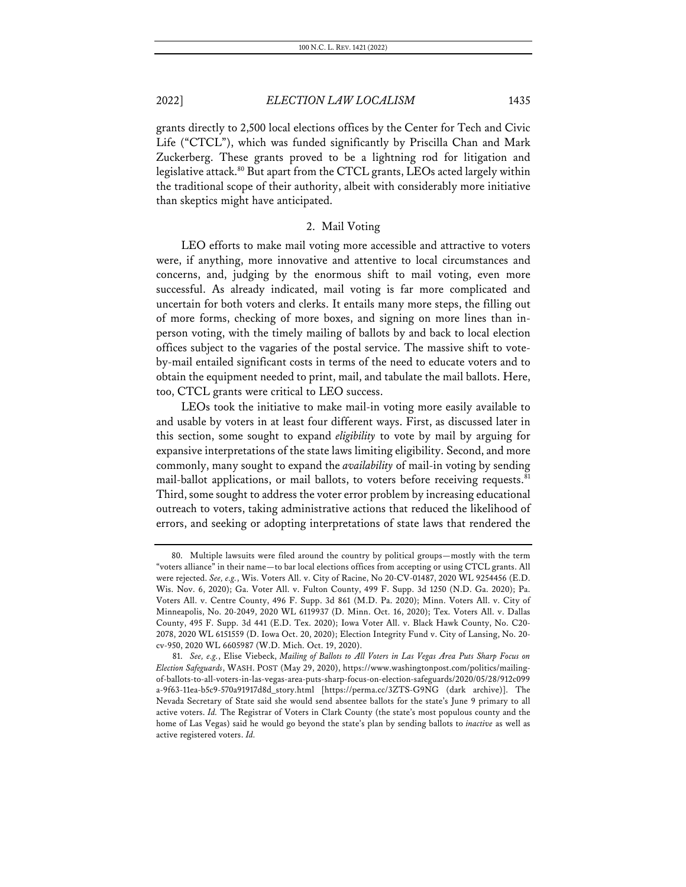grants directly to 2,500 local elections offices by the Center for Tech and Civic Life ("CTCL"), which was funded significantly by Priscilla Chan and Mark Zuckerberg. These grants proved to be a lightning rod for litigation and legislative attack.<sup>80</sup> But apart from the CTCL grants, LEOs acted largely within the traditional scope of their authority, albeit with considerably more initiative than skeptics might have anticipated.

## 2. Mail Voting

LEO efforts to make mail voting more accessible and attractive to voters were, if anything, more innovative and attentive to local circumstances and concerns, and, judging by the enormous shift to mail voting, even more successful. As already indicated, mail voting is far more complicated and uncertain for both voters and clerks. It entails many more steps, the filling out of more forms, checking of more boxes, and signing on more lines than inperson voting, with the timely mailing of ballots by and back to local election offices subject to the vagaries of the postal service. The massive shift to voteby-mail entailed significant costs in terms of the need to educate voters and to obtain the equipment needed to print, mail, and tabulate the mail ballots. Here, too, CTCL grants were critical to LEO success.

LEOs took the initiative to make mail-in voting more easily available to and usable by voters in at least four different ways. First, as discussed later in this section, some sought to expand *eligibility* to vote by mail by arguing for expansive interpretations of the state laws limiting eligibility. Second, and more commonly, many sought to expand the *availability* of mail-in voting by sending mail-ballot applications, or mail ballots, to voters before receiving requests.<sup>81</sup> Third, some sought to address the voter error problem by increasing educational outreach to voters, taking administrative actions that reduced the likelihood of errors, and seeking or adopting interpretations of state laws that rendered the

<sup>80.</sup> Multiple lawsuits were filed around the country by political groups—mostly with the term "voters alliance" in their name—to bar local elections offices from accepting or using CTCL grants. All were rejected. *See, e.g.*, Wis. Voters All. v. City of Racine, No 20-CV-01487, 2020 WL 9254456 (E.D. Wis. Nov. 6, 2020); Ga. Voter All. v. Fulton County, 499 F. Supp. 3d 1250 (N.D. Ga. 2020); Pa. Voters All. v. Centre County, 496 F. Supp. 3d 861 (M.D. Pa. 2020); Minn. Voters All. v. City of Minneapolis, No. 20-2049, 2020 WL 6119937 (D. Minn. Oct. 16, 2020); Tex. Voters All. v. Dallas County, 495 F. Supp. 3d 441 (E.D. Tex. 2020); Iowa Voter All. v. Black Hawk County, No. C20- 2078, 2020 WL 6151559 (D. Iowa Oct. 20, 2020); Election Integrity Fund v. City of Lansing, No. 20 cv-950, 2020 WL 6605987 (W.D. Mich. Oct. 19, 2020).

<sup>81.</sup> *See, e.g.*, Elise Viebeck, *Mailing of Ballots to All Voters in Las Vegas Area Puts Sharp Focus on Election Safeguards*, WASH. POST (May 29, 2020), https://www.washingtonpost.com/politics/mailingof-ballots-to-all-voters-in-las-vegas-area-puts-sharp-focus-on-election-safeguards/2020/05/28/912c099 a-9f63-11ea-b5c9-570a91917d8d\_story.html [https://perma.cc/3ZTS-G9NG (dark archive)]. The Nevada Secretary of State said she would send absentee ballots for the state's June 9 primary to all active voters. *Id.* The Registrar of Voters in Clark County (the state's most populous county and the home of Las Vegas) said he would go beyond the state's plan by sending ballots to *inactive* as well as active registered voters. *Id.*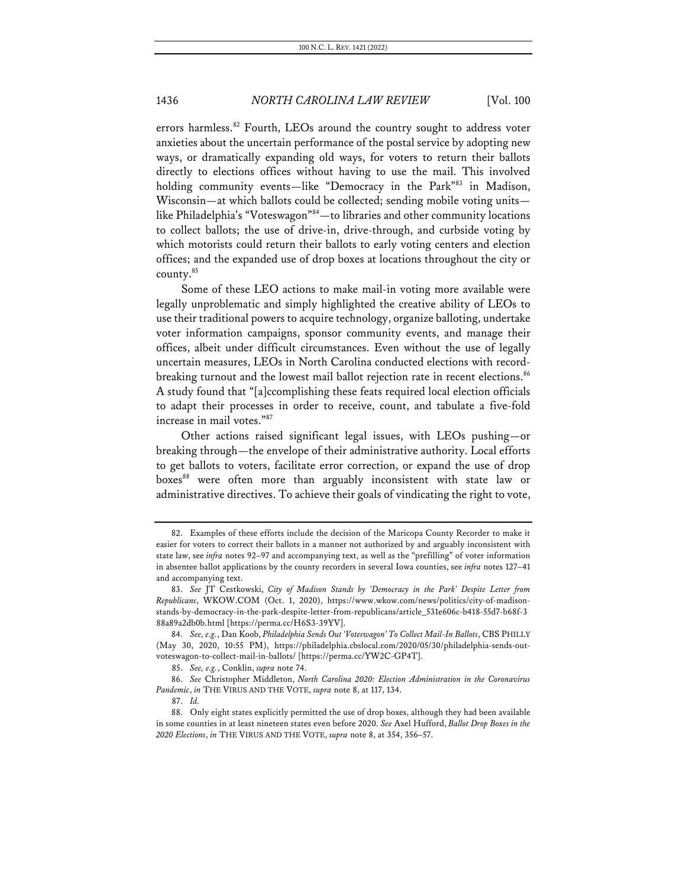errors harmless.<sup>82</sup> Fourth, LEOs around the country sought to address voter anxieties about the uncertain performance of the postal service by adopting new ways, or dramatically expanding old ways, for voters to return their ballots directly to elections offices without having to use the mail. This involved holding community events—like "Democracy in the Park"<sup>83</sup> in Madison, Wisconsin—at which ballots could be collected; sending mobile voting units like Philadelphia's "Voteswagon"84-to libraries and other community locations to collect ballots; the use of drive-in, drive-through, and curbside voting by which motorists could return their ballots to early voting centers and election offices; and the expanded use of drop boxes at locations throughout the city or county.85

Some of these LEO actions to make mail-in voting more available were legally unproblematic and simply highlighted the creative ability of LEOs to use their traditional powers to acquire technology, organize balloting, undertake voter information campaigns, sponsor community events, and manage their offices, albeit under difficult circumstances. Even without the use of legally uncertain measures, LEOs in North Carolina conducted elections with recordbreaking turnout and the lowest mail ballot rejection rate in recent elections.<sup>86</sup> A study found that "[a]ccomplishing these feats required local election officials to adapt their processes in order to receive, count, and tabulate a five-fold increase in mail votes."87

Other actions raised significant legal issues, with LEOs pushing—or breaking through—the envelope of their administrative authority. Local efforts to get ballots to voters, facilitate error correction, or expand the use of drop boxes<sup>88</sup> were often more than arguably inconsistent with state law or administrative directives. To achieve their goals of vindicating the right to vote,

<sup>82.</sup> Examples of these efforts include the decision of the Maricopa County Recorder to make it easier for voters to correct their ballots in a manner not authorized by and arguably inconsistent with state law, see *infra* notes 92–97 and accompanying text, as well as the "prefilling" of voter information in absentee ballot applications by the county recorders in several Iowa counties, see *infra* notes 127–41 and accompanying text.

<sup>83.</sup> *See* JT Cestkowski, *City of Madison Stands by 'Democracy in the Park' Despite Letter from Republicans*, WKOW.COM (Oct. 1, 2020), https://www.wkow.com/news/politics/city-of-madisonstands-by-democracy-in-the-park-despite-letter-from-republicans/article\_531e606c-b418-55d7-b68f-3 88a89a2db0b.html [https://perma.cc/H6S3-39YV].

<sup>84.</sup> *See, e.g.*, Dan Koob, *Philadelphia Sends Out 'Voteswagon' To Collect Mail-In Ballots*, CBS PHILLY (May 30, 2020, 10:55 PM), https://philadelphia.cbslocal.com/2020/05/30/philadelphia-sends-outvoteswagon-to-collect-mail-in-ballots/ [https://perma.cc/YW2C-GP4T].

<sup>85.</sup> *See, e.g.*, Conklin, *supra* note 74.

<sup>86.</sup> *See* Christopher Middleton, *North Carolina 2020: Election Administration in the Coronavirus Pandemic*, *in* THE VIRUS AND THE VOTE, *supra* note 8, at 117, 134.

<sup>87.</sup> *Id.*

<sup>88.</sup> Only eight states explicitly permitted the use of drop boxes, although they had been available in some counties in at least nineteen states even before 2020. *See* Axel Hufford, *Ballot Drop Boxes in the 2020 Elections*, *in* THE VIRUS AND THE VOTE, *supra* note 8, at 354, 356–57.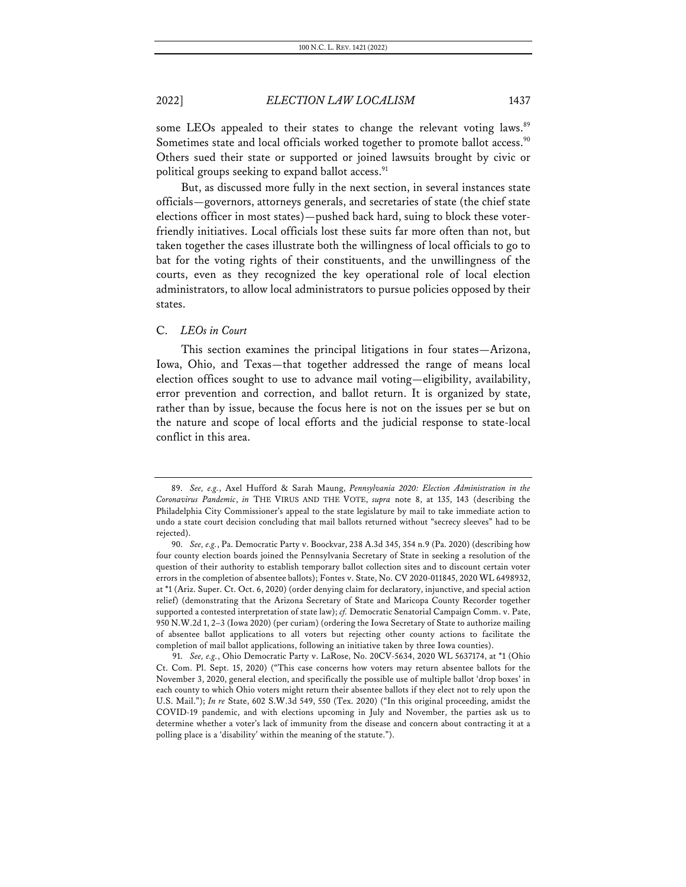some LEOs appealed to their states to change the relevant voting laws.<sup>89</sup> Sometimes state and local officials worked together to promote ballot access.<sup>90</sup> Others sued their state or supported or joined lawsuits brought by civic or political groups seeking to expand ballot access.<sup>91</sup>

But, as discussed more fully in the next section, in several instances state officials—governors, attorneys generals, and secretaries of state (the chief state elections officer in most states)—pushed back hard, suing to block these voterfriendly initiatives. Local officials lost these suits far more often than not, but taken together the cases illustrate both the willingness of local officials to go to bat for the voting rights of their constituents, and the unwillingness of the courts, even as they recognized the key operational role of local election administrators, to allow local administrators to pursue policies opposed by their states.

#### C. *LEOs in Court*

This section examines the principal litigations in four states—Arizona, Iowa, Ohio, and Texas—that together addressed the range of means local election offices sought to use to advance mail voting—eligibility, availability, error prevention and correction, and ballot return. It is organized by state, rather than by issue, because the focus here is not on the issues per se but on the nature and scope of local efforts and the judicial response to state-local conflict in this area.

<sup>89.</sup> *See, e.g.*, Axel Hufford & Sarah Maung, *Pennsylvania 2020: Election Administration in the Coronavirus Pandemic*, *in* THE VIRUS AND THE VOTE, *supra* note 8, at 135, 143 (describing the Philadelphia City Commissioner's appeal to the state legislature by mail to take immediate action to undo a state court decision concluding that mail ballots returned without "secrecy sleeves" had to be rejected).

<sup>90.</sup> *See, e.g.*, Pa. Democratic Party v. Boockvar, 238 A.3d 345, 354 n.9 (Pa. 2020) (describing how four county election boards joined the Pennsylvania Secretary of State in seeking a resolution of the question of their authority to establish temporary ballot collection sites and to discount certain voter errors in the completion of absentee ballots); Fontes v. State, No. CV 2020-011845, 2020 WL 6498932, at \*1 (Ariz. Super. Ct. Oct. 6, 2020) (order denying claim for declaratory, injunctive, and special action relief) (demonstrating that the Arizona Secretary of State and Maricopa County Recorder together supported a contested interpretation of state law); *cf.* Democratic Senatorial Campaign Comm. v. Pate, 950 N.W.2d 1, 2–3 (Iowa 2020) (per curiam) (ordering the Iowa Secretary of State to authorize mailing of absentee ballot applications to all voters but rejecting other county actions to facilitate the completion of mail ballot applications, following an initiative taken by three Iowa counties).

<sup>91.</sup> *See, e.g.*, Ohio Democratic Party v. LaRose, No. 20CV-5634, 2020 WL 5637174, at \*1 (Ohio Ct. Com. Pl. Sept. 15, 2020) ("This case concerns how voters may return absentee ballots for the November 3, 2020, general election, and specifically the possible use of multiple ballot 'drop boxes' in each county to which Ohio voters might return their absentee ballots if they elect not to rely upon the U.S. Mail."); *In re* State, 602 S.W.3d 549, 550 (Tex. 2020) ("In this original proceeding, amidst the COVID-19 pandemic, and with elections upcoming in July and November, the parties ask us to determine whether a voter's lack of immunity from the disease and concern about contracting it at a polling place is a 'disability' within the meaning of the statute.").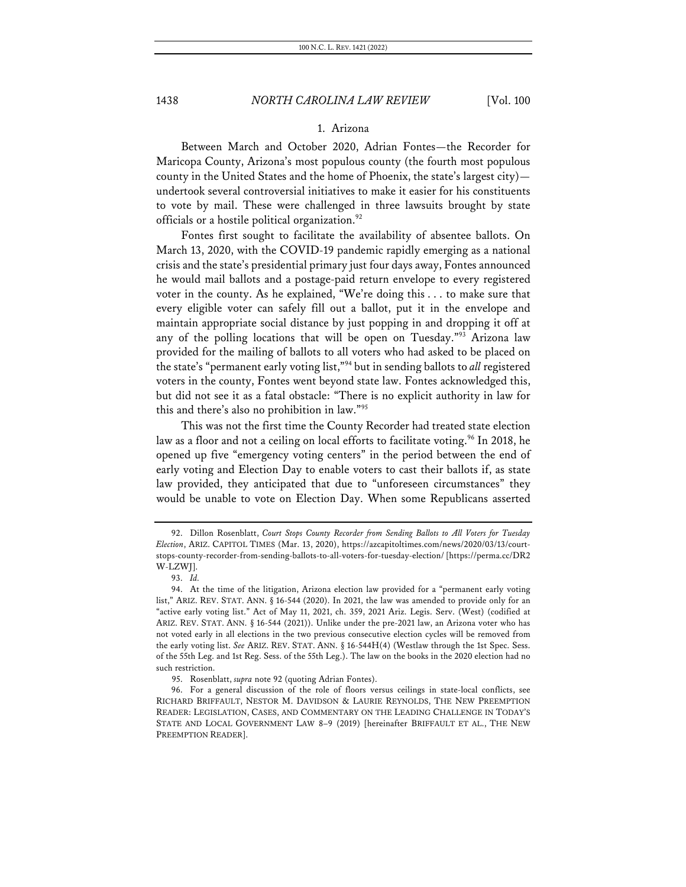## 1. Arizona

Between March and October 2020, Adrian Fontes—the Recorder for Maricopa County, Arizona's most populous county (the fourth most populous county in the United States and the home of Phoenix, the state's largest city) undertook several controversial initiatives to make it easier for his constituents to vote by mail. These were challenged in three lawsuits brought by state officials or a hostile political organization.<sup>92</sup>

Fontes first sought to facilitate the availability of absentee ballots. On March 13, 2020, with the COVID-19 pandemic rapidly emerging as a national crisis and the state's presidential primary just four days away, Fontes announced he would mail ballots and a postage-paid return envelope to every registered voter in the county. As he explained, "We're doing this . . . to make sure that every eligible voter can safely fill out a ballot, put it in the envelope and maintain appropriate social distance by just popping in and dropping it off at any of the polling locations that will be open on Tuesday."93 Arizona law provided for the mailing of ballots to all voters who had asked to be placed on the state's "permanent early voting list,"94 but in sending ballots to *all* registered voters in the county, Fontes went beyond state law. Fontes acknowledged this, but did not see it as a fatal obstacle: "There is no explicit authority in law for this and there's also no prohibition in law."95

This was not the first time the County Recorder had treated state election law as a floor and not a ceiling on local efforts to facilitate voting.<sup>96</sup> In 2018, he opened up five "emergency voting centers" in the period between the end of early voting and Election Day to enable voters to cast their ballots if, as state law provided, they anticipated that due to "unforeseen circumstances" they would be unable to vote on Election Day. When some Republicans asserted

<sup>92.</sup> Dillon Rosenblatt, *Court Stops County Recorder from Sending Ballots to All Voters for Tuesday Election*, ARIZ. CAPITOL TIMES (Mar. 13, 2020), https://azcapitoltimes.com/news/2020/03/13/courtstops-county-recorder-from-sending-ballots-to-all-voters-for-tuesday-election/ [https://perma.cc/DR2 W-LZWJ].

<sup>93.</sup> *Id.*

<sup>94.</sup> At the time of the litigation, Arizona election law provided for a "permanent early voting list," ARIZ. REV. STAT. ANN. § 16-544 (2020). In 2021, the law was amended to provide only for an "active early voting list." Act of May 11, 2021, ch. 359, 2021 Ariz. Legis. Serv. (West) (codified at ARIZ. REV. STAT. ANN. § 16-544 (2021)). Unlike under the pre-2021 law, an Arizona voter who has not voted early in all elections in the two previous consecutive election cycles will be removed from the early voting list. *See* ARIZ. REV. STAT. ANN. § 16-544H(4) (Westlaw through the 1st Spec. Sess. of the 55th Leg. and 1st Reg. Sess. of the 55th Leg.). The law on the books in the 2020 election had no such restriction.

<sup>95.</sup> Rosenblatt, *supra* note 92 (quoting Adrian Fontes).

<sup>96.</sup> For a general discussion of the role of floors versus ceilings in state-local conflicts, see RICHARD BRIFFAULT, NESTOR M. DAVIDSON & LAURIE REYNOLDS, THE NEW PREEMPTION READER: LEGISLATION, CASES, AND COMMENTARY ON THE LEADING CHALLENGE IN TODAY'S STATE AND LOCAL GOVERNMENT LAW 8–9 (2019) [hereinafter BRIFFAULT ET AL., THE NEW PREEMPTION READER].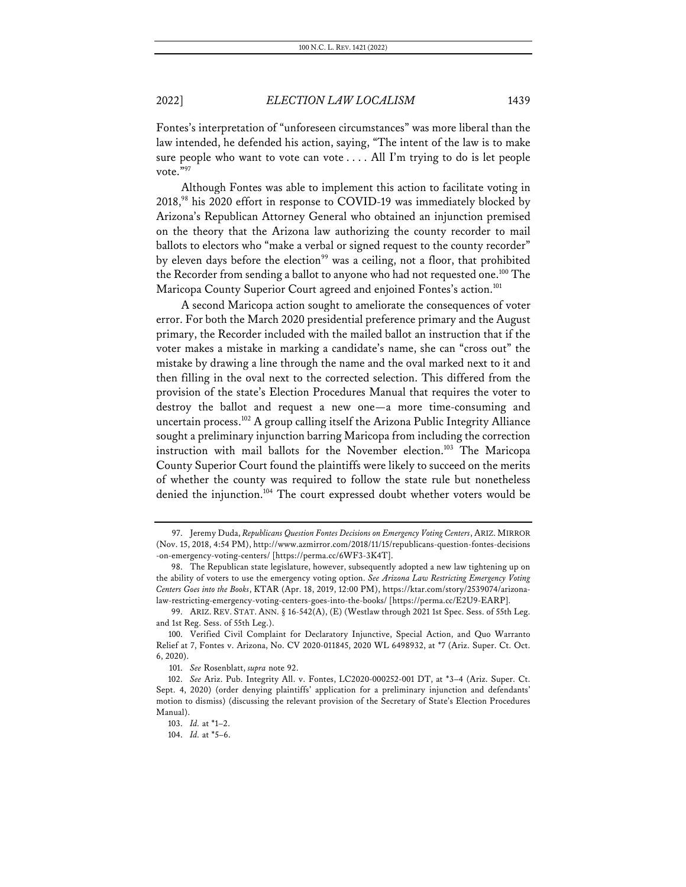Fontes's interpretation of "unforeseen circumstances" was more liberal than the law intended, he defended his action, saying, "The intent of the law is to make sure people who want to vote can vote . . . . All I'm trying to do is let people vote."97

Although Fontes was able to implement this action to facilitate voting in 2018,<sup>98</sup> his 2020 effort in response to COVID-19 was immediately blocked by Arizona's Republican Attorney General who obtained an injunction premised on the theory that the Arizona law authorizing the county recorder to mail ballots to electors who "make a verbal or signed request to the county recorder" by eleven days before the election<sup>99</sup> was a ceiling, not a floor, that prohibited the Recorder from sending a ballot to anyone who had not requested one.<sup>100</sup> The Maricopa County Superior Court agreed and enjoined Fontes's action.<sup>101</sup>

A second Maricopa action sought to ameliorate the consequences of voter error. For both the March 2020 presidential preference primary and the August primary, the Recorder included with the mailed ballot an instruction that if the voter makes a mistake in marking a candidate's name, she can "cross out" the mistake by drawing a line through the name and the oval marked next to it and then filling in the oval next to the corrected selection. This differed from the provision of the state's Election Procedures Manual that requires the voter to destroy the ballot and request a new one—a more time-consuming and uncertain process.<sup>102</sup> A group calling itself the Arizona Public Integrity Alliance sought a preliminary injunction barring Maricopa from including the correction instruction with mail ballots for the November election.<sup>103</sup> The Maricopa County Superior Court found the plaintiffs were likely to succeed on the merits of whether the county was required to follow the state rule but nonetheless denied the injunction.<sup>104</sup> The court expressed doubt whether voters would be

<sup>97.</sup> Jeremy Duda, *Republicans Question Fontes Decisions on Emergency Voting Centers*, ARIZ. MIRROR (Nov. 15, 2018, 4:54 PM), http://www.azmirror.com/2018/11/15/republicans-question-fontes-decisions -on-emergency-voting-centers/ [https://perma.cc/6WF3-3K4T].

<sup>98.</sup> The Republican state legislature, however, subsequently adopted a new law tightening up on the ability of voters to use the emergency voting option. *See Arizona Law Restricting Emergency Voting Centers Goes into the Books*, KTAR (Apr. 18, 2019, 12:00 PM), https://ktar.com/story/2539074/arizonalaw-restricting-emergency-voting-centers-goes-into-the-books/ [https://perma.cc/E2U9-EARP].

<sup>99.</sup> ARIZ. REV. STAT. ANN. § 16-542(A), (E) (Westlaw through 2021 1st Spec. Sess. of 55th Leg. and 1st Reg. Sess. of 55th Leg.).

<sup>100.</sup> Verified Civil Complaint for Declaratory Injunctive, Special Action, and Quo Warranto Relief at 7, Fontes v. Arizona, No. CV 2020-011845, 2020 WL 6498932, at \*7 (Ariz. Super. Ct. Oct. 6, 2020).

<sup>101.</sup> *See* Rosenblatt, *supra* note 92.

<sup>102.</sup> *See* Ariz. Pub. Integrity All. v. Fontes, LC2020-000252-001 DT, at \*3–4 (Ariz. Super. Ct. Sept. 4, 2020) (order denying plaintiffs' application for a preliminary injunction and defendants' motion to dismiss) (discussing the relevant provision of the Secretary of State's Election Procedures Manual).

<sup>103.</sup> *Id.* at \*1–2.

<sup>104.</sup> *Id.* at \*5–6.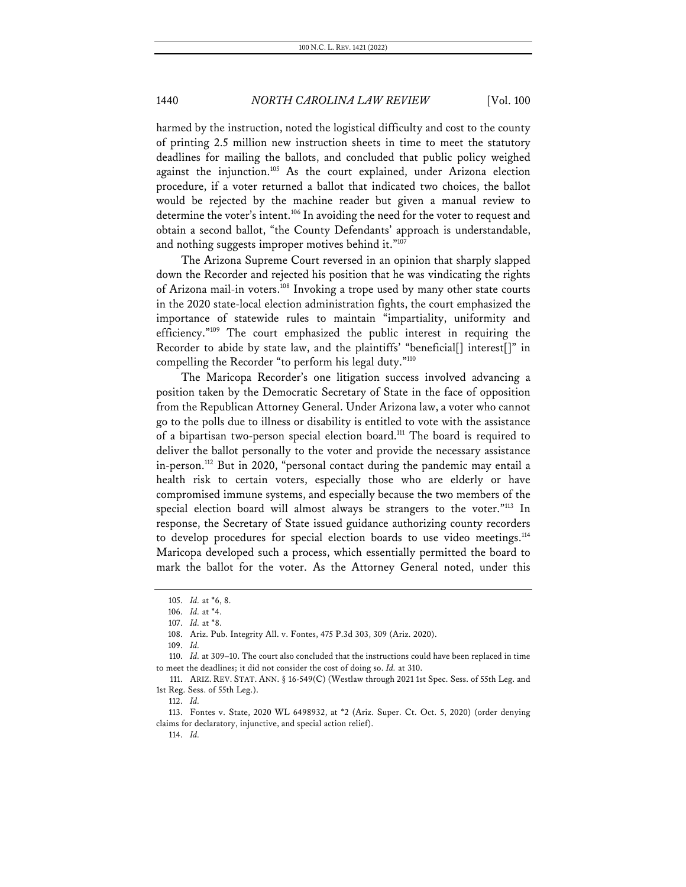harmed by the instruction, noted the logistical difficulty and cost to the county of printing 2.5 million new instruction sheets in time to meet the statutory deadlines for mailing the ballots, and concluded that public policy weighed against the injunction.<sup>105</sup> As the court explained, under Arizona election procedure, if a voter returned a ballot that indicated two choices, the ballot would be rejected by the machine reader but given a manual review to determine the voter's intent.<sup>106</sup> In avoiding the need for the voter to request and obtain a second ballot, "the County Defendants' approach is understandable, and nothing suggests improper motives behind it."107

The Arizona Supreme Court reversed in an opinion that sharply slapped down the Recorder and rejected his position that he was vindicating the rights of Arizona mail-in voters.<sup>108</sup> Invoking a trope used by many other state courts in the 2020 state-local election administration fights, the court emphasized the importance of statewide rules to maintain "impartiality, uniformity and efficiency."109 The court emphasized the public interest in requiring the Recorder to abide by state law, and the plaintiffs' "beneficial[] interest[]" in compelling the Recorder "to perform his legal duty."110

The Maricopa Recorder's one litigation success involved advancing a position taken by the Democratic Secretary of State in the face of opposition from the Republican Attorney General. Under Arizona law, a voter who cannot go to the polls due to illness or disability is entitled to vote with the assistance of a bipartisan two-person special election board.<sup>111</sup> The board is required to deliver the ballot personally to the voter and provide the necessary assistance in-person.<sup>112</sup> But in 2020, "personal contact during the pandemic may entail a health risk to certain voters, especially those who are elderly or have compromised immune systems, and especially because the two members of the special election board will almost always be strangers to the voter."<sup>113</sup> In response, the Secretary of State issued guidance authorizing county recorders to develop procedures for special election boards to use video meetings.<sup>114</sup> Maricopa developed such a process, which essentially permitted the board to mark the ballot for the voter. As the Attorney General noted, under this

<sup>105.</sup> *Id.* at \*6, 8.

<sup>106.</sup> *Id.* at \*4.

<sup>107.</sup> *Id.* at \*8.

<sup>108.</sup> Ariz. Pub. Integrity All. v. Fontes, 475 P.3d 303, 309 (Ariz. 2020).

<sup>109.</sup> *Id.*

<sup>110.</sup> *Id.* at 309–10. The court also concluded that the instructions could have been replaced in time to meet the deadlines; it did not consider the cost of doing so. *Id.* at 310.

<sup>111.</sup> ARIZ. REV. STAT. ANN. § 16-549(C) (Westlaw through 2021 1st Spec. Sess. of 55th Leg. and 1st Reg. Sess. of 55th Leg.).

<sup>112.</sup> *Id.*

<sup>113.</sup> Fontes v. State, 2020 WL 6498932, at \*2 (Ariz. Super. Ct. Oct. 5, 2020) (order denying claims for declaratory, injunctive, and special action relief).

<sup>114.</sup> *Id.*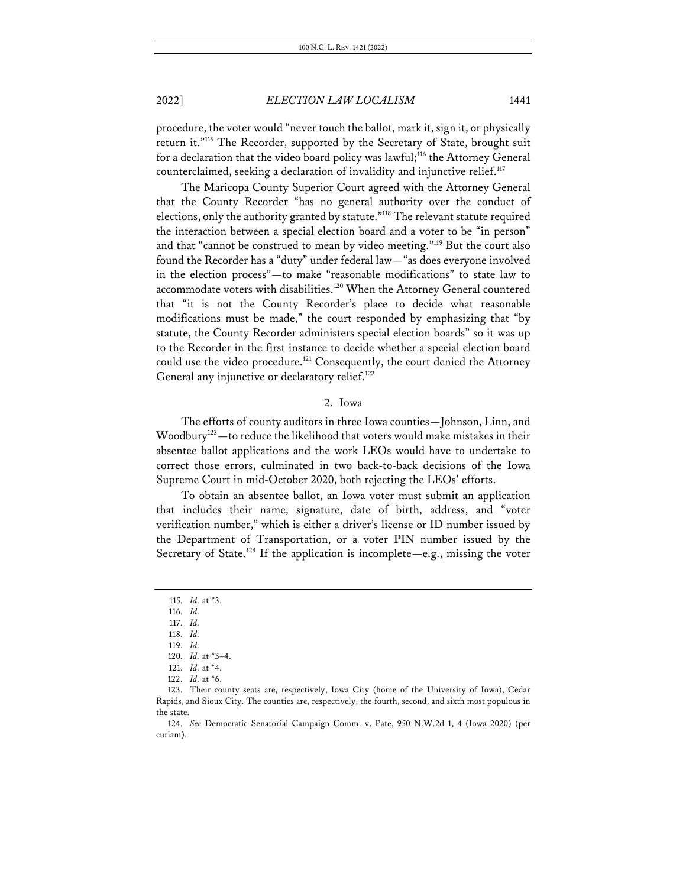procedure, the voter would "never touch the ballot, mark it, sign it, or physically return it."115 The Recorder, supported by the Secretary of State, brought suit for a declaration that the video board policy was lawful;<sup>116</sup> the Attorney General counterclaimed, seeking a declaration of invalidity and injunctive relief.<sup>117</sup>

The Maricopa County Superior Court agreed with the Attorney General that the County Recorder "has no general authority over the conduct of elections, only the authority granted by statute."118 The relevant statute required the interaction between a special election board and a voter to be "in person" and that "cannot be construed to mean by video meeting."119 But the court also found the Recorder has a "duty" under federal law—"as does everyone involved in the election process"—to make "reasonable modifications" to state law to accommodate voters with disabilities.<sup>120</sup> When the Attorney General countered that "it is not the County Recorder's place to decide what reasonable modifications must be made," the court responded by emphasizing that "by statute, the County Recorder administers special election boards" so it was up to the Recorder in the first instance to decide whether a special election board could use the video procedure.<sup>121</sup> Consequently, the court denied the Attorney General any injunctive or declaratory relief.<sup>122</sup>

#### 2. Iowa

The efforts of county auditors in three Iowa counties—Johnson, Linn, and Woodbury<sup>123</sup>—to reduce the likelihood that voters would make mistakes in their absentee ballot applications and the work LEOs would have to undertake to correct those errors, culminated in two back-to-back decisions of the Iowa Supreme Court in mid-October 2020, both rejecting the LEOs' efforts.

To obtain an absentee ballot, an Iowa voter must submit an application that includes their name, signature, date of birth, address, and "voter verification number," which is either a driver's license or ID number issued by the Department of Transportation, or a voter PIN number issued by the Secretary of State.<sup>124</sup> If the application is incomplete—e.g., missing the voter

<sup>115.</sup> *Id.* at \*3.

<sup>116.</sup> *Id.*

<sup>117.</sup> *Id.*

<sup>118.</sup> *Id.*

<sup>119.</sup> *Id.*

<sup>120.</sup> *Id.* at \*3–4. 121. *Id.* at \*4.

<sup>122.</sup> *Id.* at \*6.

<sup>123.</sup> Their county seats are, respectively, Iowa City (home of the University of Iowa), Cedar Rapids, and Sioux City. The counties are, respectively, the fourth, second, and sixth most populous in the state.

<sup>124.</sup> *See* Democratic Senatorial Campaign Comm. v. Pate, 950 N.W.2d 1, 4 (Iowa 2020) (per curiam).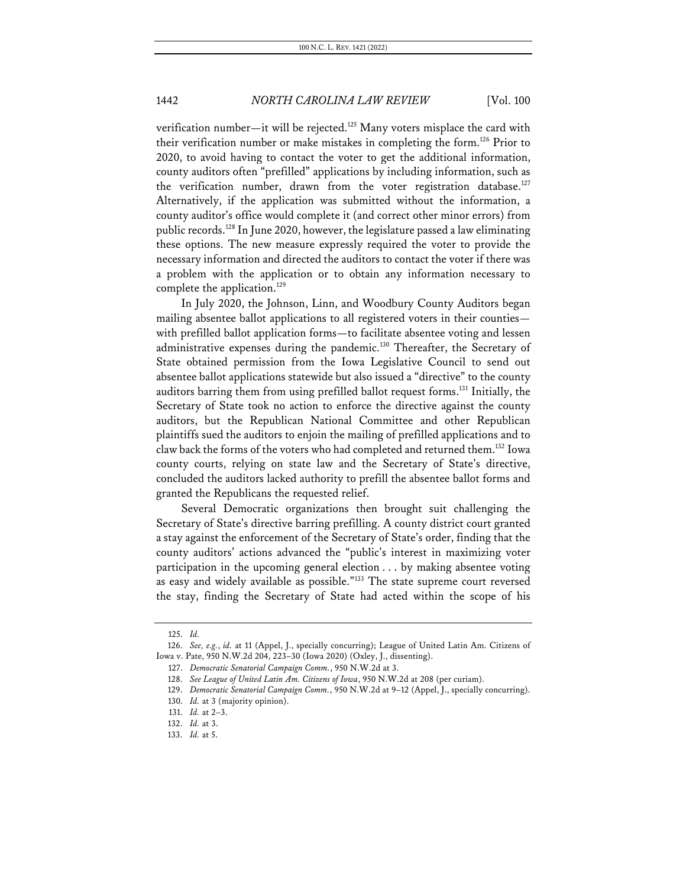verification number—it will be rejected.<sup>125</sup> Many voters misplace the card with their verification number or make mistakes in completing the form.126 Prior to 2020, to avoid having to contact the voter to get the additional information, county auditors often "prefilled" applications by including information, such as the verification number, drawn from the voter registration database.<sup>127</sup> Alternatively, if the application was submitted without the information, a county auditor's office would complete it (and correct other minor errors) from public records.128 In June 2020, however, the legislature passed a law eliminating these options. The new measure expressly required the voter to provide the necessary information and directed the auditors to contact the voter if there was a problem with the application or to obtain any information necessary to complete the application.<sup>129</sup>

In July 2020, the Johnson, Linn, and Woodbury County Auditors began mailing absentee ballot applications to all registered voters in their counties with prefilled ballot application forms—to facilitate absentee voting and lessen administrative expenses during the pandemic.<sup>130</sup> Thereafter, the Secretary of State obtained permission from the Iowa Legislative Council to send out absentee ballot applications statewide but also issued a "directive" to the county auditors barring them from using prefilled ballot request forms.131 Initially, the Secretary of State took no action to enforce the directive against the county auditors, but the Republican National Committee and other Republican plaintiffs sued the auditors to enjoin the mailing of prefilled applications and to claw back the forms of the voters who had completed and returned them.132 Iowa county courts, relying on state law and the Secretary of State's directive, concluded the auditors lacked authority to prefill the absentee ballot forms and granted the Republicans the requested relief.

Several Democratic organizations then brought suit challenging the Secretary of State's directive barring prefilling. A county district court granted a stay against the enforcement of the Secretary of State's order, finding that the county auditors' actions advanced the "public's interest in maximizing voter participation in the upcoming general election . . . by making absentee voting as easy and widely available as possible."133 The state supreme court reversed the stay, finding the Secretary of State had acted within the scope of his

<sup>125.</sup> *Id.*

<sup>126.</sup> *See, e.g.*, *id.* at 11 (Appel, J., specially concurring); League of United Latin Am. Citizens of Iowa v. Pate, 950 N.W.2d 204, 223–30 (Iowa 2020) (Oxley, J., dissenting).

<sup>127.</sup> *Democratic Senatorial Campaign Comm.*, 950 N.W.2d at 3.

<sup>128.</sup> *See League of United Latin Am. Citizens of Iowa*, 950 N.W.2d at 208 (per curiam).

<sup>129.</sup> *Democratic Senatorial Campaign Comm.*, 950 N.W.2d at 9–12 (Appel, J., specially concurring).

<sup>130.</sup> *Id.* at 3 (majority opinion).

<sup>131.</sup> *Id.* at 2–3.

<sup>132.</sup> *Id.* at 3.

<sup>133.</sup> *Id.* at 5.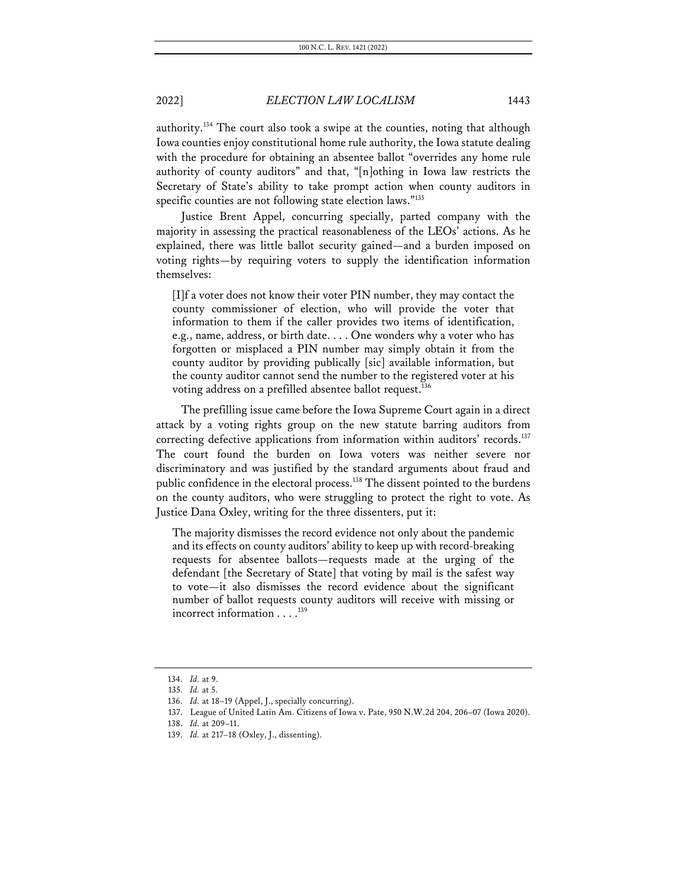authority.134 The court also took a swipe at the counties, noting that although Iowa counties enjoy constitutional home rule authority, the Iowa statute dealing with the procedure for obtaining an absentee ballot "overrides any home rule authority of county auditors" and that, "[n]othing in Iowa law restricts the Secretary of State's ability to take prompt action when county auditors in specific counties are not following state election laws."135

Justice Brent Appel, concurring specially, parted company with the majority in assessing the practical reasonableness of the LEOs' actions. As he explained, there was little ballot security gained—and a burden imposed on voting rights—by requiring voters to supply the identification information themselves:

[I]f a voter does not know their voter PIN number, they may contact the county commissioner of election, who will provide the voter that information to them if the caller provides two items of identification, e.g., name, address, or birth date. . . . One wonders why a voter who has forgotten or misplaced a PIN number may simply obtain it from the county auditor by providing publically [sic] available information, but the county auditor cannot send the number to the registered voter at his voting address on a prefilled absentee ballot request.<sup>136</sup>

The prefilling issue came before the Iowa Supreme Court again in a direct attack by a voting rights group on the new statute barring auditors from correcting defective applications from information within auditors' records.<sup>137</sup> The court found the burden on Iowa voters was neither severe nor discriminatory and was justified by the standard arguments about fraud and public confidence in the electoral process.<sup>138</sup> The dissent pointed to the burdens on the county auditors, who were struggling to protect the right to vote. As Justice Dana Oxley, writing for the three dissenters, put it:

The majority dismisses the record evidence not only about the pandemic and its effects on county auditors' ability to keep up with record-breaking requests for absentee ballots—requests made at the urging of the defendant [the Secretary of State] that voting by mail is the safest way to vote—it also dismisses the record evidence about the significant number of ballot requests county auditors will receive with missing or incorrect information . . . . 139

<sup>134.</sup> *Id.* at 9.

<sup>135.</sup> *Id.* at 5.

<sup>136.</sup> *Id.* at 18–19 (Appel, J., specially concurring).

<sup>137.</sup> League of United Latin Am. Citizens of Iowa v. Pate, 950 N.W.2d 204, 206–07 (Iowa 2020).

<sup>138.</sup> *Id.* at 209–11.

<sup>139.</sup> *Id.* at 217–18 (Oxley, J., dissenting).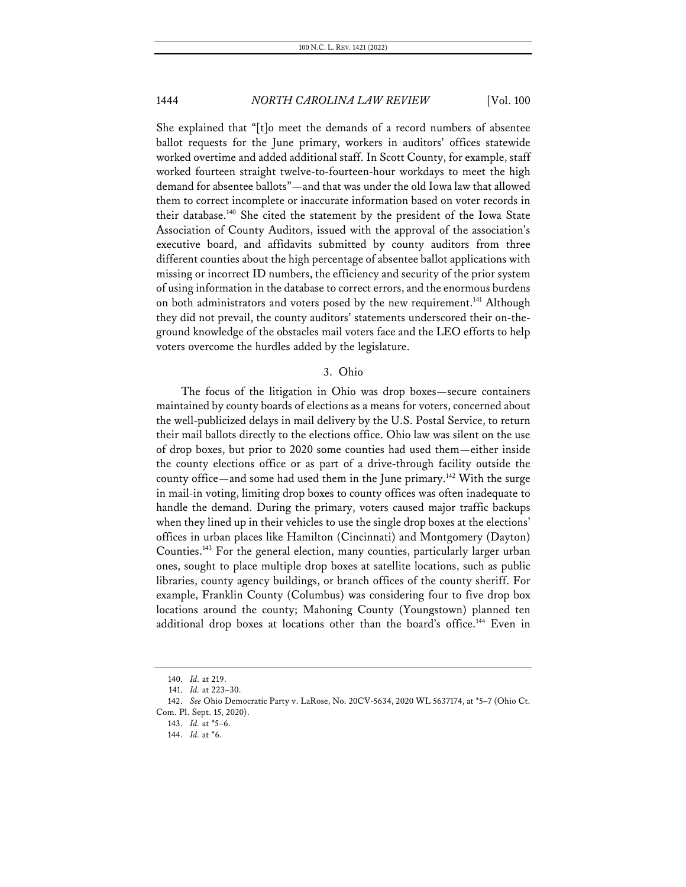She explained that "[t]o meet the demands of a record numbers of absentee ballot requests for the June primary, workers in auditors' offices statewide worked overtime and added additional staff. In Scott County, for example, staff worked fourteen straight twelve-to-fourteen-hour workdays to meet the high demand for absentee ballots"—and that was under the old Iowa law that allowed them to correct incomplete or inaccurate information based on voter records in their database.<sup>140</sup> She cited the statement by the president of the Iowa State Association of County Auditors, issued with the approval of the association's executive board, and affidavits submitted by county auditors from three different counties about the high percentage of absentee ballot applications with missing or incorrect ID numbers, the efficiency and security of the prior system of using information in the database to correct errors, and the enormous burdens on both administrators and voters posed by the new requirement.<sup>141</sup> Although they did not prevail, the county auditors' statements underscored their on-theground knowledge of the obstacles mail voters face and the LEO efforts to help voters overcome the hurdles added by the legislature.

#### 3. Ohio

The focus of the litigation in Ohio was drop boxes—secure containers maintained by county boards of elections as a means for voters, concerned about the well-publicized delays in mail delivery by the U.S. Postal Service, to return their mail ballots directly to the elections office. Ohio law was silent on the use of drop boxes, but prior to 2020 some counties had used them—either inside the county elections office or as part of a drive-through facility outside the county office—and some had used them in the June primary.<sup>142</sup> With the surge in mail-in voting, limiting drop boxes to county offices was often inadequate to handle the demand. During the primary, voters caused major traffic backups when they lined up in their vehicles to use the single drop boxes at the elections' offices in urban places like Hamilton (Cincinnati) and Montgomery (Dayton) Counties.143 For the general election, many counties, particularly larger urban ones, sought to place multiple drop boxes at satellite locations, such as public libraries, county agency buildings, or branch offices of the county sheriff. For example, Franklin County (Columbus) was considering four to five drop box locations around the county; Mahoning County (Youngstown) planned ten additional drop boxes at locations other than the board's office.<sup>144</sup> Even in

<sup>140.</sup> *Id.* at 219.

<sup>141.</sup> *Id.* at 223–30.

<sup>142.</sup> *See* Ohio Democratic Party v. LaRose, No. 20CV-5634, 2020 WL 5637174, at \*5–7 (Ohio Ct. Com. Pl. Sept. 15, 2020).

<sup>143.</sup> *Id.* at \*5–6.

<sup>144.</sup> *Id.* at \*6.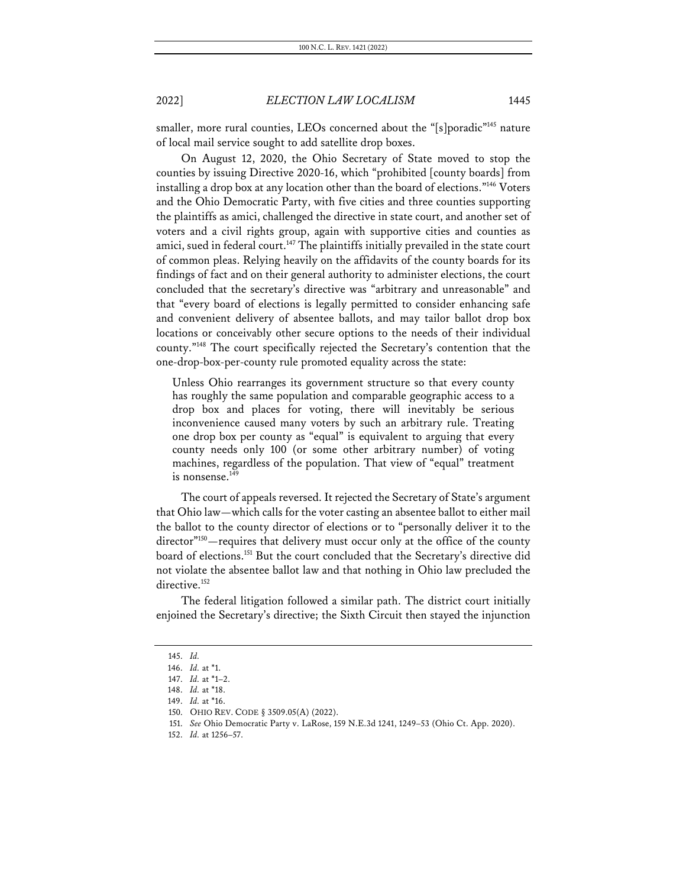smaller, more rural counties, LEOs concerned about the "[s]poradic"<sup>145</sup> nature of local mail service sought to add satellite drop boxes.

On August 12, 2020, the Ohio Secretary of State moved to stop the counties by issuing Directive 2020-16, which "prohibited [county boards] from installing a drop box at any location other than the board of elections."146 Voters and the Ohio Democratic Party, with five cities and three counties supporting the plaintiffs as amici, challenged the directive in state court, and another set of voters and a civil rights group, again with supportive cities and counties as amici, sued in federal court.<sup>147</sup> The plaintiffs initially prevailed in the state court of common pleas. Relying heavily on the affidavits of the county boards for its findings of fact and on their general authority to administer elections, the court concluded that the secretary's directive was "arbitrary and unreasonable" and that "every board of elections is legally permitted to consider enhancing safe and convenient delivery of absentee ballots, and may tailor ballot drop box locations or conceivably other secure options to the needs of their individual county."148 The court specifically rejected the Secretary's contention that the one-drop-box-per-county rule promoted equality across the state:

Unless Ohio rearranges its government structure so that every county has roughly the same population and comparable geographic access to a drop box and places for voting, there will inevitably be serious inconvenience caused many voters by such an arbitrary rule. Treating one drop box per county as "equal" is equivalent to arguing that every county needs only 100 (or some other arbitrary number) of voting machines, regardless of the population. That view of "equal" treatment is nonsense.<sup>149</sup>

The court of appeals reversed. It rejected the Secretary of State's argument that Ohio law—which calls for the voter casting an absentee ballot to either mail the ballot to the county director of elections or to "personally deliver it to the director"<sup>150</sup>—requires that delivery must occur only at the office of the county board of elections.151 But the court concluded that the Secretary's directive did not violate the absentee ballot law and that nothing in Ohio law precluded the directive.<sup>152</sup>

The federal litigation followed a similar path. The district court initially enjoined the Secretary's directive; the Sixth Circuit then stayed the injunction

<sup>145.</sup> *Id.*

<sup>146.</sup> *Id.* at \*1.

<sup>147.</sup> *Id.* at \*1–2.

<sup>148.</sup> *Id.* at \*18.

<sup>149.</sup> *Id.* at \*16.

<sup>150.</sup> OHIO REV. CODE § 3509.05(A) (2022).

<sup>151.</sup> *See* Ohio Democratic Party v. LaRose, 159 N.E.3d 1241, 1249–53 (Ohio Ct. App. 2020).

<sup>152.</sup> *Id.* at 1256–57.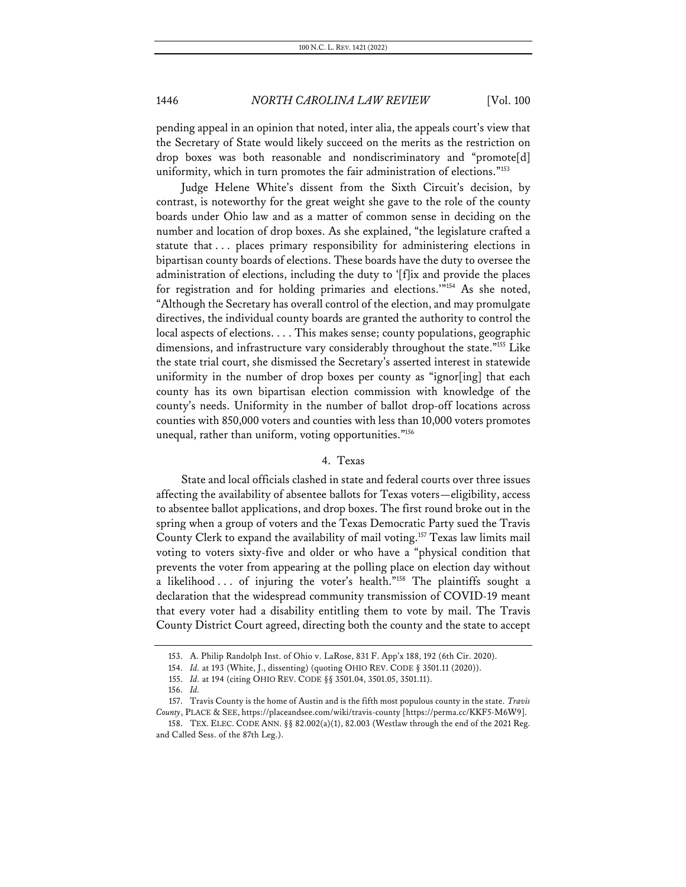pending appeal in an opinion that noted, inter alia, the appeals court's view that the Secretary of State would likely succeed on the merits as the restriction on drop boxes was both reasonable and nondiscriminatory and "promote[d] uniformity, which in turn promotes the fair administration of elections."<sup>153</sup>

Judge Helene White's dissent from the Sixth Circuit's decision, by contrast, is noteworthy for the great weight she gave to the role of the county boards under Ohio law and as a matter of common sense in deciding on the number and location of drop boxes. As she explained, "the legislature crafted a statute that . . . places primary responsibility for administering elections in bipartisan county boards of elections. These boards have the duty to oversee the administration of elections, including the duty to '[f]ix and provide the places for registration and for holding primaries and elections.'"154 As she noted, "Although the Secretary has overall control of the election, and may promulgate directives, the individual county boards are granted the authority to control the local aspects of elections. . . . This makes sense; county populations, geographic dimensions, and infrastructure vary considerably throughout the state."155 Like the state trial court, she dismissed the Secretary's asserted interest in statewide uniformity in the number of drop boxes per county as "ignor[ing] that each county has its own bipartisan election commission with knowledge of the county's needs. Uniformity in the number of ballot drop-off locations across counties with 850,000 voters and counties with less than 10,000 voters promotes unequal, rather than uniform, voting opportunities."156

#### 4. Texas

State and local officials clashed in state and federal courts over three issues affecting the availability of absentee ballots for Texas voters—eligibility, access to absentee ballot applications, and drop boxes. The first round broke out in the spring when a group of voters and the Texas Democratic Party sued the Travis County Clerk to expand the availability of mail voting.157 Texas law limits mail voting to voters sixty-five and older or who have a "physical condition that prevents the voter from appearing at the polling place on election day without a likelihood . . . of injuring the voter's health."<sup>158</sup> The plaintiffs sought a declaration that the widespread community transmission of COVID-19 meant that every voter had a disability entitling them to vote by mail. The Travis County District Court agreed, directing both the county and the state to accept

<sup>153.</sup> A. Philip Randolph Inst. of Ohio v. LaRose, 831 F. App'x 188, 192 (6th Cir. 2020).

<sup>154.</sup> *Id.* at 193 (White, J., dissenting) (quoting OHIO REV. CODE § 3501.11 (2020)).

<sup>155.</sup> *Id.* at 194 (citing OHIO REV. CODE §§ 3501.04, 3501.05, 3501.11).

<sup>156.</sup> *Id.*

<sup>157.</sup> Travis County is the home of Austin and is the fifth most populous county in the state. *Travis County*, PLACE & SEE, https://placeandsee.com/wiki/travis-county [https://perma.cc/KKF5-M6W9].

<sup>158.</sup> TEX. ELEC. CODE ANN. §§ 82.002(a)(1), 82.003 (Westlaw through the end of the 2021 Reg. and Called Sess. of the 87th Leg.).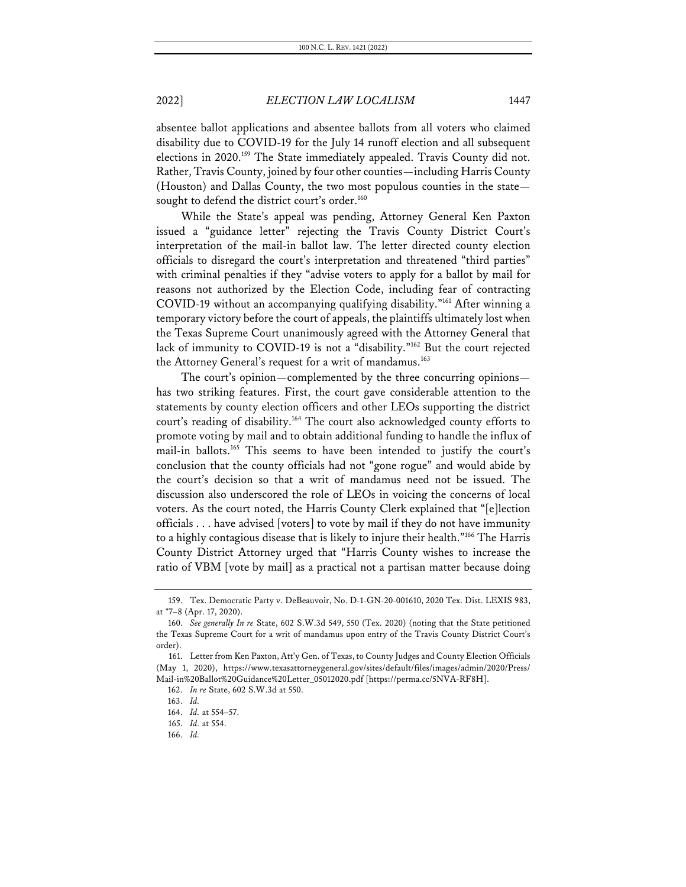absentee ballot applications and absentee ballots from all voters who claimed disability due to COVID-19 for the July 14 runoff election and all subsequent elections in 2020.<sup>159</sup> The State immediately appealed. Travis County did not. Rather, Travis County, joined by four other counties—including Harris County (Houston) and Dallas County, the two most populous counties in the state sought to defend the district court's order.<sup>160</sup>

While the State's appeal was pending, Attorney General Ken Paxton issued a "guidance letter" rejecting the Travis County District Court's interpretation of the mail-in ballot law. The letter directed county election officials to disregard the court's interpretation and threatened "third parties" with criminal penalties if they "advise voters to apply for a ballot by mail for reasons not authorized by the Election Code, including fear of contracting COVID-19 without an accompanying qualifying disability."161 After winning a temporary victory before the court of appeals, the plaintiffs ultimately lost when the Texas Supreme Court unanimously agreed with the Attorney General that lack of immunity to COVID-19 is not a "disability."<sup>162</sup> But the court rejected the Attorney General's request for a writ of mandamus.<sup>163</sup>

The court's opinion—complemented by the three concurring opinions has two striking features. First, the court gave considerable attention to the statements by county election officers and other LEOs supporting the district court's reading of disability.164 The court also acknowledged county efforts to promote voting by mail and to obtain additional funding to handle the influx of mail-in ballots.165 This seems to have been intended to justify the court's conclusion that the county officials had not "gone rogue" and would abide by the court's decision so that a writ of mandamus need not be issued. The discussion also underscored the role of LEOs in voicing the concerns of local voters. As the court noted, the Harris County Clerk explained that "[e]lection officials . . . have advised [voters] to vote by mail if they do not have immunity to a highly contagious disease that is likely to injure their health."166 The Harris County District Attorney urged that "Harris County wishes to increase the ratio of VBM [vote by mail] as a practical not a partisan matter because doing

<sup>159.</sup> Tex. Democratic Party v. DeBeauvoir, No. D-1-GN-20-001610, 2020 Tex. Dist. LEXIS 983, at \*7–8 (Apr. 17, 2020).

<sup>160.</sup> *See generally In re* State, 602 S.W.3d 549, 550 (Tex. 2020) (noting that the State petitioned the Texas Supreme Court for a writ of mandamus upon entry of the Travis County District Court's order).

<sup>161.</sup> Letter from Ken Paxton, Att'y Gen. of Texas, to County Judges and County Election Officials (May 1, 2020), https://www.texasattorneygeneral.gov/sites/default/files/images/admin/2020/Press/ Mail-in%20Ballot%20Guidance%20Letter\_05012020.pdf [https://perma.cc/5NVA-RF8H].

<sup>162.</sup> *In re* State, 602 S.W.3d at 550.

<sup>163.</sup> *Id.*

<sup>164.</sup> *Id.* at 554–57.

<sup>165.</sup> *Id.* at 554.

<sup>166.</sup> *Id.*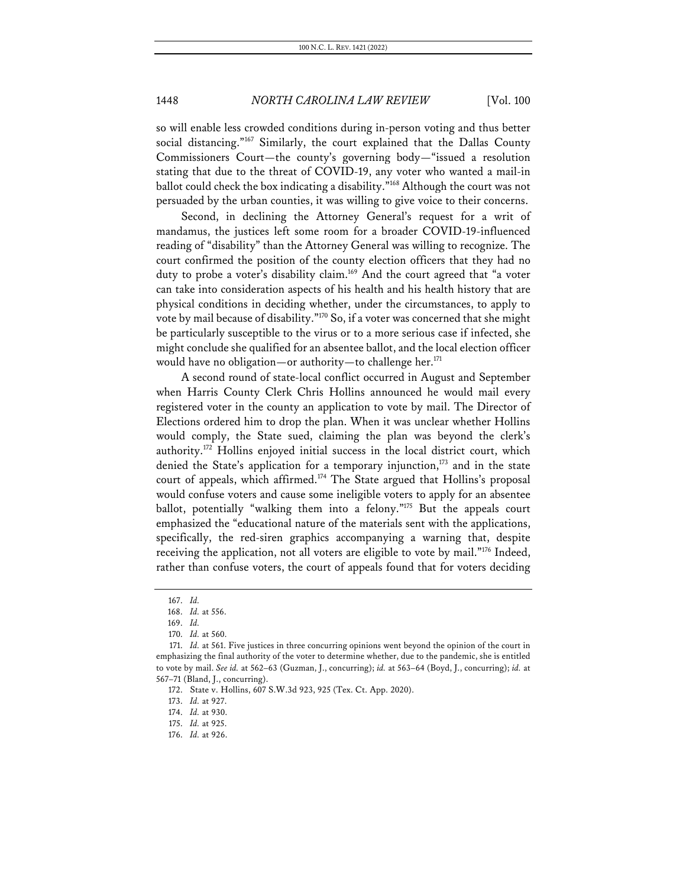so will enable less crowded conditions during in-person voting and thus better social distancing."<sup>167</sup> Similarly, the court explained that the Dallas County Commissioners Court—the county's governing body—"issued a resolution stating that due to the threat of COVID-19, any voter who wanted a mail-in ballot could check the box indicating a disability."168 Although the court was not persuaded by the urban counties, it was willing to give voice to their concerns.

Second, in declining the Attorney General's request for a writ of mandamus, the justices left some room for a broader COVID-19-influenced reading of "disability" than the Attorney General was willing to recognize. The court confirmed the position of the county election officers that they had no duty to probe a voter's disability claim.<sup>169</sup> And the court agreed that "a voter can take into consideration aspects of his health and his health history that are physical conditions in deciding whether, under the circumstances, to apply to vote by mail because of disability."170 So, if a voter was concerned that she might be particularly susceptible to the virus or to a more serious case if infected, she might conclude she qualified for an absentee ballot, and the local election officer would have no obligation—or authority—to challenge her. $^{171}$ 

A second round of state-local conflict occurred in August and September when Harris County Clerk Chris Hollins announced he would mail every registered voter in the county an application to vote by mail. The Director of Elections ordered him to drop the plan. When it was unclear whether Hollins would comply, the State sued, claiming the plan was beyond the clerk's authority.172 Hollins enjoyed initial success in the local district court, which denied the State's application for a temporary injunction, $173$  and in the state court of appeals, which affirmed.<sup>174</sup> The State argued that Hollins's proposal would confuse voters and cause some ineligible voters to apply for an absentee ballot, potentially "walking them into a felony."175 But the appeals court emphasized the "educational nature of the materials sent with the applications, specifically, the red-siren graphics accompanying a warning that, despite receiving the application, not all voters are eligible to vote by mail."176 Indeed, rather than confuse voters, the court of appeals found that for voters deciding

<sup>167.</sup> *Id.*

<sup>168.</sup> *Id.* at 556.

<sup>169.</sup> *Id.*

<sup>170.</sup> *Id.* at 560.

<sup>171.</sup> *Id.* at 561. Five justices in three concurring opinions went beyond the opinion of the court in emphasizing the final authority of the voter to determine whether, due to the pandemic, she is entitled to vote by mail. *See id.* at 562–63 (Guzman, J., concurring); *id.* at 563–64 (Boyd, J., concurring); *id.* at 567–71 (Bland, J., concurring).

<sup>172.</sup> State v. Hollins, 607 S.W.3d 923, 925 (Tex. Ct. App. 2020).

<sup>173.</sup> *Id.* at 927.

<sup>174.</sup> *Id.* at 930.

<sup>175.</sup> *Id.* at 925.

<sup>176.</sup> *Id.* at 926.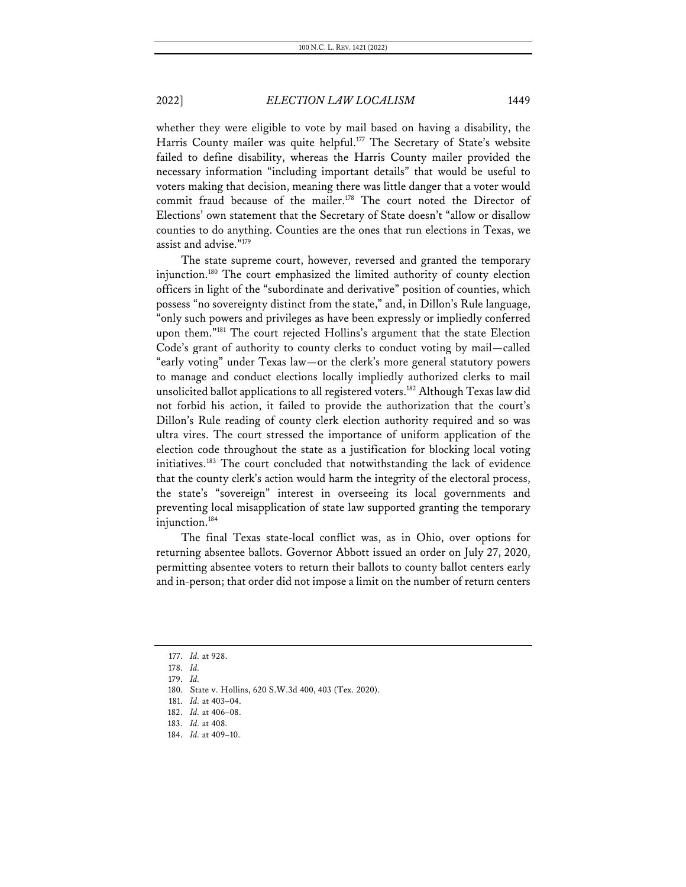whether they were eligible to vote by mail based on having a disability, the Harris County mailer was quite helpful.<sup>177</sup> The Secretary of State's website failed to define disability, whereas the Harris County mailer provided the necessary information "including important details" that would be useful to voters making that decision, meaning there was little danger that a voter would commit fraud because of the mailer.<sup>178</sup> The court noted the Director of Elections' own statement that the Secretary of State doesn't "allow or disallow counties to do anything. Counties are the ones that run elections in Texas, we assist and advise."179

The state supreme court, however, reversed and granted the temporary injunction.180 The court emphasized the limited authority of county election officers in light of the "subordinate and derivative" position of counties, which possess "no sovereignty distinct from the state," and, in Dillon's Rule language, "only such powers and privileges as have been expressly or impliedly conferred upon them."181 The court rejected Hollins's argument that the state Election Code's grant of authority to county clerks to conduct voting by mail—called "early voting" under Texas law—or the clerk's more general statutory powers to manage and conduct elections locally impliedly authorized clerks to mail unsolicited ballot applications to all registered voters.182 Although Texas law did not forbid his action, it failed to provide the authorization that the court's Dillon's Rule reading of county clerk election authority required and so was ultra vires. The court stressed the importance of uniform application of the election code throughout the state as a justification for blocking local voting initiatives.183 The court concluded that notwithstanding the lack of evidence that the county clerk's action would harm the integrity of the electoral process, the state's "sovereign" interest in overseeing its local governments and preventing local misapplication of state law supported granting the temporary injunction.184

The final Texas state-local conflict was, as in Ohio, over options for returning absentee ballots. Governor Abbott issued an order on July 27, 2020, permitting absentee voters to return their ballots to county ballot centers early and in-person; that order did not impose a limit on the number of return centers

<sup>177.</sup> *Id.* at 928.

<sup>178.</sup> *Id.*

<sup>179.</sup> *Id.*

<sup>180.</sup> State v. Hollins, 620 S.W.3d 400, 403 (Tex. 2020).

<sup>181.</sup> *Id.* at 403–04.

<sup>182.</sup> *Id.* at 406–08.

<sup>183.</sup> *Id.* at 408.

<sup>184.</sup> *Id.* at 409–10.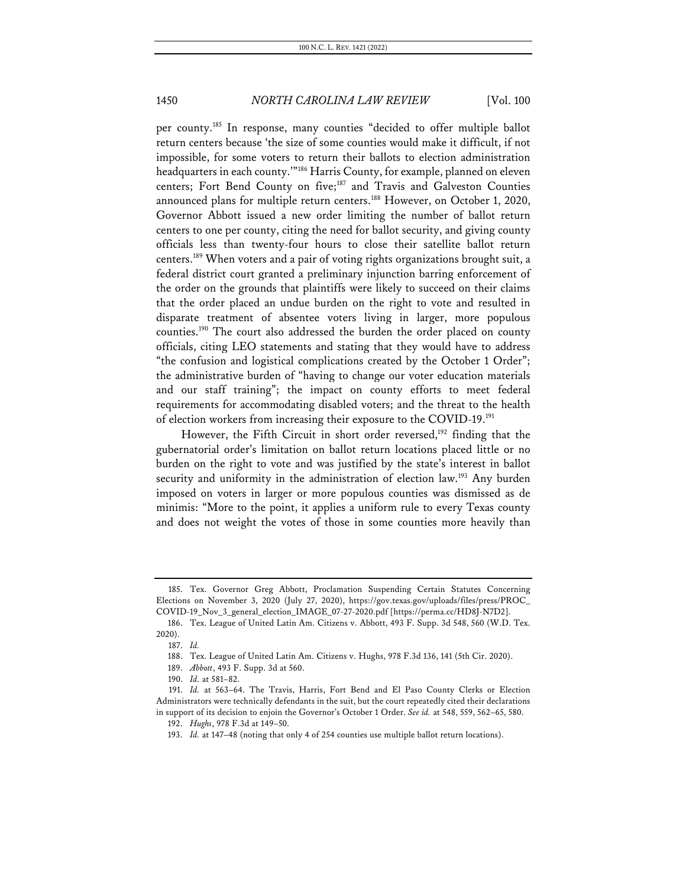per county.185 In response, many counties "decided to offer multiple ballot return centers because 'the size of some counties would make it difficult, if not impossible, for some voters to return their ballots to election administration headquarters in each county.'"186 Harris County, for example, planned on eleven centers; Fort Bend County on five; <sup>187</sup> and Travis and Galveston Counties announced plans for multiple return centers.<sup>188</sup> However, on October 1, 2020, Governor Abbott issued a new order limiting the number of ballot return centers to one per county, citing the need for ballot security, and giving county officials less than twenty-four hours to close their satellite ballot return centers.189 When voters and a pair of voting rights organizations brought suit, a federal district court granted a preliminary injunction barring enforcement of the order on the grounds that plaintiffs were likely to succeed on their claims that the order placed an undue burden on the right to vote and resulted in disparate treatment of absentee voters living in larger, more populous counties.190 The court also addressed the burden the order placed on county officials, citing LEO statements and stating that they would have to address "the confusion and logistical complications created by the October 1 Order"; the administrative burden of "having to change our voter education materials and our staff training"; the impact on county efforts to meet federal requirements for accommodating disabled voters; and the threat to the health of election workers from increasing their exposure to the COVID-19.191

However, the Fifth Circuit in short order reversed,<sup>192</sup> finding that the gubernatorial order's limitation on ballot return locations placed little or no burden on the right to vote and was justified by the state's interest in ballot security and uniformity in the administration of election law.<sup>193</sup> Any burden imposed on voters in larger or more populous counties was dismissed as de minimis: "More to the point, it applies a uniform rule to every Texas county and does not weight the votes of those in some counties more heavily than

<sup>185.</sup> Tex. Governor Greg Abbott, Proclamation Suspending Certain Statutes Concerning Elections on November 3, 2020 (July 27, 2020), https://gov.texas.gov/uploads/files/press/PROC\_ COVID-19\_Nov\_3\_general\_election\_IMAGE\_07-27-2020.pdf [https://perma.cc/HD8J-N7D2].

<sup>186.</sup> Tex. League of United Latin Am. Citizens v. Abbott, 493 F. Supp. 3d 548, 560 (W.D. Tex. 2020).

<sup>187.</sup> *Id.*

<sup>188.</sup> Tex. League of United Latin Am. Citizens v. Hughs, 978 F.3d 136, 141 (5th Cir. 2020).

<sup>189.</sup> *Abbott*, 493 F. Supp. 3d at 560.

<sup>190.</sup> *Id.* at 581–82.

<sup>191.</sup> *Id.* at 563–64. The Travis, Harris, Fort Bend and El Paso County Clerks or Election Administrators were technically defendants in the suit, but the court repeatedly cited their declarations in support of its decision to enjoin the Governor's October 1 Order. *See id.* at 548, 559, 562–65, 580.

<sup>192.</sup> *Hughs*, 978 F.3d at 149–50.

<sup>193.</sup> *Id.* at 147–48 (noting that only 4 of 254 counties use multiple ballot return locations).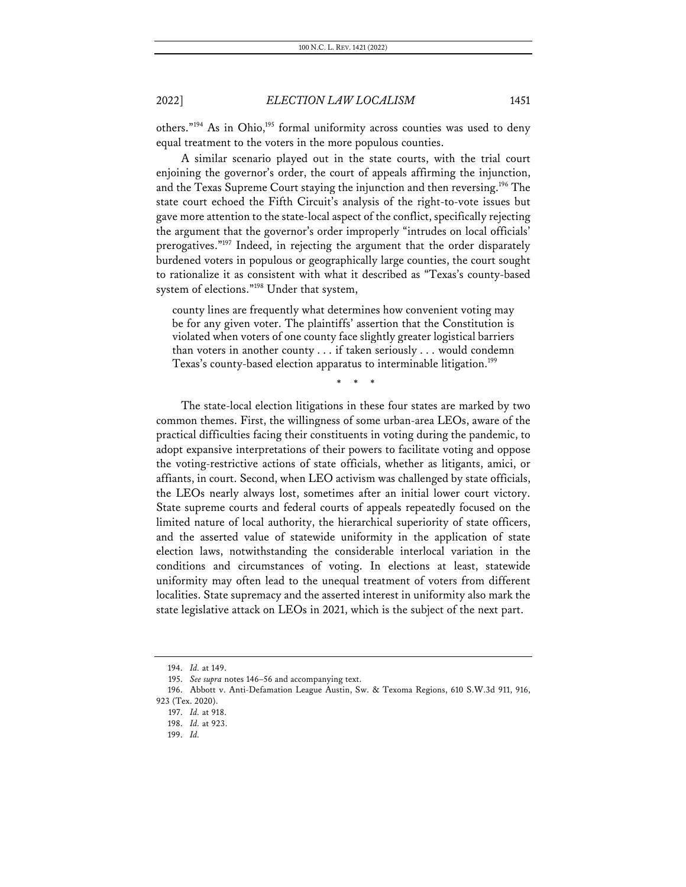others."<sup>194</sup> As in Ohio,<sup>195</sup> formal uniformity across counties was used to deny equal treatment to the voters in the more populous counties.

A similar scenario played out in the state courts, with the trial court enjoining the governor's order, the court of appeals affirming the injunction, and the Texas Supreme Court staying the injunction and then reversing.<sup>196</sup> The state court echoed the Fifth Circuit's analysis of the right-to-vote issues but gave more attention to the state-local aspect of the conflict, specifically rejecting the argument that the governor's order improperly "intrudes on local officials' prerogatives."197 Indeed, in rejecting the argument that the order disparately burdened voters in populous or geographically large counties, the court sought to rationalize it as consistent with what it described as "Texas's county-based system of elections."198 Under that system,

county lines are frequently what determines how convenient voting may be for any given voter. The plaintiffs' assertion that the Constitution is violated when voters of one county face slightly greater logistical barriers than voters in another county . . . if taken seriously . . . would condemn Texas's county-based election apparatus to interminable litigation.<sup>199</sup>

\* \* \*

The state-local election litigations in these four states are marked by two common themes. First, the willingness of some urban-area LEOs, aware of the practical difficulties facing their constituents in voting during the pandemic, to adopt expansive interpretations of their powers to facilitate voting and oppose the voting-restrictive actions of state officials, whether as litigants, amici, or affiants, in court. Second, when LEO activism was challenged by state officials, the LEOs nearly always lost, sometimes after an initial lower court victory. State supreme courts and federal courts of appeals repeatedly focused on the limited nature of local authority, the hierarchical superiority of state officers, and the asserted value of statewide uniformity in the application of state election laws, notwithstanding the considerable interlocal variation in the conditions and circumstances of voting. In elections at least, statewide uniformity may often lead to the unequal treatment of voters from different localities. State supremacy and the asserted interest in uniformity also mark the state legislative attack on LEOs in 2021, which is the subject of the next part.

<sup>194.</sup> *Id.* at 149.

<sup>195.</sup> *See supra* notes 146–56 and accompanying text.

<sup>196.</sup> Abbott v. Anti-Defamation League Austin, Sw. & Texoma Regions, 610 S.W.3d 911, 916, 923 (Tex. 2020).

<sup>197.</sup> *Id.* at 918.

<sup>198.</sup> *Id.* at 923.

<sup>199.</sup> *Id.*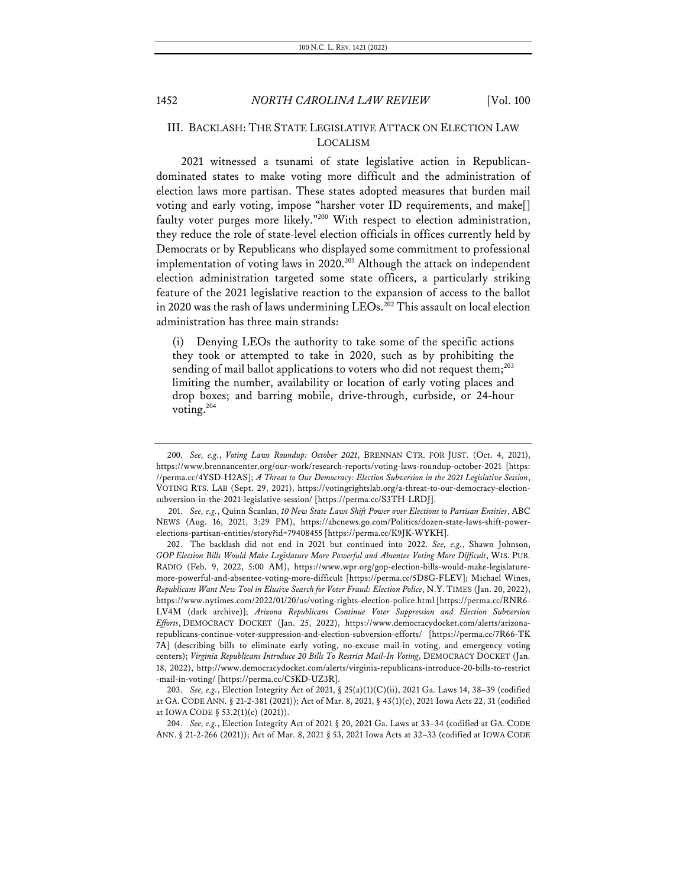# III. BACKLASH: THE STATE LEGISLATIVE ATTACK ON ELECTION LAW LOCALISM

2021 witnessed a tsunami of state legislative action in Republicandominated states to make voting more difficult and the administration of election laws more partisan. These states adopted measures that burden mail voting and early voting, impose "harsher voter ID requirements, and make[] faulty voter purges more likely."200 With respect to election administration, they reduce the role of state-level election officials in offices currently held by Democrats or by Republicans who displayed some commitment to professional implementation of voting laws in 2020.<sup>201</sup> Although the attack on independent election administration targeted some state officers, a particularly striking feature of the 2021 legislative reaction to the expansion of access to the ballot in 2020 was the rash of laws undermining LEOs.<sup>202</sup> This assault on local election administration has three main strands:

(i) Denying LEOs the authority to take some of the specific actions they took or attempted to take in 2020, such as by prohibiting the sending of mail ballot applications to voters who did not request them;<sup>203</sup> limiting the number, availability or location of early voting places and drop boxes; and barring mobile, drive-through, curbside, or 24-hour voting. $204$ 

204. *See, e.g.*, Election Integrity Act of 2021 § 20, 2021 Ga. Laws at 33–34 (codified at GA. CODE ANN. § 21-2-266 (2021)); Act of Mar. 8, 2021 § 53, 2021 Iowa Acts at 32–33 (codified at IOWA CODE

<sup>200.</sup> *See, e.g.*, *Voting Laws Roundup: October 2021*, BRENNAN CTR. FOR JUST. (Oct. 4, 2021), https://www.brennancenter.org/our-work/research-reports/voting-laws-roundup-october-2021 [https: //perma.cc/4YSD-H2AS]; *A Threat to Our Democracy: Election Subversion in the 2021 Legislative Session*, VOTING RTS. LAB (Sept. 29, 2021), https://votingrightslab.org/a-threat-to-our-democracy-electionsubversion-in-the-2021-legislative-session/ [https://perma.cc/S3TH-LRDJ].

<sup>201.</sup> *See, e.g.*, Quinn Scanlan, *10 New State Laws Shift Power over Elections to Partisan Entities*, ABC NEWS (Aug. 16, 2021, 3:29 PM), https://abcnews.go.com/Politics/dozen-state-laws-shift-powerelections-partisan-entities/story?id=79408455 [https://perma.cc/K9JK-WYKH].

<sup>202.</sup> The backlash did not end in 2021 but continued into 2022. *See, e.g.*, Shawn Johnson, *GOP Election Bills Would Make Legislature More Powerful and Absentee Voting More Difficult*, WIS. PUB. RADIO (Feb. 9, 2022, 5:00 AM), https://www.wpr.org/gop-election-bills-would-make-legislaturemore-powerful-and-absentee-voting-more-difficult [https://perma.cc/5D8G-FLEV]; Michael Wines, *Republicans Want New Tool in Elusive Search for Voter Fraud: Election Police*, N.Y. TIMES (Jan. 20, 2022), https://www.nytimes.com/2022/01/20/us/voting-rights-election-police.html [https://perma.cc/RNR6- LV4M (dark archive)]; *Arizona Republicans Continue Voter Suppression and Election Subversion Efforts*, DEMOCRACY DOCKET (Jan. 25, 2022), https://www.democracydocket.com/alerts/arizonarepublicans-continue-voter-suppression-and-election-subversion-efforts/ [https://perma.cc/7R66-TK 7A] (describing bills to eliminate early voting, no-excuse mail-in voting, and emergency voting centers); *Virginia Republicans Introduce 20 Bills To Restrict Mail-In Voting*, DEMOCRACY DOCKET (Jan. 18, 2022), http://www.democracydocket.com/alerts/virginia-republicans-introduce-20-bills-to-restrict -mail-in-voting/ [https://perma.cc/C5KD-UZ3R].

<sup>203.</sup> *See, e.g.*, Election Integrity Act of 2021, § 25(a)(1)(C)(ii), 2021 Ga. Laws 14, 38–39 (codified at GA. CODE ANN. § 21-2-381 (2021)); Act of Mar. 8, 2021, § 43(1)(c), 2021 Iowa Acts 22, 31 (codified at IOWA CODE § 53.2(1)(c) (2021)).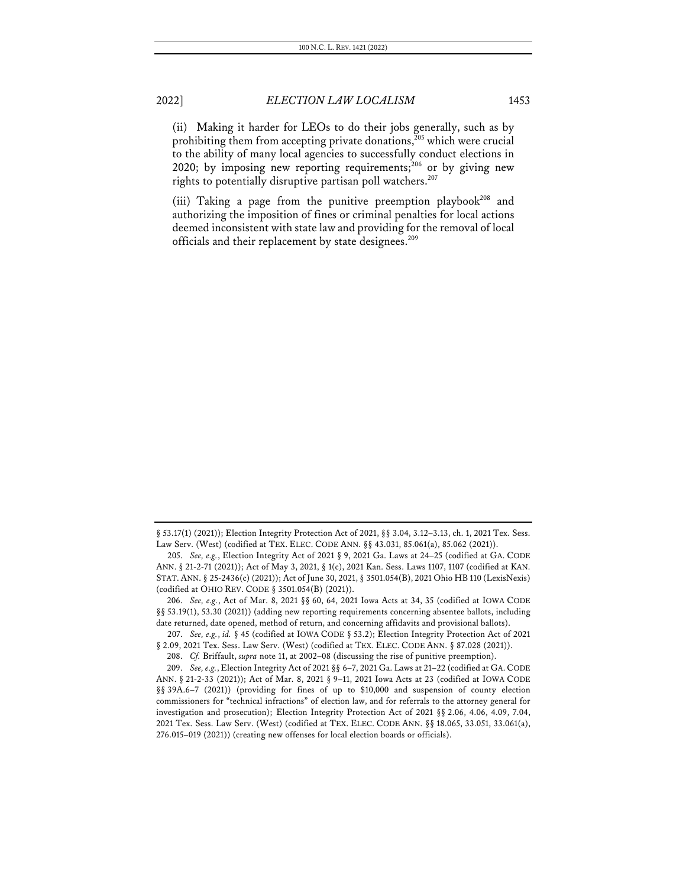(ii) Making it harder for LEOs to do their jobs generally, such as by prohibiting them from accepting private donations,<sup>205</sup> which were crucial to the ability of many local agencies to successfully conduct elections in 2020; by imposing new reporting requirements;<sup>206</sup> or by giving new rights to potentially disruptive partisan poll watchers.<sup>207</sup>

(iii) Taking a page from the punitive preemption playbook<sup>208</sup> and authorizing the imposition of fines or criminal penalties for local actions deemed inconsistent with state law and providing for the removal of local officials and their replacement by state designees.<sup>209</sup>

<sup>§ 53.17(1) (2021));</sup> Election Integrity Protection Act of 2021, §§ 3.04, 3.12–3.13, ch. 1, 2021 Tex. Sess. Law Serv. (West) (codified at TEX. ELEC. CODE ANN. §§ 43.031, 85.061(a), 85.062 (2021)).

<sup>205.</sup> *See, e.g.*, Election Integrity Act of 2021 § 9, 2021 Ga. Laws at 24–25 (codified at GA. CODE ANN. § 21-2-71 (2021)); Act of May 3, 2021, § 1(c), 2021 Kan. Sess. Laws 1107, 1107 (codified at KAN. STAT.ANN. § 25-2436(c) (2021)); Act of June 30, 2021, § 3501.054(B), 2021 Ohio HB 110 (LexisNexis) (codified at OHIO REV. CODE § 3501.054(B) (2021)).

<sup>206.</sup> *See, e.g.*, Act of Mar. 8, 2021 §§ 60, 64, 2021 Iowa Acts at 34, 35 (codified at IOWA CODE §§ 53.19(1), 53.30 (2021)) (adding new reporting requirements concerning absentee ballots, including date returned, date opened, method of return, and concerning affidavits and provisional ballots).

<sup>207.</sup> *See, e.g.*, *id.* § 45 (codified at IOWA CODE § 53.2); Election Integrity Protection Act of 2021 § 2.09, 2021 Tex. Sess. Law Serv. (West) (codified at TEX. ELEC. CODE ANN. § 87.028 (2021)).

<sup>208.</sup> *Cf.* Briffault, *supra* note 11, at 2002–08 (discussing the rise of punitive preemption).

<sup>209.</sup> *See, e.g.*, Election Integrity Act of 2021 §§ 6–7, 2021 Ga. Laws at 21–22 (codified at GA.CODE ANN. § 21-2-33 (2021)); Act of Mar. 8, 2021 § 9–11, 2021 Iowa Acts at 23 (codified at IOWA CODE §§ 39A.6–7 (2021)) (providing for fines of up to \$10,000 and suspension of county election commissioners for "technical infractions" of election law, and for referrals to the attorney general for investigation and prosecution); Election Integrity Protection Act of 2021 §§ 2.06, 4.06, 4.09, 7.04, 2021 Tex. Sess. Law Serv. (West) (codified at TEX. ELEC. CODE ANN. §§ 18.065, 33.051, 33.061(a), 276.015–019 (2021)) (creating new offenses for local election boards or officials).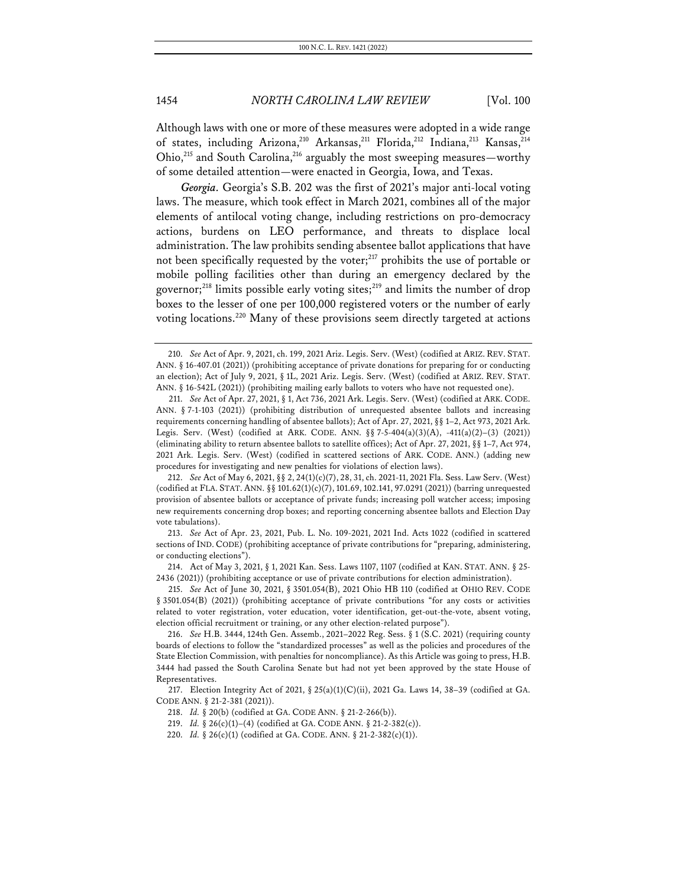Although laws with one or more of these measures were adopted in a wide range of states, including Arizona,<sup>210</sup> Arkansas,<sup>211</sup> Florida,<sup>212</sup> Indiana,<sup>213</sup> Kansas,<sup>214</sup> Ohio,<sup>215</sup> and South Carolina,<sup>216</sup> arguably the most sweeping measures—worthy of some detailed attention—were enacted in Georgia, Iowa, and Texas.

*Georgia.* Georgia's S.B. 202 was the first of 2021's major anti-local voting laws. The measure, which took effect in March 2021, combines all of the major elements of antilocal voting change, including restrictions on pro-democracy actions, burdens on LEO performance, and threats to displace local administration. The law prohibits sending absentee ballot applications that have not been specifically requested by the voter;<sup>217</sup> prohibits the use of portable or mobile polling facilities other than during an emergency declared by the governor;<sup>218</sup> limits possible early voting sites;<sup>219</sup> and limits the number of drop boxes to the lesser of one per 100,000 registered voters or the number of early voting locations.<sup>220</sup> Many of these provisions seem directly targeted at actions

212. *See* Act of May 6, 2021, §§ 2, 24(1)(c)(7), 28, 31, ch. 2021-11, 2021 Fla. Sess. Law Serv. (West) (codified at FLA. STAT. ANN. §§ 101.62(1)(c)(7), 101.69, 102.141, 97.0291 (2021)) (barring unrequested provision of absentee ballots or acceptance of private funds; increasing poll watcher access; imposing new requirements concerning drop boxes; and reporting concerning absentee ballots and Election Day vote tabulations).

213. *See* Act of Apr. 23, 2021, Pub. L. No. 109-2021, 2021 Ind. Acts 1022 (codified in scattered sections of IND. CODE) (prohibiting acceptance of private contributions for "preparing, administering, or conducting elections").

214. Act of May 3, 2021, § 1, 2021 Kan. Sess. Laws 1107, 1107 (codified at KAN. STAT. ANN. § 25- 2436 (2021)) (prohibiting acceptance or use of private contributions for election administration).

215. *See* Act of June 30, 2021, § 3501.054(B), 2021 Ohio HB 110 (codified at OHIO REV. CODE § 3501.054(B) (2021)) (prohibiting acceptance of private contributions "for any costs or activities related to voter registration, voter education, voter identification, get-out-the-vote, absent voting, election official recruitment or training, or any other election-related purpose").

216. *See* H.B. 3444, 124th Gen. Assemb., 2021–2022 Reg. Sess. § 1 (S.C. 2021) (requiring county boards of elections to follow the "standardized processes" as well as the policies and procedures of the State Election Commission, with penalties for noncompliance). As this Article was going to press, H.B. 3444 had passed the South Carolina Senate but had not yet been approved by the state House of Representatives.

217. Election Integrity Act of 2021, § 25(a)(1)(C)(ii), 2021 Ga. Laws 14, 38–39 (codified at GA. CODE ANN. § 21-2-381 (2021)).

218. *Id.* § 20(b) (codified at GA. CODE ANN. § 21-2-266(b)).

219. *Id.* § 26(c)(1)–(4) (codified at GA. CODE ANN. § 21-2-382(c)).

220. *Id.* § 26(c)(1) (codified at GA. CODE. ANN. § 21-2-382(c)(1)).

<sup>210.</sup> *See* Act of Apr. 9, 2021, ch. 199, 2021 Ariz. Legis. Serv. (West) (codified at ARIZ. REV. STAT. ANN. § 16-407.01 (2021)) (prohibiting acceptance of private donations for preparing for or conducting an election); Act of July 9, 2021, § 1L, 2021 Ariz. Legis. Serv. (West) (codified at ARIZ. REV. STAT. ANN. § 16-542L (2021)) (prohibiting mailing early ballots to voters who have not requested one).

<sup>211.</sup> *See* Act of Apr. 27, 2021, § 1, Act 736, 2021 Ark. Legis. Serv. (West) (codified at ARK. CODE. ANN. § 7-1-103 (2021)) (prohibiting distribution of unrequested absentee ballots and increasing requirements concerning handling of absentee ballots); Act of Apr. 27, 2021, §§ 1–2, Act 973, 2021 Ark. Legis. Serv. (West) (codified at ARK. CODE. ANN.  $\S$  7-5-404(a)(3)(A), -411(a)(2)-(3) (2021)) (eliminating ability to return absentee ballots to satellite offices); Act of Apr. 27, 2021, §§ 1–7, Act 974, 2021 Ark. Legis. Serv. (West) (codified in scattered sections of ARK. CODE. ANN.) (adding new procedures for investigating and new penalties for violations of election laws).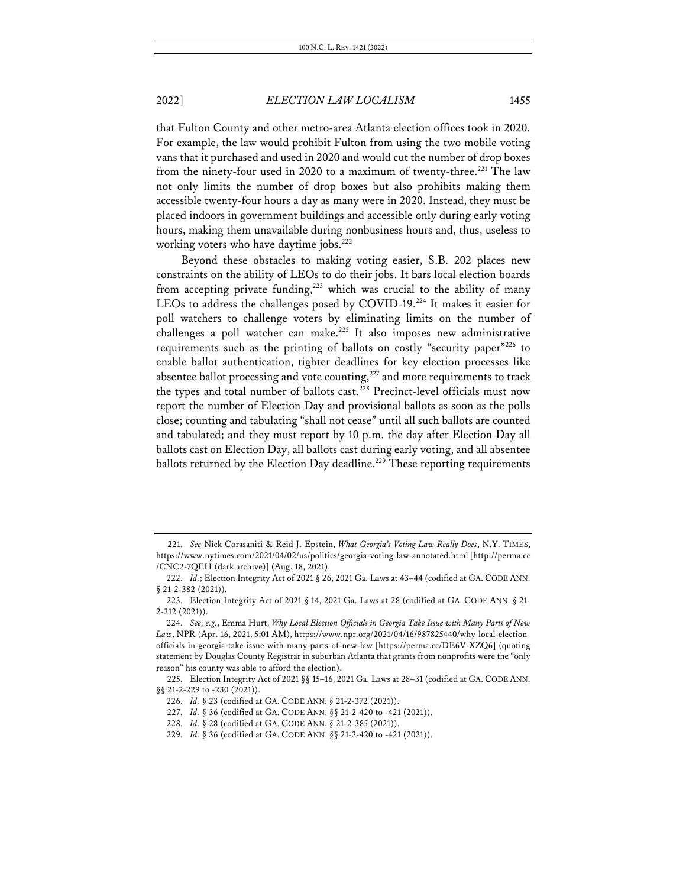that Fulton County and other metro-area Atlanta election offices took in 2020. For example, the law would prohibit Fulton from using the two mobile voting vans that it purchased and used in 2020 and would cut the number of drop boxes from the ninety-four used in 2020 to a maximum of twenty-three.<sup>221</sup> The law not only limits the number of drop boxes but also prohibits making them accessible twenty-four hours a day as many were in 2020. Instead, they must be placed indoors in government buildings and accessible only during early voting hours, making them unavailable during nonbusiness hours and, thus, useless to working voters who have daytime jobs.<sup>222</sup>

Beyond these obstacles to making voting easier, S.B. 202 places new constraints on the ability of LEOs to do their jobs. It bars local election boards from accepting private funding,<sup>223</sup> which was crucial to the ability of many LEOs to address the challenges posed by COVID-19.<sup>224</sup> It makes it easier for poll watchers to challenge voters by eliminating limits on the number of challenges a poll watcher can make.<sup>225</sup> It also imposes new administrative requirements such as the printing of ballots on costly "security paper"226 to enable ballot authentication, tighter deadlines for key election processes like absentee ballot processing and vote counting, $227$  and more requirements to track the types and total number of ballots cast.<sup>228</sup> Precinct-level officials must now report the number of Election Day and provisional ballots as soon as the polls close; counting and tabulating "shall not cease" until all such ballots are counted and tabulated; and they must report by 10 p.m. the day after Election Day all ballots cast on Election Day, all ballots cast during early voting, and all absentee ballots returned by the Election Day deadline.<sup>229</sup> These reporting requirements

<sup>221.</sup> *See* Nick Corasaniti & Reid J. Epstein, *What Georgia's Voting Law Really Does*, N.Y. TIMES, https://www.nytimes.com/2021/04/02/us/politics/georgia-voting-law-annotated.html [http://perma.cc /CNC2-7QEH (dark archive)] (Aug. 18, 2021).

<sup>222.</sup> *Id.*; Election Integrity Act of 2021 § 26, 2021 Ga. Laws at 43–44 (codified at GA. CODE ANN. § 21-2-382 (2021)).

<sup>223.</sup> Election Integrity Act of 2021 § 14, 2021 Ga. Laws at 28 (codified at GA. CODE ANN. § 21- 2-212 (2021)).

<sup>224.</sup> *See, e.g.*, Emma Hurt, *Why Local Election Officials in Georgia Take Issue with Many Parts of New Law*, NPR (Apr. 16, 2021, 5:01 AM), https://www.npr.org/2021/04/16/987825440/why-local-electionofficials-in-georgia-take-issue-with-many-parts-of-new-law [https://perma.cc/DE6V-XZQ6] (quoting statement by Douglas County Registrar in suburban Atlanta that grants from nonprofits were the "only reason" his county was able to afford the election).

<sup>225.</sup> Election Integrity Act of 2021 §§ 15–16, 2021 Ga. Laws at 28–31 (codified at GA. CODE ANN. §§ 21-2-229 to -230 (2021)).

<sup>226.</sup> *Id.* § 23 (codified at GA. CODE ANN. § 21-2-372 (2021)).

<sup>227.</sup> *Id.* § 36 (codified at GA. CODE ANN. §§ 21-2-420 to -421 (2021)).

<sup>228.</sup> *Id.* § 28 (codified at GA. CODE ANN. § 21-2-385 (2021)).

<sup>229.</sup> *Id.* § 36 (codified at GA. CODE ANN. §§ 21-2-420 to -421 (2021)).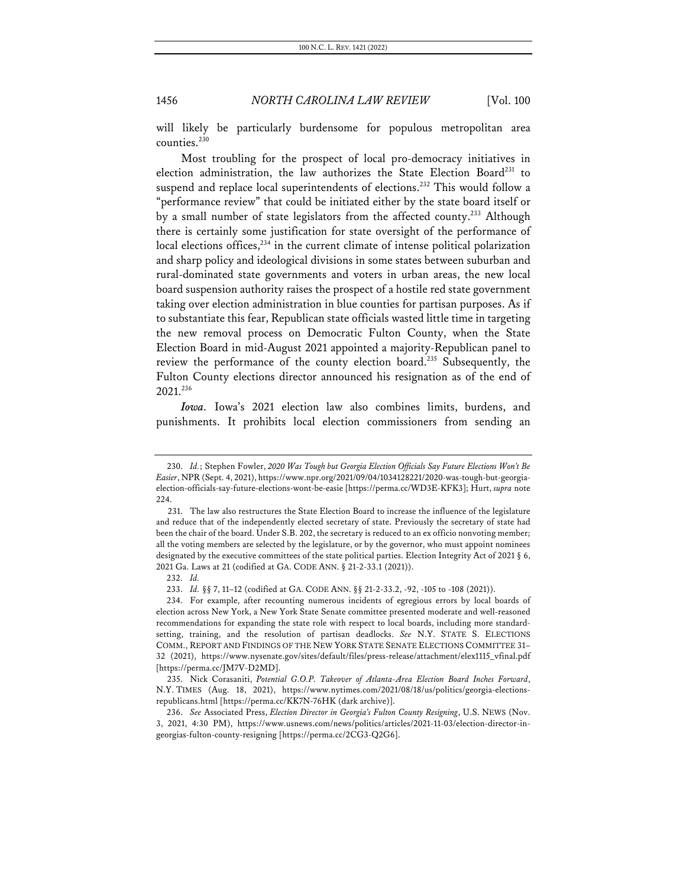will likely be particularly burdensome for populous metropolitan area counties.<sup>230</sup>

Most troubling for the prospect of local pro-democracy initiatives in election administration, the law authorizes the State Election Board<sup>231</sup> to suspend and replace local superintendents of elections.<sup>232</sup> This would follow a "performance review" that could be initiated either by the state board itself or by a small number of state legislators from the affected county.<sup>233</sup> Although there is certainly some justification for state oversight of the performance of local elections offices, $^{234}$  in the current climate of intense political polarization and sharp policy and ideological divisions in some states between suburban and rural-dominated state governments and voters in urban areas, the new local board suspension authority raises the prospect of a hostile red state government taking over election administration in blue counties for partisan purposes. As if to substantiate this fear, Republican state officials wasted little time in targeting the new removal process on Democratic Fulton County, when the State Election Board in mid-August 2021 appointed a majority-Republican panel to review the performance of the county election board.235 Subsequently, the Fulton County elections director announced his resignation as of the end of 2021.236

*Iowa.* Iowa's 2021 election law also combines limits, burdens, and punishments. It prohibits local election commissioners from sending an

<sup>230.</sup> *Id.*; Stephen Fowler, *2020 Was Tough but Georgia Election Officials Say Future Elections Won't Be Easier*, NPR (Sept. 4, 2021), https://www.npr.org/2021/09/04/1034128221/2020-was-tough-but-georgiaelection-officials-say-future-elections-wont-be-easie [https://perma.cc/WD3E-KFK3]; Hurt, *supra* note 224.

<sup>231.</sup> The law also restructures the State Election Board to increase the influence of the legislature and reduce that of the independently elected secretary of state. Previously the secretary of state had been the chair of the board. Under S.B. 202, the secretary is reduced to an ex officio nonvoting member; all the voting members are selected by the legislature, or by the governor, who must appoint nominees designated by the executive committees of the state political parties. Election Integrity Act of 2021 § 6, 2021 Ga. Laws at 21 (codified at GA. CODE ANN. § 21-2-33.1 (2021)).

<sup>232.</sup> *Id.*

<sup>233.</sup> *Id.* §§ 7, 11–12 (codified at GA. CODE ANN. §§ 21-2-33.2, -92, -105 to -108 (2021)).

<sup>234.</sup> For example, after recounting numerous incidents of egregious errors by local boards of election across New York, a New York State Senate committee presented moderate and well-reasoned recommendations for expanding the state role with respect to local boards, including more standardsetting, training, and the resolution of partisan deadlocks. *See* N.Y. STATE S. ELECTIONS COMM., REPORT AND FINDINGS OF THE NEW YORK STATE SENATE ELECTIONS COMMITTEE 31– 32 (2021), https://www.nysenate.gov/sites/default/files/press-release/attachment/elex1115\_vfinal.pdf [https://perma.cc/JM7V-D2MD].

<sup>235.</sup> Nick Corasaniti, *Potential G.O.P. Takeover of Atlanta-Area Election Board Inches Forward*, N.Y. TIMES (Aug. 18, 2021), https://www.nytimes.com/2021/08/18/us/politics/georgia-electionsrepublicans.html [https://perma.cc/KK7N-76HK (dark archive)].

<sup>236.</sup> *See* Associated Press, *Election Director in Georgia's Fulton County Resigning*, U.S. NEWS (Nov. 3, 2021, 4:30 PM), https://www.usnews.com/news/politics/articles/2021-11-03/election-director-ingeorgias-fulton-county-resigning [https://perma.cc/2CG3-Q2G6].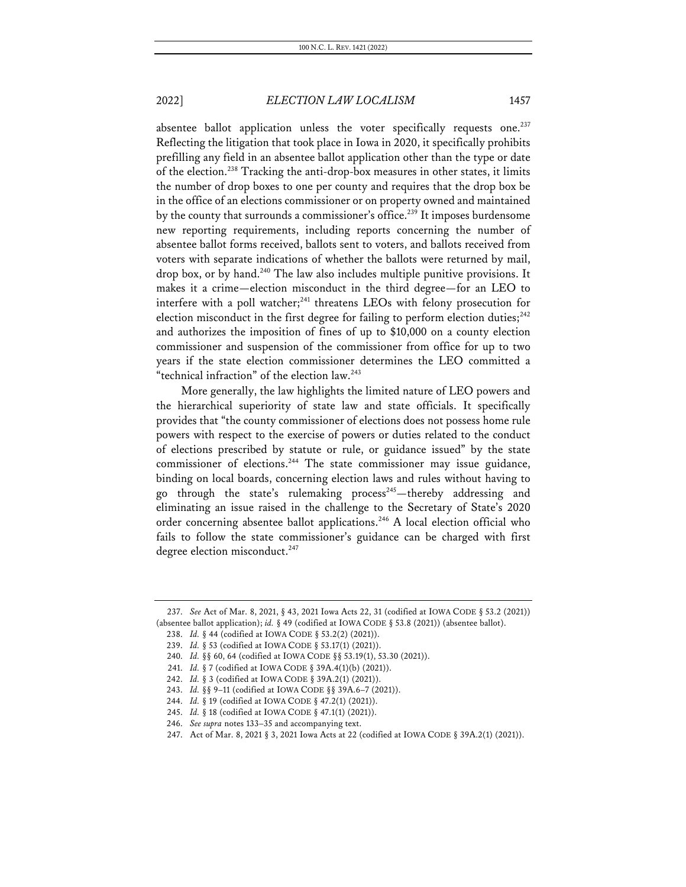absentee ballot application unless the voter specifically requests one.<sup>237</sup> Reflecting the litigation that took place in Iowa in 2020, it specifically prohibits prefilling any field in an absentee ballot application other than the type or date of the election.<sup>238</sup> Tracking the anti-drop-box measures in other states, it limits the number of drop boxes to one per county and requires that the drop box be in the office of an elections commissioner or on property owned and maintained by the county that surrounds a commissioner's office.<sup>239</sup> It imposes burdensome new reporting requirements, including reports concerning the number of absentee ballot forms received, ballots sent to voters, and ballots received from voters with separate indications of whether the ballots were returned by mail, drop box, or by hand.<sup>240</sup> The law also includes multiple punitive provisions. It makes it a crime—election misconduct in the third degree—for an LEO to interfere with a poll watcher; $^{241}$  threatens LEOs with felony prosecution for election misconduct in the first degree for failing to perform election duties;<sup>242</sup> and authorizes the imposition of fines of up to \$10,000 on a county election commissioner and suspension of the commissioner from office for up to two years if the state election commissioner determines the LEO committed a "technical infraction" of the election law.<sup>243</sup>

More generally, the law highlights the limited nature of LEO powers and the hierarchical superiority of state law and state officials. It specifically provides that "the county commissioner of elections does not possess home rule powers with respect to the exercise of powers or duties related to the conduct of elections prescribed by statute or rule, or guidance issued" by the state commissioner of elections.<sup>244</sup> The state commissioner may issue guidance, binding on local boards, concerning election laws and rules without having to go through the state's rulemaking process<sup>245</sup>—thereby addressing and eliminating an issue raised in the challenge to the Secretary of State's 2020 order concerning absentee ballot applications.246 A local election official who fails to follow the state commissioner's guidance can be charged with first degree election misconduct.<sup>247</sup>

<sup>237.</sup> *See* Act of Mar. 8, 2021, § 43, 2021 Iowa Acts 22, 31 (codified at IOWA CODE § 53.2 (2021)) (absentee ballot application); *id.* § 49 (codified at IOWA CODE § 53.8 (2021)) (absentee ballot).

<sup>238.</sup> *Id.* § 44 (codified at IOWA CODE § 53.2(2) (2021)).

<sup>239.</sup> *Id.* § 53 (codified at IOWA CODE § 53.17(1) (2021)).

<sup>240.</sup> *Id.* §§ 60, 64 (codified at IOWA CODE §§ 53.19(1), 53.30 (2021)).

<sup>241.</sup> *Id.* § 7 (codified at IOWA CODE § 39A.4(1)(b) (2021)).

<sup>242.</sup> *Id.* § 3 (codified at IOWA CODE § 39A.2(1) (2021)).

<sup>243.</sup> *Id.* §§ 9–11 (codified at IOWA CODE §§ 39A.6–7 (2021)).

<sup>244.</sup> *Id.* § 19 (codified at IOWA CODE § 47.2(1) (2021)).

<sup>245.</sup> *Id.* § 18 (codified at IOWA CODE § 47.1(1) (2021)).

<sup>246.</sup> *See supra* notes 133–35 and accompanying text.

<sup>247.</sup> Act of Mar. 8, 2021 § 3, 2021 Iowa Acts at 22 (codified at IOWA CODE § 39A.2(1) (2021)).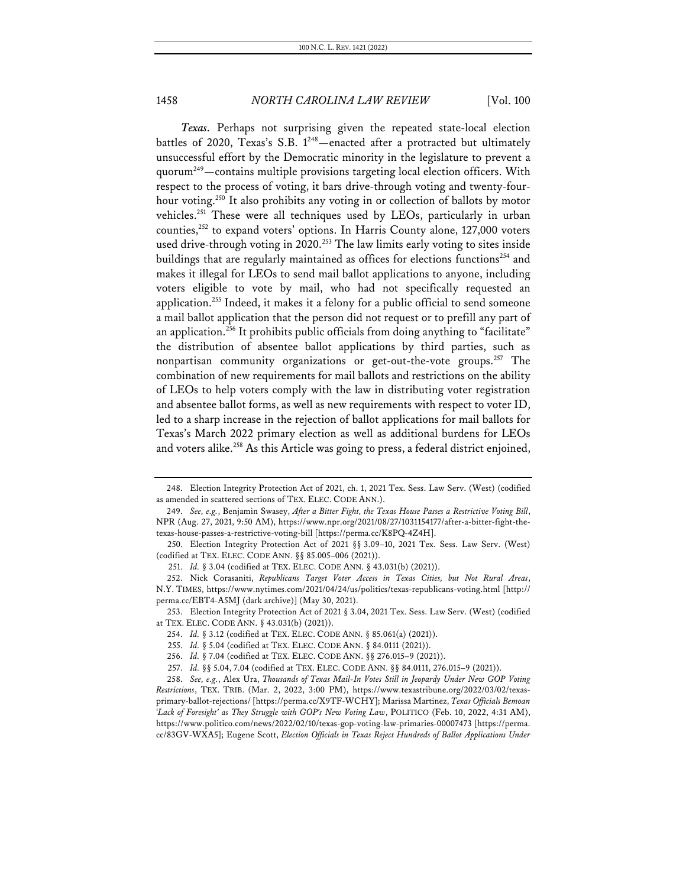*Texas.* Perhaps not surprising given the repeated state-local election battles of 2020, Texas's S.B.  $1^{248}$  - enacted after a protracted but ultimately unsuccessful effort by the Democratic minority in the legislature to prevent a quorum249—contains multiple provisions targeting local election officers. With respect to the process of voting, it bars drive-through voting and twenty-fourhour voting.<sup>250</sup> It also prohibits any voting in or collection of ballots by motor vehicles.<sup>251</sup> These were all techniques used by LEOs, particularly in urban counties,252 to expand voters' options. In Harris County alone, 127,000 voters used drive-through voting in 2020.<sup>253</sup> The law limits early voting to sites inside buildings that are regularly maintained as offices for elections functions<sup>254</sup> and makes it illegal for LEOs to send mail ballot applications to anyone, including voters eligible to vote by mail, who had not specifically requested an application.255 Indeed, it makes it a felony for a public official to send someone a mail ballot application that the person did not request or to prefill any part of an application.<sup>256</sup> It prohibits public officials from doing anything to "facilitate" the distribution of absentee ballot applications by third parties, such as nonpartisan community organizations or get-out-the-vote groups.257 The combination of new requirements for mail ballots and restrictions on the ability of LEOs to help voters comply with the law in distributing voter registration and absentee ballot forms, as well as new requirements with respect to voter ID, led to a sharp increase in the rejection of ballot applications for mail ballots for Texas's March 2022 primary election as well as additional burdens for LEOs and voters alike.<sup>258</sup> As this Article was going to press, a federal district enjoined,

<sup>248.</sup> Election Integrity Protection Act of 2021, ch. 1, 2021 Tex. Sess. Law Serv. (West) (codified as amended in scattered sections of TEX. ELEC. CODE ANN.).

<sup>249.</sup> *See, e.g.*, Benjamin Swasey, *After a Bitter Fight, the Texas House Passes a Restrictive Voting Bill*, NPR (Aug. 27, 2021, 9:50 AM), https://www.npr.org/2021/08/27/1031154177/after-a-bitter-fight-thetexas-house-passes-a-restrictive-voting-bill [https://perma.cc/K8PQ-4Z4H].

<sup>250.</sup> Election Integrity Protection Act of 2021 §§ 3.09–10, 2021 Tex. Sess. Law Serv. (West) (codified at TEX. ELEC. CODE ANN. §§ 85.005–006 (2021)).

<sup>251.</sup> *Id.* § 3.04 (codified at TEX. ELEC. CODE ANN. § 43.031(b) (2021)).

<sup>252.</sup> Nick Corasaniti, *Republicans Target Voter Access in Texas Cities, but Not Rural Areas*, N.Y. TIMES, https://www.nytimes.com/2021/04/24/us/politics/texas-republicans-voting.html [http:// perma.cc/EBT4-A5MJ (dark archive)] (May 30, 2021).

<sup>253.</sup> Election Integrity Protection Act of 2021 § 3.04, 2021 Tex. Sess. Law Serv. (West) (codified at TEX. ELEC. CODE ANN. § 43.031(b) (2021)).

<sup>254.</sup> *Id.* § 3.12 (codified at TEX. ELEC. CODE ANN. § 85.061(a) (2021)).

<sup>255.</sup> *Id.* § 5.04 (codified at TEX. ELEC. CODE ANN. § 84.0111 (2021)).

<sup>256.</sup> *Id.* § 7.04 (codified at TEX. ELEC. CODE ANN. §§ 276.015–9 (2021)).

<sup>257.</sup> *Id.* §§ 5.04, 7.04 (codified at TEX. ELEC. CODE ANN. §§ 84.0111, 276.015–9 (2021)).

<sup>258.</sup> *See, e.g.*, Alex Ura, *Thousands of Texas Mail-In Votes Still in Jeopardy Under New GOP Voting Restrictions*, TEX. TRIB. (Mar. 2, 2022, 3:00 PM), https://www.texastribune.org/2022/03/02/texasprimary-ballot-rejections/ [https://perma.cc/X9TF-WCHY]; Marissa Martinez, *Texas Officials Bemoan 'Lack of Foresight' as They Struggle with GOP's New Voting Law*, POLITICO (Feb. 10, 2022, 4:31 AM), https://www.politico.com/news/2022/02/10/texas-gop-voting-law-primaries-00007473 [https://perma. cc/83GV-WXA5]; Eugene Scott, *Election Officials in Texas Reject Hundreds of Ballot Applications Under*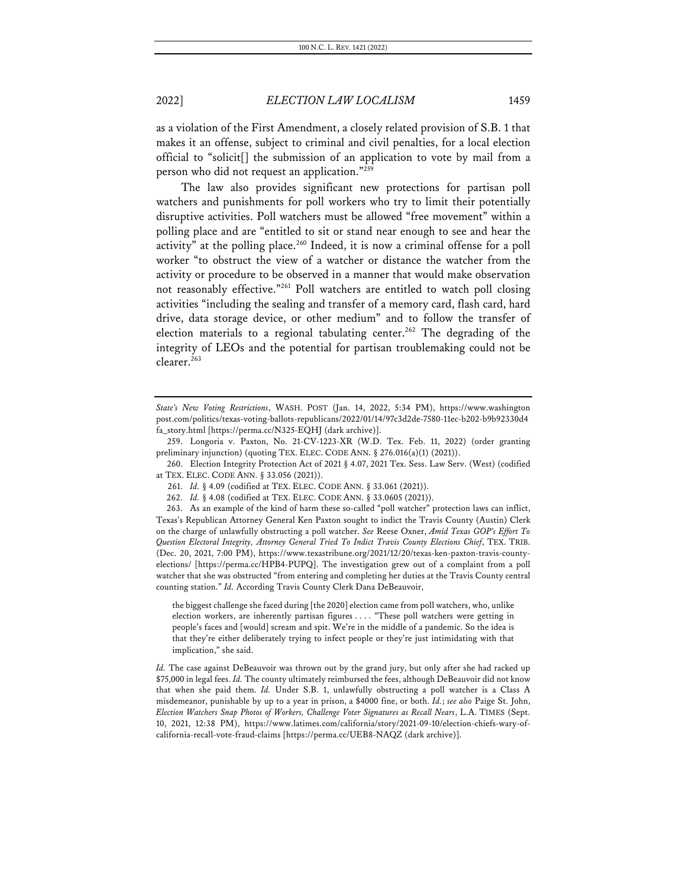as a violation of the First Amendment, a closely related provision of S.B. 1 that makes it an offense, subject to criminal and civil penalties, for a local election official to "solicit[] the submission of an application to vote by mail from a person who did not request an application."259

The law also provides significant new protections for partisan poll watchers and punishments for poll workers who try to limit their potentially disruptive activities. Poll watchers must be allowed "free movement" within a polling place and are "entitled to sit or stand near enough to see and hear the activity" at the polling place.<sup>260</sup> Indeed, it is now a criminal offense for a poll worker "to obstruct the view of a watcher or distance the watcher from the activity or procedure to be observed in a manner that would make observation not reasonably effective."261 Poll watchers are entitled to watch poll closing activities "including the sealing and transfer of a memory card, flash card, hard drive, data storage device, or other medium" and to follow the transfer of election materials to a regional tabulating center.<sup>262</sup> The degrading of the integrity of LEOs and the potential for partisan troublemaking could not be clearer.<sup>263</sup>

261. *Id.* § 4.09 (codified at TEX. ELEC. CODE ANN. § 33.061 (2021)).

262. *Id.* § 4.08 (codified at TEX. ELEC. CODE ANN. § 33.0605 (2021)).

263. As an example of the kind of harm these so-called "poll watcher" protection laws can inflict, Texas's Republican Attorney General Ken Paxton sought to indict the Travis County (Austin) Clerk on the charge of unlawfully obstructing a poll watcher. *See* Reese Oxner, *Amid Texas GOP's Effort To Question Electoral Integrity, Attorney General Tried To Indict Travis County Elections Chief*, TEX. TRIB. (Dec. 20, 2021, 7:00 PM), https://www.texastribune.org/2021/12/20/texas-ken-paxton-travis-countyelections/ [https://perma.cc/HPB4-PUPQ]. The investigation grew out of a complaint from a poll watcher that she was obstructed "from entering and completing her duties at the Travis County central counting station." *Id.* According Travis County Clerk Dana DeBeauvoir,

the biggest challenge she faced during [the 2020] election came from poll watchers, who, unlike election workers, are inherently partisan figures . . . . "These poll watchers were getting in people's faces and [would] scream and spit. We're in the middle of a pandemic. So the idea is that they're either deliberately trying to infect people or they're just intimidating with that implication," she said.

*Id.* The case against DeBeauvoir was thrown out by the grand jury, but only after she had racked up \$75,000 in legal fees. *Id.* The county ultimately reimbursed the fees, although DeBeauvoir did not know that when she paid them. *Id.* Under S.B. 1, unlawfully obstructing a poll watcher is a Class A misdemeanor, punishable by up to a year in prison, a \$4000 fine, or both. *Id.*; *see also* Paige St. John, *Election Watchers Snap Photos of Workers, Challenge Voter Signatures as Recall Nears*, L.A. TIMES (Sept. 10, 2021, 12:38 PM), https://www.latimes.com/california/story/2021-09-10/election-chiefs-wary-ofcalifornia-recall-vote-fraud-claims [https://perma.cc/UEB8-NAQZ (dark archive)].

*State's New Voting Restrictions*, WASH. POST (Jan. 14, 2022, 5:34 PM), https://www.washington post.com/politics/texas-voting-ballots-republicans/2022/01/14/97c3d2de-7580-11ec-b202-b9b92330d4 fa\_story.html [https://perma.cc/N325-EQHJ (dark archive)].

<sup>259.</sup> Longoria v. Paxton, No. 21-CV-1223-XR (W.D. Tex. Feb. 11, 2022) (order granting preliminary injunction) (quoting TEX. ELEC. CODE ANN. § 276.016(a)(1) (2021)).

<sup>260.</sup> Election Integrity Protection Act of 2021 § 4.07, 2021 Tex. Sess. Law Serv. (West) (codified at TEX. ELEC. CODE ANN. § 33.056 (2021)).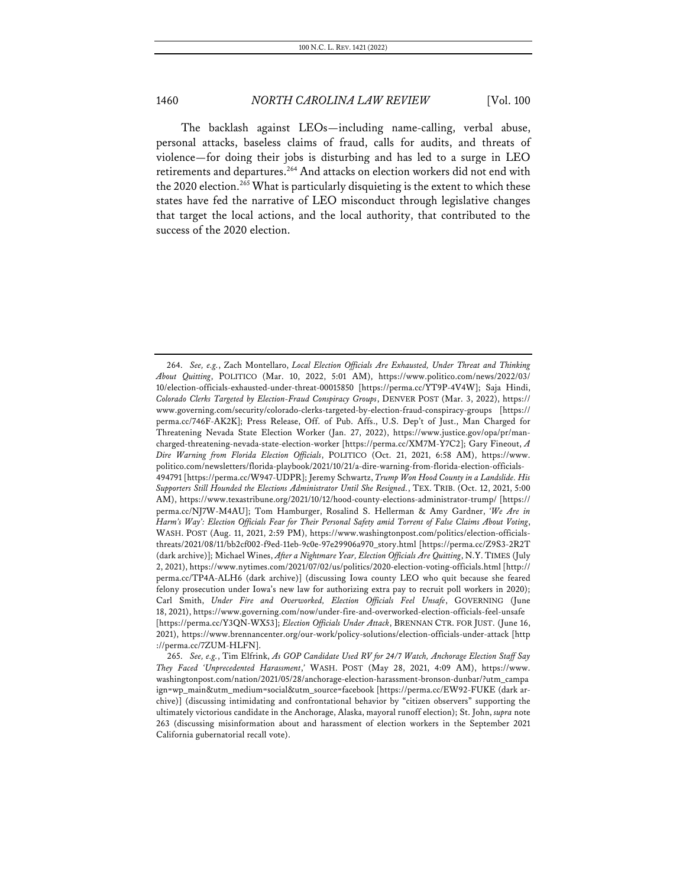The backlash against LEOs—including name-calling, verbal abuse, personal attacks, baseless claims of fraud, calls for audits, and threats of violence—for doing their jobs is disturbing and has led to a surge in LEO retirements and departures.<sup>264</sup> And attacks on election workers did not end with the 2020 election.<sup>265</sup> What is particularly disquieting is the extent to which these states have fed the narrative of LEO misconduct through legislative changes that target the local actions, and the local authority, that contributed to the success of the 2020 election.

<sup>264.</sup> *See, e.g.*, Zach Montellaro, *Local Election Officials Are Exhausted, Under Threat and Thinking About Quitting*, POLITICO (Mar. 10, 2022, 5:01 AM), https://www.politico.com/news/2022/03/ 10/election-officials-exhausted-under-threat-00015850 [https://perma.cc/YT9P-4V4W]; Saja Hindi, *Colorado Clerks Targeted by Election-Fraud Conspiracy Groups*, DENVER POST (Mar. 3, 2022), https:// www.governing.com/security/colorado-clerks-targeted-by-election-fraud-conspiracy-groups [https:// perma.cc/746F-AK2K]; Press Release, Off. of Pub. Affs., U.S. Dep't of Just., Man Charged for Threatening Nevada State Election Worker (Jan. 27, 2022), https://www.justice.gov/opa/pr/mancharged-threatening-nevada-state-election-worker [https://perma.cc/XM7M-Y7C2]; Gary Fineout, *A Dire Warning from Florida Election Officials*, POLITICO (Oct. 21, 2021, 6:58 AM), https://www. politico.com/newsletters/florida-playbook/2021/10/21/a-dire-warning-from-florida-election-officials-494791 [https://perma.cc/W947-UDPR]; Jeremy Schwartz, *Trump Won Hood County in a Landslide. His Supporters Still Hounded the Elections Administrator Until She Resigned.*, TEX. TRIB. (Oct. 12, 2021, 5:00 AM), https://www.texastribune.org/2021/10/12/hood-county-elections-administrator-trump/ [https:// perma.cc/NJ7W-M4AU]; Tom Hamburger, Rosalind S. Hellerman & Amy Gardner, *'We Are in Harm's Way': Election Officials Fear for Their Personal Safety amid Torrent of False Claims About Voting*, WASH. POST (Aug. 11, 2021, 2:59 PM), https://www.washingtonpost.com/politics/election-officialsthreats/2021/08/11/bb2cf002-f9ed-11eb-9c0e-97e29906a970\_story.html [https://perma.cc/Z9S3-2R2T (dark archive)]; Michael Wines, *After a Nightmare Year, Election Officials Are Quitting*, N.Y. TIMES (July 2, 2021), https://www.nytimes.com/2021/07/02/us/politics/2020-election-voting-officials.html [http:// perma.cc/TP4A-ALH6 (dark archive)] (discussing Iowa county LEO who quit because she feared felony prosecution under Iowa's new law for authorizing extra pay to recruit poll workers in 2020); Carl Smith, *Under Fire and Overworked, Election Officials Feel Unsafe*, GOVERNING (June 18, 2021), https://www.governing.com/now/under-fire-and-overworked-election-officials-feel-unsafe [https://perma.cc/Y3QN-WX53]; *Election Officials Under Attack*, BRENNAN CTR. FOR JUST. (June 16, 2021), https://www.brennancenter.org/our-work/policy-solutions/election-officials-under-attack [http ://perma.cc/7ZUM-HLFN].

<sup>265.</sup> *See, e.g.*, Tim Elfrink, *As GOP Candidate Used RV for 24/7 Watch, Anchorage Election Staff Say They Faced 'Unprecedented Harassment*,*'* WASH. POST (May 28, 2021, 4:09 AM), https://www. washingtonpost.com/nation/2021/05/28/anchorage-election-harassment-bronson-dunbar/?utm\_campa ign=wp\_main&utm\_medium=social&utm\_source=facebook [https://perma.cc/EW92-FUKE (dark archive)] (discussing intimidating and confrontational behavior by "citizen observers" supporting the ultimately victorious candidate in the Anchorage, Alaska, mayoral runoff election); St. John, *supra* note 263 (discussing misinformation about and harassment of election workers in the September 2021 California gubernatorial recall vote).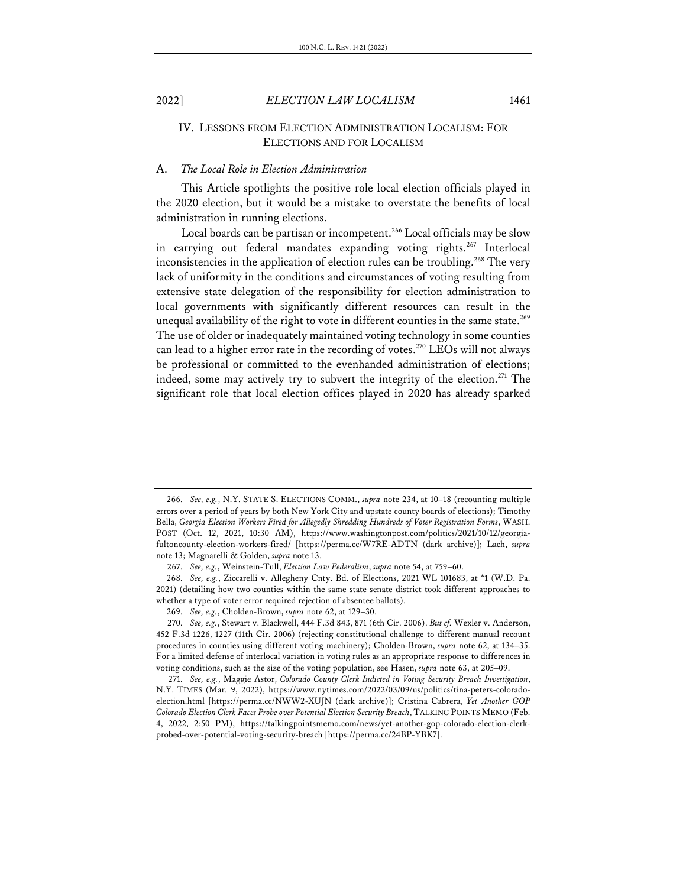# IV. LESSONS FROM ELECTION ADMINISTRATION LOCALISM: FOR ELECTIONS AND FOR LOCALISM

#### A. *The Local Role in Election Administration*

This Article spotlights the positive role local election officials played in the 2020 election, but it would be a mistake to overstate the benefits of local administration in running elections.

Local boards can be partisan or incompetent.<sup>266</sup> Local officials may be slow in carrying out federal mandates expanding voting rights.<sup>267</sup> Interlocal inconsistencies in the application of election rules can be troubling.<sup>268</sup> The very lack of uniformity in the conditions and circumstances of voting resulting from extensive state delegation of the responsibility for election administration to local governments with significantly different resources can result in the unequal availability of the right to vote in different counties in the same state.<sup>269</sup> The use of older or inadequately maintained voting technology in some counties can lead to a higher error rate in the recording of votes.<sup>270</sup> LEOs will not always be professional or committed to the evenhanded administration of elections; indeed, some may actively try to subvert the integrity of the election. <sup>271</sup> The significant role that local election offices played in 2020 has already sparked

<sup>266.</sup> *See, e.g.*, N.Y. STATE S. ELECTIONS COMM., *supra* note 234, at 10–18 (recounting multiple errors over a period of years by both New York City and upstate county boards of elections); Timothy Bella, *Georgia Election Workers Fired for Allegedly Shredding Hundreds of Voter Registration Forms*, WASH. POST (Oct. 12, 2021, 10:30 AM), https://www.washingtonpost.com/politics/2021/10/12/georgiafultoncounty-election-workers-fired/ [https://perma.cc/W7RE-ADTN (dark archive)]; Lach, *supra* note 13; Magnarelli & Golden, *supra* note 13.

<sup>267.</sup> *See, e.g.*, Weinstein-Tull, *Election Law Federalism*, *supra* note 54, at 759–60.

<sup>268.</sup> *See, e.g.*, Ziccarelli v. Allegheny Cnty. Bd. of Elections, 2021 WL 101683, at \*1 (W.D. Pa. 2021) (detailing how two counties within the same state senate district took different approaches to whether a type of voter error required rejection of absentee ballots).

<sup>269.</sup> *See, e.g.*, Cholden-Brown, *supra* note 62, at 129–30.

<sup>270.</sup> *See, e.g.*, Stewart v. Blackwell, 444 F.3d 843, 871 (6th Cir. 2006). *But cf.* Wexler v. Anderson, 452 F.3d 1226, 1227 (11th Cir. 2006) (rejecting constitutional challenge to different manual recount procedures in counties using different voting machinery); Cholden-Brown, *supra* note 62, at 134–35. For a limited defense of interlocal variation in voting rules as an appropriate response to differences in voting conditions, such as the size of the voting population, see Hasen, *supra* note 63, at 205–09.

<sup>271.</sup> *See, e.g.*, Maggie Astor, *Colorado County Clerk Indicted in Voting Security Breach Investigation*, N.Y. TIMES (Mar. 9, 2022), https://www.nytimes.com/2022/03/09/us/politics/tina-peters-coloradoelection.html [https://perma.cc/NWW2-XUJN (dark archive)]; Cristina Cabrera, *Yet Another GOP Colorado Election Clerk Faces Probe over Potential Election Security Breach*, TALKING POINTS MEMO (Feb. 4, 2022, 2:50 PM), https://talkingpointsmemo.com/news/yet-another-gop-colorado-election-clerkprobed-over-potential-voting-security-breach [https://perma.cc/24BP-YBK7].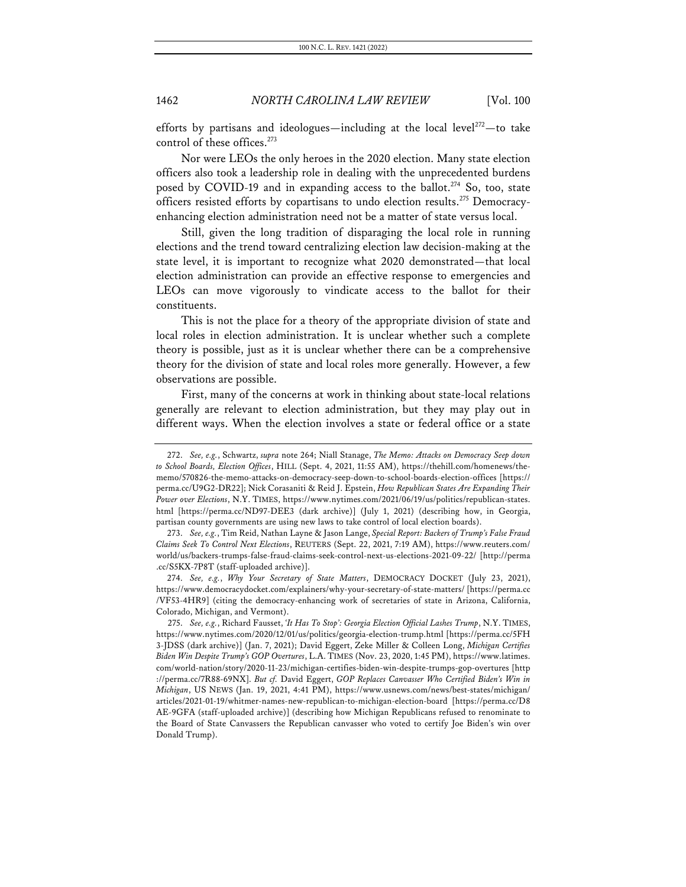efforts by partisans and ideologues—including at the local level<sup>272</sup>—to take control of these offices.<sup>273</sup>

Nor were LEOs the only heroes in the 2020 election. Many state election officers also took a leadership role in dealing with the unprecedented burdens posed by COVID-19 and in expanding access to the ballot.<sup>274</sup> So, too, state officers resisted efforts by copartisans to undo election results.<sup>275</sup> Democracyenhancing election administration need not be a matter of state versus local.

Still, given the long tradition of disparaging the local role in running elections and the trend toward centralizing election law decision-making at the state level, it is important to recognize what 2020 demonstrated—that local election administration can provide an effective response to emergencies and LEOs can move vigorously to vindicate access to the ballot for their constituents.

This is not the place for a theory of the appropriate division of state and local roles in election administration. It is unclear whether such a complete theory is possible, just as it is unclear whether there can be a comprehensive theory for the division of state and local roles more generally. However, a few observations are possible.

First, many of the concerns at work in thinking about state-local relations generally are relevant to election administration, but they may play out in different ways. When the election involves a state or federal office or a state

<sup>272.</sup> *See, e.g.*, Schwartz, *supra* note 264; Niall Stanage, *The Memo: Attacks on Democracy Seep down to School Boards, Election Offices*, HILL (Sept. 4, 2021, 11:55 AM), https://thehill.com/homenews/thememo/570826-the-memo-attacks-on-democracy-seep-down-to-school-boards-election-offices [https:// perma.cc/U9G2-DR22]; Nick Corasaniti & Reid J. Epstein, *How Republican States Are Expanding Their Power over Elections*, N.Y. TIMES, https://www.nytimes.com/2021/06/19/us/politics/republican-states. html [https://perma.cc/ND97-DEE3 (dark archive)] (July 1, 2021) (describing how, in Georgia, partisan county governments are using new laws to take control of local election boards).

<sup>273.</sup> *See, e.g.*, Tim Reid, Nathan Layne & Jason Lange, *Special Report: Backers of Trump's False Fraud Claims Seek To Control Next Elections*, REUTERS (Sept. 22, 2021, 7:19 AM), https://www.reuters.com/ world/us/backers-trumps-false-fraud-claims-seek-control-next-us-elections-2021-09-22/ [http://perma .cc/S5KX-7P8T (staff-uploaded archive)].

<sup>274.</sup> *See, e.g.*, *Why Your Secretary of State Matters*, DEMOCRACY DOCKET (July 23, 2021), https://www.democracydocket.com/explainers/why-your-secretary-of-state-matters/ [https://perma.cc /VF53-4HR9] (citing the democracy-enhancing work of secretaries of state in Arizona, California, Colorado, Michigan, and Vermont).

<sup>275.</sup> *See, e.g.*, Richard Fausset, *'It Has To Stop': Georgia Election Official Lashes Trump*, N.Y. TIMES, https://www.nytimes.com/2020/12/01/us/politics/georgia-election-trump.html [https://perma.cc/5FH 3-JDSS (dark archive)] (Jan. 7, 2021); David Eggert, Zeke Miller & Colleen Long, *Michigan Certifies Biden Win Despite Trump's GOP Overtures*, L.A. TIMES (Nov. 23, 2020, 1:45 PM), https://www.latimes. com/world-nation/story/2020-11-23/michigan-certifies-biden-win-despite-trumps-gop-overtures [http ://perma.cc/7R88-69NX]. *But cf.* David Eggert, *GOP Replaces Canvasser Who Certified Biden's Win in Michigan*, US NEWS (Jan. 19, 2021, 4:41 PM), https://www.usnews.com/news/best-states/michigan/ articles/2021-01-19/whitmer-names-new-republican-to-michigan-election-board [https://perma.cc/D8 AE-9GFA (staff-uploaded archive)] (describing how Michigan Republicans refused to renominate to the Board of State Canvassers the Republican canvasser who voted to certify Joe Biden's win over Donald Trump).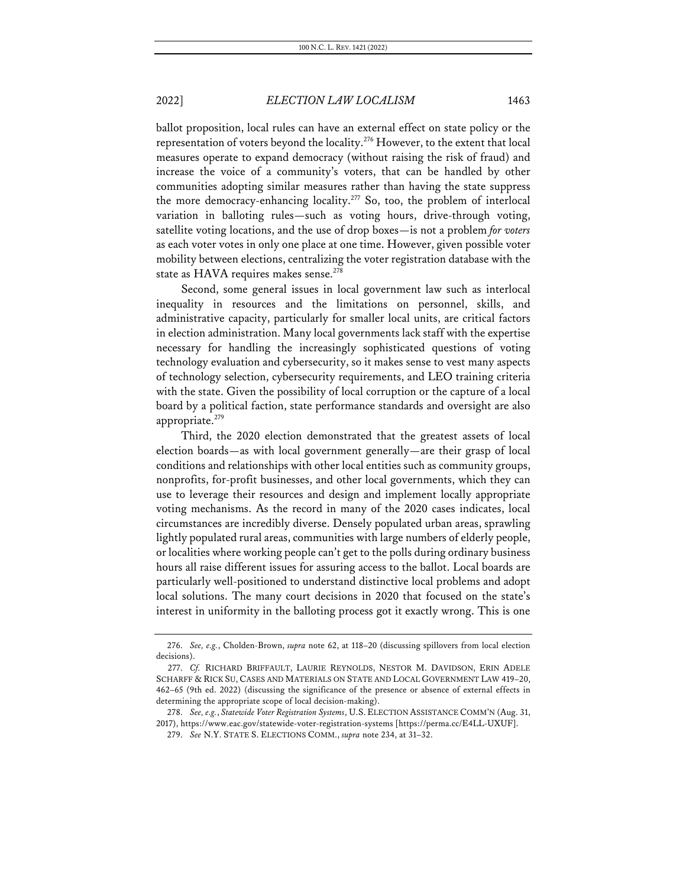ballot proposition, local rules can have an external effect on state policy or the representation of voters beyond the locality.276 However, to the extent that local measures operate to expand democracy (without raising the risk of fraud) and increase the voice of a community's voters, that can be handled by other communities adopting similar measures rather than having the state suppress the more democracy-enhancing locality.<sup>277</sup> So, too, the problem of interlocal variation in balloting rules—such as voting hours, drive-through voting, satellite voting locations, and the use of drop boxes—is not a problem *for voters* as each voter votes in only one place at one time. However, given possible voter mobility between elections, centralizing the voter registration database with the state as HAVA requires makes sense.<sup>278</sup>

Second, some general issues in local government law such as interlocal inequality in resources and the limitations on personnel, skills, and administrative capacity, particularly for smaller local units, are critical factors in election administration. Many local governments lack staff with the expertise necessary for handling the increasingly sophisticated questions of voting technology evaluation and cybersecurity, so it makes sense to vest many aspects of technology selection, cybersecurity requirements, and LEO training criteria with the state. Given the possibility of local corruption or the capture of a local board by a political faction, state performance standards and oversight are also appropriate.<sup>279</sup>

Third, the 2020 election demonstrated that the greatest assets of local election boards—as with local government generally—are their grasp of local conditions and relationships with other local entities such as community groups, nonprofits, for-profit businesses, and other local governments, which they can use to leverage their resources and design and implement locally appropriate voting mechanisms. As the record in many of the 2020 cases indicates, local circumstances are incredibly diverse. Densely populated urban areas, sprawling lightly populated rural areas, communities with large numbers of elderly people, or localities where working people can't get to the polls during ordinary business hours all raise different issues for assuring access to the ballot. Local boards are particularly well-positioned to understand distinctive local problems and adopt local solutions. The many court decisions in 2020 that focused on the state's interest in uniformity in the balloting process got it exactly wrong. This is one

<sup>276.</sup> *See, e.g.*, Cholden-Brown, *supra* note 62, at 118–20 (discussing spillovers from local election decisions).

<sup>277.</sup> *Cf.* RICHARD BRIFFAULT, LAURIE REYNOLDS, NESTOR M. DAVIDSON, ERIN ADELE SCHARFF & RICK SU, CASES AND MATERIALS ON STATE AND LOCAL GOVERNMENT LAW 419–20, 462–65 (9th ed. 2022) (discussing the significance of the presence or absence of external effects in determining the appropriate scope of local decision-making).

<sup>278.</sup> *See, e.g.*, *Statewide Voter Registration Systems*, U.S. ELECTION ASSISTANCE COMM'N (Aug. 31, 2017), https://www.eac.gov/statewide-voter-registration-systems [https://perma.cc/E4LL-UXUF].

<sup>279.</sup> *See* N.Y. STATE S. ELECTIONS COMM., *supra* note 234, at 31–32.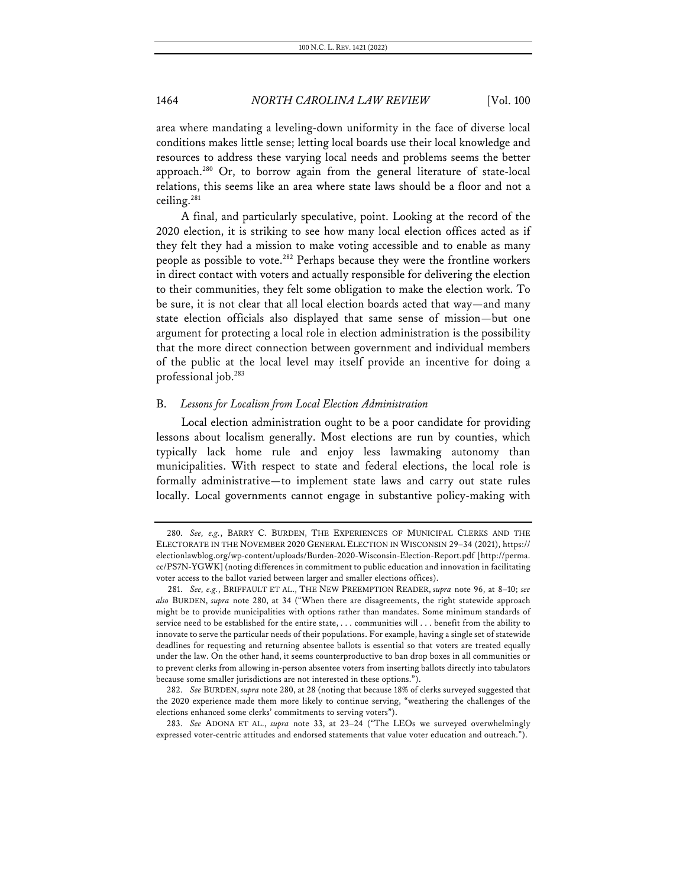area where mandating a leveling-down uniformity in the face of diverse local conditions makes little sense; letting local boards use their local knowledge and resources to address these varying local needs and problems seems the better approach.<sup>280</sup> Or, to borrow again from the general literature of state-local relations, this seems like an area where state laws should be a floor and not a ceiling.281

A final, and particularly speculative, point. Looking at the record of the 2020 election, it is striking to see how many local election offices acted as if they felt they had a mission to make voting accessible and to enable as many people as possible to vote.<sup>282</sup> Perhaps because they were the frontline workers in direct contact with voters and actually responsible for delivering the election to their communities, they felt some obligation to make the election work. To be sure, it is not clear that all local election boards acted that way—and many state election officials also displayed that same sense of mission—but one argument for protecting a local role in election administration is the possibility that the more direct connection between government and individual members of the public at the local level may itself provide an incentive for doing a professional job.283

#### B. *Lessons for Localism from Local Election Administration*

Local election administration ought to be a poor candidate for providing lessons about localism generally. Most elections are run by counties, which typically lack home rule and enjoy less lawmaking autonomy than municipalities. With respect to state and federal elections, the local role is formally administrative—to implement state laws and carry out state rules locally. Local governments cannot engage in substantive policy-making with

283. *See* ADONA ET AL., *supra* note 33, at 23–24 ("The LEOs we surveyed overwhelmingly expressed voter-centric attitudes and endorsed statements that value voter education and outreach.").

<sup>280.</sup> *See, e.g.*, BARRY C. BURDEN, THE EXPERIENCES OF MUNICIPAL CLERKS AND THE ELECTORATE IN THE NOVEMBER 2020 GENERAL ELECTION IN WISCONSIN 29–34 (2021), https:// electionlawblog.org/wp-content/uploads/Burden-2020-Wisconsin-Election-Report.pdf [http://perma. cc/PS7N-YGWK] (noting differences in commitment to public education and innovation in facilitating voter access to the ballot varied between larger and smaller elections offices).

<sup>281.</sup> *See, e.g.*, BRIFFAULT ET AL., THE NEW PREEMPTION READER, *supra* note 96, at 8–10; *see also* BURDEN, *supra* note 280, at 34 ("When there are disagreements, the right statewide approach might be to provide municipalities with options rather than mandates. Some minimum standards of service need to be established for the entire state, . . . communities will . . . benefit from the ability to innovate to serve the particular needs of their populations. For example, having a single set of statewide deadlines for requesting and returning absentee ballots is essential so that voters are treated equally under the law. On the other hand, it seems counterproductive to ban drop boxes in all communities or to prevent clerks from allowing in-person absentee voters from inserting ballots directly into tabulators because some smaller jurisdictions are not interested in these options.").

<sup>282.</sup> *See* BURDEN, *supra* note 280, at 28 (noting that because 18% of clerks surveyed suggested that the 2020 experience made them more likely to continue serving, "weathering the challenges of the elections enhanced some clerks' commitments to serving voters").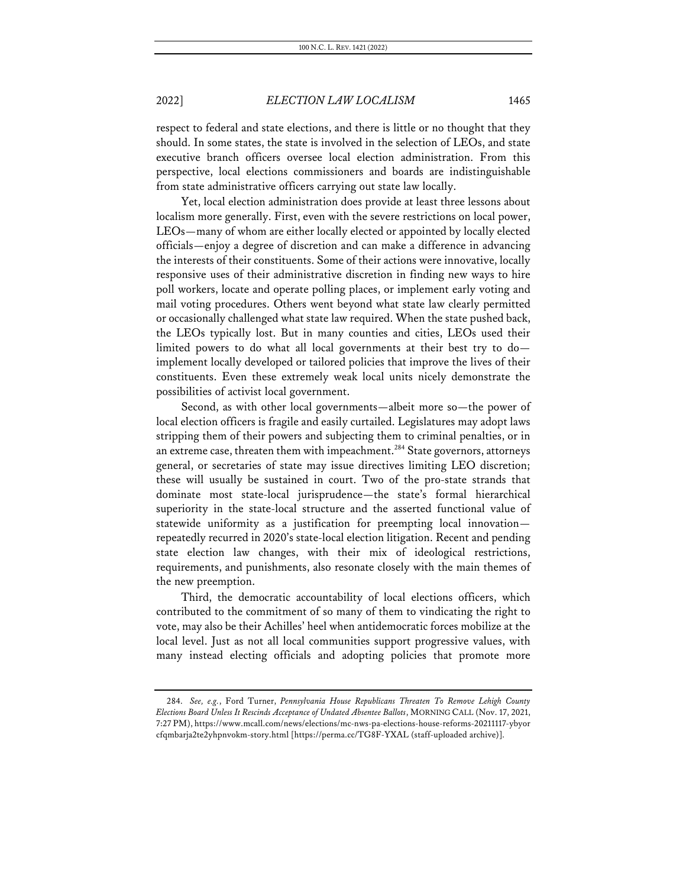respect to federal and state elections, and there is little or no thought that they should. In some states, the state is involved in the selection of LEOs, and state executive branch officers oversee local election administration. From this perspective, local elections commissioners and boards are indistinguishable from state administrative officers carrying out state law locally.

Yet, local election administration does provide at least three lessons about localism more generally. First, even with the severe restrictions on local power, LEOs—many of whom are either locally elected or appointed by locally elected officials—enjoy a degree of discretion and can make a difference in advancing the interests of their constituents. Some of their actions were innovative, locally responsive uses of their administrative discretion in finding new ways to hire poll workers, locate and operate polling places, or implement early voting and mail voting procedures. Others went beyond what state law clearly permitted or occasionally challenged what state law required. When the state pushed back, the LEOs typically lost. But in many counties and cities, LEOs used their limited powers to do what all local governments at their best try to do implement locally developed or tailored policies that improve the lives of their constituents. Even these extremely weak local units nicely demonstrate the possibilities of activist local government.

Second, as with other local governments—albeit more so—the power of local election officers is fragile and easily curtailed. Legislatures may adopt laws stripping them of their powers and subjecting them to criminal penalties, or in an extreme case, threaten them with impeachment.<sup>284</sup> State governors, attorneys general, or secretaries of state may issue directives limiting LEO discretion; these will usually be sustained in court. Two of the pro-state strands that dominate most state-local jurisprudence—the state's formal hierarchical superiority in the state-local structure and the asserted functional value of statewide uniformity as a justification for preempting local innovation repeatedly recurred in 2020's state-local election litigation. Recent and pending state election law changes, with their mix of ideological restrictions, requirements, and punishments, also resonate closely with the main themes of the new preemption.

Third, the democratic accountability of local elections officers, which contributed to the commitment of so many of them to vindicating the right to vote, may also be their Achilles' heel when antidemocratic forces mobilize at the local level. Just as not all local communities support progressive values, with many instead electing officials and adopting policies that promote more

<sup>284.</sup> *See, e.g.*, Ford Turner, *Pennsylvania House Republicans Threaten To Remove Lehigh County Elections Board Unless It Rescinds Acceptance of Undated Absentee Ballots*, MORNING CALL (Nov. 17, 2021, 7:27 PM), https://www.mcall.com/news/elections/mc-nws-pa-elections-house-reforms-20211117-ybyor cfqmbarja2te2yhpnvokm-story.html [https://perma.cc/TG8F-YXAL (staff-uploaded archive)].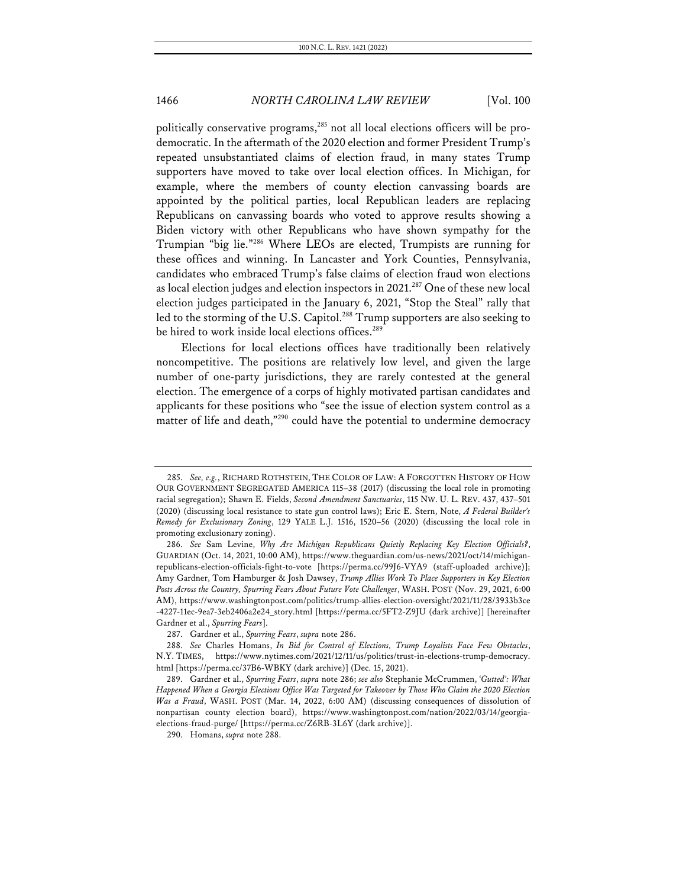politically conservative programs,<sup>285</sup> not all local elections officers will be prodemocratic. In the aftermath of the 2020 election and former President Trump's repeated unsubstantiated claims of election fraud, in many states Trump supporters have moved to take over local election offices. In Michigan, for example, where the members of county election canvassing boards are appointed by the political parties, local Republican leaders are replacing Republicans on canvassing boards who voted to approve results showing a Biden victory with other Republicans who have shown sympathy for the Trumpian "big lie."286 Where LEOs are elected, Trumpists are running for these offices and winning. In Lancaster and York Counties, Pennsylvania, candidates who embraced Trump's false claims of election fraud won elections as local election judges and election inspectors in 2021.<sup>287</sup> One of these new local election judges participated in the January 6, 2021, "Stop the Steal" rally that led to the storming of the U.S. Capitol.<sup>288</sup> Trump supporters are also seeking to be hired to work inside local elections offices.<sup>289</sup>

Elections for local elections offices have traditionally been relatively noncompetitive. The positions are relatively low level, and given the large number of one-party jurisdictions, they are rarely contested at the general election. The emergence of a corps of highly motivated partisan candidates and applicants for these positions who "see the issue of election system control as a matter of life and death,"<sup>290</sup> could have the potential to undermine democracy

<sup>285.</sup> *See, e.g.*, RICHARD ROTHSTEIN, THE COLOR OF LAW: A FORGOTTEN HISTORY OF HOW OUR GOVERNMENT SEGREGATED AMERICA 115–38 (2017) (discussing the local role in promoting racial segregation); Shawn E. Fields, *Second Amendment Sanctuaries*, 115 NW. U. L. REV. 437, 437–501 (2020) (discussing local resistance to state gun control laws); Eric E. Stern, Note, *A Federal Builder's Remedy for Exclusionary Zoning*, 129 YALE L.J. 1516, 1520–56 (2020) (discussing the local role in promoting exclusionary zoning).

<sup>286.</sup> *See* Sam Levine, *Why Are Michigan Republicans Quietly Replacing Key Election Officials?*, GUARDIAN (Oct. 14, 2021, 10:00 AM), https://www.theguardian.com/us-news/2021/oct/14/michiganrepublicans-election-officials-fight-to-vote [https://perma.cc/99J6-VYA9 (staff-uploaded archive)]; Amy Gardner, Tom Hamburger & Josh Dawsey, *Trump Allies Work To Place Supporters in Key Election Posts Across the Country, Spurring Fears About Future Vote Challenges*, WASH. POST (Nov. 29, 2021, 6:00 AM), https://www.washingtonpost.com/politics/trump-allies-election-oversight/2021/11/28/3933b3ce -4227-11ec-9ea7-3eb2406a2e24\_story.html [https://perma.cc/5FT2-Z9JU (dark archive)] [hereinafter Gardner et al., *Spurring Fears*].

<sup>287.</sup> Gardner et al., *Spurring Fears*, *supra* note 286.

<sup>288.</sup> *See* Charles Homans, *In Bid for Control of Elections, Trump Loyalists Face Few Obstacles*, N.Y. TIMES, https://www.nytimes.com/2021/12/11/us/politics/trust-in-elections-trump-democracy. html [https://perma.cc/37B6-WBKY (dark archive)] (Dec. 15, 2021).

<sup>289.</sup> Gardner et al., *Spurring Fears*, *supra* note 286; *see also* Stephanie McCrummen, *'Gutted': What Happened When a Georgia Elections Office Was Targeted for Takeover by Those Who Claim the 2020 Election Was a Fraud*, WASH. POST (Mar. 14, 2022, 6:00 AM) (discussing consequences of dissolution of nonpartisan county election board), https://www.washingtonpost.com/nation/2022/03/14/georgiaelections-fraud-purge/ [https://perma.cc/Z6RB-3L6Y (dark archive)].

<sup>290.</sup> Homans, *supra* note 288.